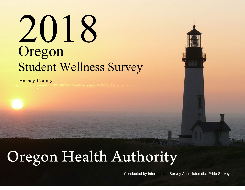# Oregon Student Wellness Survey 2018

Harney County

## Oregon Health Authority

Conducted by International Survey Associates dba Pride Surveys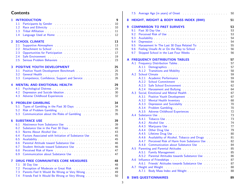## **Contents**

| 1              | <b>INTRODUCTION</b><br>1.1                                                                                                                                                                                                                                                                   | 9<br>10  |
|----------------|----------------------------------------------------------------------------------------------------------------------------------------------------------------------------------------------------------------------------------------------------------------------------------------------|----------|
|                | 1.2<br>Race and Ethnicity Manual Account of the Basic Basic Basic Basic Basic Basic Basic Basic Basic Basic Basic Basic Basic Basic Basic Basic Basic Basic Basic Basic Basic Basic Basic Basic Basic Basic Basic Basic Basic Basic B                                                        | 10       |
|                | 1.3                                                                                                                                                                                                                                                                                          | 11       |
|                | 1.4                                                                                                                                                                                                                                                                                          | 12       |
| $\overline{2}$ | <b>SCHOOL CLIMATE</b>                                                                                                                                                                                                                                                                        | 13       |
|                | 2.1                                                                                                                                                                                                                                                                                          | 13       |
|                | Attachment to School<br>2.2<br>2.3                                                                                                                                                                                                                                                           | 15<br>17 |
|                | 2.4                                                                                                                                                                                                                                                                                          | 19       |
|                | Serious Problem Behaviors (Albert 2018) (Albert 2018) (Albert 2018) (Albert 2018) (Albert 2018) (Albert 2018)<br>2.5                                                                                                                                                                         | 23       |
| 3              | <b>POSITIVE YOUTH DEVELOPMENT</b>                                                                                                                                                                                                                                                            | 25       |
|                | Positive Youth Development Benchmark<br>3.1                                                                                                                                                                                                                                                  | 25       |
|                | 3.2                                                                                                                                                                                                                                                                                          | 25       |
|                | 3.3                                                                                                                                                                                                                                                                                          | 26       |
| 4              | <b>MENTAL AND EMOTIONAL HEALTH</b>                                                                                                                                                                                                                                                           | 29<br>29 |
|                | 4.1<br>4.2                                                                                                                                                                                                                                                                                   | 30       |
|                | 4.3                                                                                                                                                                                                                                                                                          | 32       |
|                |                                                                                                                                                                                                                                                                                              |          |
| 5              | <b>PROBLEM GAMBLING</b>                                                                                                                                                                                                                                                                      | 34       |
|                | 5.1                                                                                                                                                                                                                                                                                          | 34       |
|                | 5.2<br>Risk of Problem Gambling (Albert 2018) and Albert Albert 2014 and Albert 2014                                                                                                                                                                                                         | 35       |
|                | Communication about the Risks of Gambling<br>5.3                                                                                                                                                                                                                                             | 35       |
| 6              | <b>SUBSTANCE USE</b>                                                                                                                                                                                                                                                                         | 39       |
|                | 6.1                                                                                                                                                                                                                                                                                          | 39       |
|                | 6.2<br>Substance Use in the Past 30 Days <b>Substance Use in the Past 30 Days</b>                                                                                                                                                                                                            | 40       |
|                | 6.3<br>6.4                                                                                                                                                                                                                                                                                   | 43<br>45 |
|                | Factors Associated with Initiation of Substance Use<br>6.5<br>Availability Article Article Article Availability Article Article Article Article Article Article Article Article Article Article Article Article Article Article Article Article Article Article Article Article Article Arti | 45       |
|                | Parental Attitude toward Substance Use<br>6.6                                                                                                                                                                                                                                                | 46       |
|                | Student Attitude toward Substance Use Marines and Attitude toward Substance Use<br>6.7                                                                                                                                                                                                       | 46       |
|                | 6.8                                                                                                                                                                                                                                                                                          | 47       |
|                | Communication about Substance Use <b>Example 20</b> and the communication about Substance Use<br>6.9                                                                                                                                                                                         | 47       |
| 7              | <b>DRUG FREE COMMUNITIES CORE MEASURES</b>                                                                                                                                                                                                                                                   | 48       |
|                | 7.1                                                                                                                                                                                                                                                                                          | 48       |
|                | Perception of Moderate or Great Risk Processors and Moderate or Great Risk Processors and Moderate D<br>7.2                                                                                                                                                                                  | 49       |
|                | Parents Feel It Would Be Wrong or Very Wrong<br>7.3<br>Friends Feel It Would Be Wrong or Very Wrong<br>7.4                                                                                                                                                                                   | 49<br>50 |

|                  | 7.5 |                                                                                                                                                                                                                                | 50 |
|------------------|-----|--------------------------------------------------------------------------------------------------------------------------------------------------------------------------------------------------------------------------------|----|
| 8                |     | <b>HEIGHT, WEIGHT &amp; BODY MASS INDEX (BMI)</b>                                                                                                                                                                              | 51 |
| $\boldsymbol{9}$ |     | <b>COMPARISON TO PAST SURVEYS</b>                                                                                                                                                                                              | 53 |
|                  | 9.1 |                                                                                                                                                                                                                                | 53 |
|                  | 9.2 | Perceived Risk of Use <b>Fig. 1. Access 2. Access 2. Access</b> 2. Access 2. Access 2. Access 2. Access 2. Access 2. A                                                                                                         | 53 |
|                  | 9.3 | Availability Article Article Availability Availability                                                                                                                                                                         | 54 |
|                  | 9.4 |                                                                                                                                                                                                                                | 54 |
|                  | 9.5 | Harassment In The Last 30 Days Related To: All Allen Manuschen Manuschen                                                                                                                                                       | 55 |
|                  | 9.6 | Feeling Unsafe At or On the Way to School Theory and Theory and Theory and Theory and Theory and Theory and Theory and Theory and Theory and Theory and Theory and Theory and Theory and Theory and Theory and Theory and Theo | 56 |
|                  | 9.7 | Skipped School in the Last Four Weeks                                                                                                                                                                                          | 56 |
| A                |     | <b>FREQUENCY DISTRIBUTION TABLES</b>                                                                                                                                                                                           | 57 |
|                  | A.1 |                                                                                                                                                                                                                                | 57 |
|                  |     | A.1.1                                                                                                                                                                                                                          | 57 |
|                  |     | Transitions and Mobility Transitions and Mobility<br>A.1.2                                                                                                                                                                     | 58 |
|                  | A.2 |                                                                                                                                                                                                                                | 59 |
|                  |     | A.2.1                                                                                                                                                                                                                          | 59 |
|                  |     | A.2.2                                                                                                                                                                                                                          | 59 |
|                  |     | A.2.3                                                                                                                                                                                                                          | 62 |
|                  |     | A.2.4                                                                                                                                                                                                                          | 64 |
|                  | A.3 |                                                                                                                                                                                                                                | 67 |
|                  |     | A.3.1                                                                                                                                                                                                                          | 67 |
|                  |     | A.3.2                                                                                                                                                                                                                          | 68 |
|                  |     | Depression and Suicidality March 2014 and Suicidality March 2014 and Suicidality March 2014 and 2016<br>A.3.3                                                                                                                  | 70 |
|                  |     | A.3.4<br>Problem Gambling                                                                                                                                                                                                      | 70 |
|                  |     | Adverse Childhood Experiences<br>A.3.5                                                                                                                                                                                         | 72 |
|                  | A.4 |                                                                                                                                                                                                                                | 73 |
|                  |     | A.4.1<br>Tobacco Use entertainment and the state of the state of the state of the state of the state of the state of the                                                                                                       | 73 |
|                  |     | A.4.2                                                                                                                                                                                                                          | 74 |
|                  |     | A.4.3                                                                                                                                                                                                                          | 77 |
|                  |     | A.4.4                                                                                                                                                                                                                          | 79 |
|                  |     | A.4.5                                                                                                                                                                                                                          | 80 |
|                  |     | Availability of Alcohol, Tobacco and Drugs Material Availability of Alcohol, Tobacco and Drugs<br>A.4.6                                                                                                                        | 81 |
|                  |     | Perceived Risk of Harm from Substance Use<br>A.4.7                                                                                                                                                                             | 82 |
|                  |     | Communication about Substance Use<br>A.4.8                                                                                                                                                                                     | 84 |
|                  | A.5 | Parenting and Parental Attitudes Manual Account of the Parenting and Parental Attitudes                                                                                                                                        | 85 |
|                  |     | A.5.1                                                                                                                                                                                                                          | 85 |
|                  |     | A.5.2<br>Parental Attitudes towards Substance Use <b>Substance In the Substance</b> Ose                                                                                                                                        | 86 |
|                  | A.6 |                                                                                                                                                                                                                                | 87 |
|                  |     | A.6.1                                                                                                                                                                                                                          |    |
|                  |     | Friends' Attitudes towards Substance Use <b>Substance Islams</b> Attitudes to Mars                                                                                                                                             | 87 |
|                  | A.7 | Height and Weight                                                                                                                                                                                                              | 88 |
|                  |     | A.7.1                                                                                                                                                                                                                          | 88 |
| в                |     | <b>SWS QUESTIONNAIRES</b>                                                                                                                                                                                                      | 89 |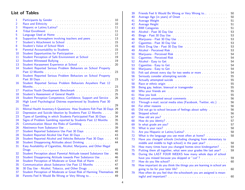## List of Tables

| 1              |                                                                                                                     | 10       |
|----------------|---------------------------------------------------------------------------------------------------------------------|----------|
| $\overline{2}$ |                                                                                                                     | 10       |
| 3              | Hispanic or Latino/Latina? Manual Allen Annual Allen Annual Allen Annual Allen Annual Allen Annual Allen Allen      | 11       |
| 4              | Tribal Enrollment (Fig. 1991) and a series of the series of the series of the series of the series of the series of | 11       |
| 5              |                                                                                                                     | 12       |
| 6              |                                                                                                                     | 13       |
|                | Supportive Atmosphere involving teachers and peers                                                                  |          |
| $\overline{7}$ |                                                                                                                     | 15       |
| 8              | Student's Value of School Work                                                                                      | 15       |
| $\overline{9}$ |                                                                                                                     | 15       |
| 10             | Student Opportunities for Participation                                                                             | 17       |
| 11             |                                                                                                                     | 19       |
| 12             |                                                                                                                     | 19       |
| 13             | Student Harassment Experience at School                                                                             | 20       |
| 14             | Student Reported Serious Problem Behaviors on School Property                                                       |          |
|                |                                                                                                                     | 23       |
| 15             | Student Reported Serious Problem Behaviors on School Property                                                       |          |
|                |                                                                                                                     | 23       |
| 16             | Student Reported Serious Problem Behaviors Anywhere Past 12                                                         |          |
|                |                                                                                                                     | 23       |
| 17             |                                                                                                                     | 25       |
| 18             | Student's Assessment of General Health                                                                              | 25       |
| 19             | Student Perception Competence, Confidence, Support and Service.                                                     | 26       |
| 20             | High Level Psychological Distress experienced by Students Past 30                                                   |          |
|                |                                                                                                                     | 29       |
| 21             | Mental Health Inventory-5 Questions: How Students Felt Past 30 Days                                                 | 29       |
| 22             | Depression and Suicide Ideation by Students Past 12 Months                                                          | 30       |
| 23             | Types of Gambling in which Students Participated Past 30 Days                                                       | 34       |
| 24             | Signs of Problem Gambling reported by Students Past 12 Months.                                                      | 35       |
| 25             | Communication About the Risks of Gambling                                                                           | 35       |
| 26             |                                                                                                                     | 39       |
|                |                                                                                                                     |          |
| 27<br>28       | Student Reported Substance Use Past 30 Days                                                                         | 40<br>43 |
|                | Student Reported Alcohol Use Past 30 Days                                                                           |          |
| 29             | Student Reported Alcohol and Vehicles Behavior Past 30 Days                                                         | 43       |
| 30             | Student Disapproving Attitudes about Drinking Manuscript Contains                                                   | 44       |
| 31             | Easy Availability of Cigarettes, Alcohol, Marijuana, and Other Illegal                                              |          |
|                |                                                                                                                     | 45       |
| 32             | Student Perception about Parental Attitude toward Substance Use                                                     | 46       |
| 33             |                                                                                                                     |          |
|                | Student Disapproving Attitude towards Peer Substance Use                                                            | 46       |
| 34             | Student Perception of Moderate or Great Risk of Harm                                                                | 47       |
| 35             |                                                                                                                     | 47       |
| 36             | 30 Day Use - Alcohol, Tobacco, and Other Drugs                                                                      | 48       |
| 37             | Student Perception of Moderate or Great Risk of Harming Themselves                                                  | 49       |
| 38             | Parents Feel It Would Be Wrong or Very Wrong to                                                                     | 49       |

| 39 | Friends Feel It Would Be Wrong or Very Wrong to                                                                                                                                                                                | 50 |
|----|--------------------------------------------------------------------------------------------------------------------------------------------------------------------------------------------------------------------------------|----|
| 40 |                                                                                                                                                                                                                                | 50 |
| 41 |                                                                                                                                                                                                                                | 51 |
| 42 |                                                                                                                                                                                                                                | 51 |
| 43 |                                                                                                                                                                                                                                | 51 |
| 44 |                                                                                                                                                                                                                                | 53 |
| 45 |                                                                                                                                                                                                                                | 53 |
| 46 |                                                                                                                                                                                                                                | 53 |
| 47 |                                                                                                                                                                                                                                | 53 |
| 48 |                                                                                                                                                                                                                                | 53 |
| 49 |                                                                                                                                                                                                                                | 53 |
| 50 |                                                                                                                                                                                                                                | 54 |
| 51 |                                                                                                                                                                                                                                | 54 |
| 52 |                                                                                                                                                                                                                                | 54 |
| 53 |                                                                                                                                                                                                                                | 54 |
| 54 |                                                                                                                                                                                                                                | 54 |
| 55 |                                                                                                                                                                                                                                | 54 |
| 56 |                                                                                                                                                                                                                                | 55 |
| 57 |                                                                                                                                                                                                                                | 55 |
| 58 | Race or ethnic origin contains and a series of the contact of the contact of the contact of the contact of the                                                                                                                 | 55 |
| 59 | Being gay, lesbian, bisexual or transgender                                                                                                                                                                                    | 55 |
| 60 | Who your friends are entertainment and the set of the set of the set of the set of the set of the set of the set of the set of the set of the set of the set of the set of the set of the set of the set of the set of the set | 55 |
| 61 |                                                                                                                                                                                                                                | 55 |
| 62 |                                                                                                                                                                                                                                | 56 |
| 63 | Through e-mail, social media sites (Facebook, Twitter, etc.)                                                                                                                                                                   | 56 |
| 64 |                                                                                                                                                                                                                                | 56 |
| 65 | Did not go to school because of feelings about safety manuscription                                                                                                                                                            | 56 |
| 66 |                                                                                                                                                                                                                                | 56 |
| 67 |                                                                                                                                                                                                                                | 57 |
| 68 |                                                                                                                                                                                                                                | 57 |
| 69 |                                                                                                                                                                                                                                | 57 |
| 70 | What is your race? Manual Allen Contracts and the What is your race?                                                                                                                                                           | 58 |
| 71 |                                                                                                                                                                                                                                | 58 |
| 72 |                                                                                                                                                                                                                                | 58 |
| 73 | Have you changed schools (including changing from elementary to                                                                                                                                                                |    |
|    | middle and middle to high school) in the past year?                                                                                                                                                                            | 58 |
| 74 | How many times have you changed homes since kindergarten?                                                                                                                                                                      | 59 |
| 75 | Putting them all together, what were your grades like last year?                                                                                                                                                               | 59 |
| 76 | During the LAST FOUR WEEKS how many whole days of school                                                                                                                                                                       |    |
|    |                                                                                                                                                                                                                                | 59 |
| 77 |                                                                                                                                                                                                                                | 60 |
| 78 | How important do you think the things you are learning in school are                                                                                                                                                           |    |
|    | going to be for your later life?                                                                                                                                                                                               | 60 |
| 79 | How often do you feel that the schoolwork you are assigned is mean-                                                                                                                                                            |    |
|    |                                                                                                                                                                                                                                | 60 |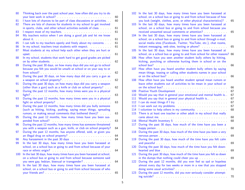| 80  | Thinking back over the past school year, how often did you try to do                                                                                                                           | 60 |
|-----|------------------------------------------------------------------------------------------------------------------------------------------------------------------------------------------------|----|
| 81  | I have lots of chances to be part of class discussions or activities.                                                                                                                          | 60 |
| 82  | There are lots of chances for students in my school to get involved<br>in sports, clubs, and other school activities outside of class.                                                         | 61 |
| 83  |                                                                                                                                                                                                | 61 |
| 84  | My teachers notice when I am doing a good job and let me know                                                                                                                                  | 61 |
| 85  | I can talk to my teachers openly and freely about my concerns.                                                                                                                                 | 61 |
| 86  | In my school, teachers treat students with respect.                                                                                                                                            | 61 |
| 87  | Most students at my school help each other when they are hurt or<br>upset.<br>.                                                                                                                | 61 |
| 88  | In my school, students that work hard to get good grades are picked                                                                                                                            | 62 |
| 89  | During the past 30 days, on how many days did you not go to school<br>because you felt you would be unsafe at school or on your way to or                                                      | 62 |
| 90  | During the past 30 days, on how many days did you carry a gun as                                                                                                                               | 62 |
| 91  | During the past 30 days, on how many days did you carry a weapon<br>(other than a gun) such as a knife or club on school property?                                                             | 62 |
| 92  | During the past 12 months, how many times were you in a physical                                                                                                                               | 63 |
| 93  | During the past 12 months, how many times were you in a physical                                                                                                                               | 63 |
| 94  | During the past 12 months, how many times did you bully someone<br>(such as hitting, kicking, pushing, saying mean things, spreading<br>rumors, or making sexual comments that bothered them)? | 63 |
| 95  | During the past 12 months, how many times have you been sus-<br>pended from school?                                                                                                            | 63 |
| 96  | During the past 12 months, how many times has someone threatened<br>you with a weapon such as a gun, knife, or club on school property?                                                        | 64 |
| 97  | During the past 12 months, has anyone offered, sold, or given you                                                                                                                              | 64 |
| 98  |                                                                                                                                                                                                | 64 |
| 99  | In the last 30 days, how many times have you been harassed at<br>school, on a school bus or going to and from school because of your                                                           |    |
| 100 | In the last 30 days, how many times have you been harassed at school,                                                                                                                          | 64 |
|     | on a school bus or going to and from school because someone said                                                                                                                               | 64 |
| 101 | In the last 30 days, how many times have you been harassed at<br>school, on a school bus or going to and from school because of who                                                            | 65 |
|     |                                                                                                                                                                                                |    |

| 102        | In the last 30 days, how many times have you been harassed at<br>school, on a school bus or going to and from school because of how                                                                                                                           |          |
|------------|---------------------------------------------------------------------------------------------------------------------------------------------------------------------------------------------------------------------------------------------------------------|----------|
| 103        | you look (weight, clothes, acne, or other physical characteristics)? .<br>In the last 30 days, how many times have you been harassed at<br>school, on a school bus or going to and from school because you                                                    | 65       |
| 104        | received unwanted sexual comments or attention?<br>In the last 30 days, how many times have you been harassed at<br>school, on a school bus or going to and from school through e-mail,<br>social media sites (Facebook, Twitter, YouTube, etc.), chat rooms, | 65       |
| <b>105</b> | In the last 30 days, how many times have you been harassed at<br>school, on a school bus or going to and from school for other reasons?                                                                                                                       | 65<br>66 |
| 106        | How often have you seen another student bully others by hitting,<br>kicking, punching or otherwise hurting them in school or on the                                                                                                                           |          |
| 107        | How often have you heard another student bully others by saying                                                                                                                                                                                               | 66       |
|            | mean things, teasing or calling other students names in your school                                                                                                                                                                                           | 66       |
| 108        | How often have you heard another student spread mean rumors or<br>leave other students out of activities to be mean in your school or                                                                                                                         |          |
|            |                                                                                                                                                                                                                                                               | 66       |
| 109        |                                                                                                                                                                                                                                                               | 67       |
| 110        | Would you say that in general your emotional and mental health is                                                                                                                                                                                             | 67       |
| 111        | Would you say that in general your physical health is                                                                                                                                                                                                         | 67       |
| 112        | I can do most things if I try.                                                                                                                                                                                                                                | 67       |
| 113        |                                                                                                                                                                                                                                                               | 67       |
| 114        | I volunteer to help others in my community.                                                                                                                                                                                                                   | 68       |
| 115        | There is at least one teacher or other adult in my school that really                                                                                                                                                                                         | 68       |
| 116        |                                                                                                                                                                                                                                                               | 68       |
| 117        | During the past 30 days, how much of the time have you been a                                                                                                                                                                                                 | 68       |
| 118        | During the past 30 days, how much of the time have you been a very                                                                                                                                                                                            | 69       |
| 119        | During the past 30 days, how much of the time have you felt calm                                                                                                                                                                                              | 69       |
| 120        | During the past 30 days, how much of the time have you felt down-                                                                                                                                                                                             | 69       |
| 121        | During the past 30 days, how much of the time have you felt so down                                                                                                                                                                                           |          |
|            | in the dumps that nothing could cheer you up manufactured in the dumps that nothing could cheer you up                                                                                                                                                        | 69       |
| 122        | During the past 12 months, did you ever feel so sad or hopeless<br>almost every day for two weeks or more in a row that you stopped                                                                                                                           |          |
|            | doing some usual activities? Manual Activities and Activities and Activities and Activities and Activities and                                                                                                                                                | 70       |
| 123        | During the past 12 months, did you ever seriously consider attempt-                                                                                                                                                                                           | 70       |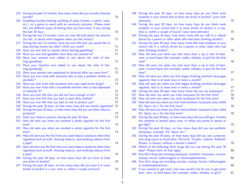| 124 | During the past 12 months, how many times did you actually attempt                                                                                                                                                            | 70 |
|-----|-------------------------------------------------------------------------------------------------------------------------------------------------------------------------------------------------------------------------------|----|
| 125 | Gambling involves betting anything of value (money, a watch, soda,<br>etc.) on a game or event with an uncertain outcome. Please mark<br>ALL the different types of betting that you have done, if any, during                | 70 |
| 126 | During the last 12 months, have you ever felt bad about the amount<br>you bet, or about what happens when you bet money?                                                                                                      | 71 |
| 127 | During the last 12 months, have you ever felt that you would like to                                                                                                                                                          | 71 |
| 128 | Have you ever lied to anyone about betting/gambling?                                                                                                                                                                          | 71 |
| 129 | Have you ever bet/gambled more than you wanted to?                                                                                                                                                                            | 71 |
| 130 | Have your parents ever talked to you about the risks of bet-                                                                                                                                                                  |    |
|     |                                                                                                                                                                                                                               | 71 |
| 131 | Have your teachers ever talked to you about the risks of bet-                                                                                                                                                                 |    |
|     |                                                                                                                                                                                                                               | 71 |
| 132 | Were your parents ever separated or divorced after you were born?                                                                                                                                                             | 72 |
| 133 | Have you ever lived with someone who is/was a problem drinker or                                                                                                                                                              |    |
|     |                                                                                                                                                                                                                               | 72 |
| 134 | Have you ever lived with someone who uses/used street drugs?                                                                                                                                                                  | 72 |
| 135 | Have you ever lived with a household member who is/was depressed                                                                                                                                                              |    |
|     |                                                                                                                                                                                                                               | 72 |
| 136 | Have you ever felt that you did not have enough to eat?                                                                                                                                                                       | 72 |
| 137 |                                                                                                                                                                                                                               | 72 |
| 138 | Have you ever felt that you had no one to protect you?                                                                                                                                                                        | 72 |
| 139 | During the past 30 days, on how many days did you smoke cigarettes?                                                                                                                                                           | 73 |
| 140 | During the past 30 days, on how many days did you use other tobacco                                                                                                                                                           | 73 |
| 141 | Used any tobacco product during the past 30 days [1] and such a set of the past 30 days [1] and such a set of the such any to set of the such any to set of the such any to set of the such any to set of the such any to set | 73 |
| 142 | How old were you when you smoked a whole cigarette for the first                                                                                                                                                              |    |
|     |                                                                                                                                                                                                                               | 73 |
| 143 | How old were you when you smoked a whole cigarette for the first                                                                                                                                                              |    |
|     |                                                                                                                                                                                                                               | 74 |
| 144 | How old were you the first time you used tobacco products other than                                                                                                                                                          |    |
|     | cigarettes such as snuff, chewing tobacco, and smoking tobacco from                                                                                                                                                           |    |
|     |                                                                                                                                                                                                                               | 74 |
| 145 | How old were you the first time you used tobacco products other than                                                                                                                                                          |    |
|     | cigarettes such as snuff, chewing tobacco, and smoking tobacco from                                                                                                                                                           |    |
|     |                                                                                                                                                                                                                               | 74 |
| 146 | During the past 30 days, on how many days did you have at least                                                                                                                                                               |    |
|     |                                                                                                                                                                                                                               | 74 |
| 147 | During the past 30 days, on how many days did you have 5 or more                                                                                                                                                              |    |
|     | drinks of alcohol in a row, that is, within a couple of hours?                                                                                                                                                                | 75 |

| 148        | During the past 30 days, on how many days do you think most<br>students in your school had at least one drink of alcohol? (your best<br>estimate) extension and the set of the set of the set of the set of the set of the set of the set of the set of the set of the set of the set of the set of the set of the set of the set of the set of the set of the set of | 75       |
|------------|-----------------------------------------------------------------------------------------------------------------------------------------------------------------------------------------------------------------------------------------------------------------------------------------------------------------------------------------------------------------------|----------|
| 149        | During the past 30 days, on how many days do you think most<br>students in your school had 5 or more drinks of alcohol in a row,<br>that is, within a couple of hours? (your best estimate)                                                                                                                                                                           | 75       |
| 150        | During the past 30 days, how many times did you ride in a vehicle<br>driven by a parent or other adult who had been drinking alcohol?                                                                                                                                                                                                                                 | 76       |
| 151        | During the past 30 days, how many times did most students in your<br>school ride in a vehicle driven by a parent or other adult who had                                                                                                                                                                                                                               | 76       |
| 152        | How old were you when you had more than a sip or two of beer,<br>wine, or hard liquor (for example, vodka, whiskey, or gin) for the first                                                                                                                                                                                                                             |          |
| 153        | $time?$<br>$\cdots$<br>$\mathcal{L}^{\mathcal{L}}$<br>How old were you when you had more than a sip or two of beer,<br>wine, or hard liquor (for example, vodka, whiskey, or gin) for the first                                                                                                                                                                       | 76       |
| 154        | time?<br>How old were you when you first began drinking alcoholic beverages                                                                                                                                                                                                                                                                                           | 77<br>77 |
| 155        | regularly, that is at least once or twice a month?<br>How old were you when you first began drinking alcoholic beverages<br>regularly, that is at least once or twice a month?<br>and a construction                                                                                                                                                                  | 77       |
| 156        | During the past 30 days, how many times did you use marijuana? .                                                                                                                                                                                                                                                                                                      | 77       |
|            |                                                                                                                                                                                                                                                                                                                                                                       |          |
| 157        | How old were you when you tried marijuana for the first time?                                                                                                                                                                                                                                                                                                         | 78       |
| 158<br>159 | How old were you when you tried marijuana for the first time?<br>How old were you when you first tried synthetic marijuana (also called                                                                                                                                                                                                                               | 78       |
|            | K2, Spice, etc.) for the first time?                                                                                                                                                                                                                                                                                                                                  | 78       |
| 160        | How old were you when you first tried synthetic marijuana (also called                                                                                                                                                                                                                                                                                                |          |
|            | K2, Spice, etc.) for the first time?                                                                                                                                                                                                                                                                                                                                  | 78       |
| 161        | During the past 30 days, on how many days did you sniff glue, breathe<br>the contents of aerosol spray cans, or inhale any paints or sprays to                                                                                                                                                                                                                        |          |
|            |                                                                                                                                                                                                                                                                                                                                                                       | 79       |
| 162        | During the past 30 days, on how many days did you use synthetic                                                                                                                                                                                                                                                                                                       | 79       |
| 163        | During the past 30 days, on how many days did you use a prescrip-                                                                                                                                                                                                                                                                                                     |          |
|            | tion drug (such as OxyContin, Percocet, Vicodin, codeine, Adderall,<br>Ritalin, or Xanax) without a doctor's orders?                                                                                                                                                                                                                                                  | 79       |
| 164        | Which of the following illicit drugs did you use during the past 30                                                                                                                                                                                                                                                                                                   |          |
|            |                                                                                                                                                                                                                                                                                                                                                                       | 80       |
| 165        | Any illicit drug use including marijuana, synthetic marijuana, cocaine,                                                                                                                                                                                                                                                                                               |          |
|            | ecstasy, heroin, hallucinogens or methamphetamines                                                                                                                                                                                                                                                                                                                    | 80       |
| 166        | Any illicit drug use including cocaine, ecstasy, heroin, hallucinogens                                                                                                                                                                                                                                                                                                | 80       |
| 167        | If you wanted to get some, how easy would it be for you to get some                                                                                                                                                                                                                                                                                                   |          |
|            | beer, wine, or hard liquor (for example, vodka, whiskey, or gin)?                                                                                                                                                                                                                                                                                                     | 81       |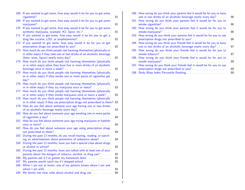| 168        | If you wanted to get some, how easy would it be for you to get some<br>cigarettes?                                                            | 81       |
|------------|-----------------------------------------------------------------------------------------------------------------------------------------------|----------|
| 169        | If you wanted to get some, how easy would it be for you to get some                                                                           | 81       |
| 170        | If you wanted to get some, how easy would it be for you to get some                                                                           | 81       |
| 171        | If you wanted to get some, how easy would it be for you to get a                                                                              | 82       |
| 172        | If you wanted to get some, how easy would it be for you to get<br>prescription drugs not prescribed to you?                                   | 82       |
| 173        | How much do you think people risk harming themselves (physically or<br>in other ways) if they take one or two drinks of an alcoholic beverage |          |
| 174        | How much do you think people risk harming themselves (physically<br>or in other ways) when they have five or more drinks of an alcoholic      | 82.      |
| 175        | beverage once or twice a week?<br>$\sim 100$ km s $^{-1}$<br>How much do you think people risk harming themselves (physically                 | 82.      |
|            | or in other ways) if they smoke one or more packs of cigarettes per<br>day?<br>.                                                              | 83       |
| 176        | How much do you think people risk harming themselves (physically<br>or in other ways) if they try marijuana once or twice?                    | 83       |
| 177        | How much do you think people risk harming themselves (physically<br>or in other ways) if they smoke marijuana once or twice a week?           | 83       |
| 178        | How much do you think people risk harming themselves (physically<br>or in other ways) if they use prescription drugs not prescribed to them?  | 83       |
| 179        | How do you feel about someone your age having one or two drinks<br>of an alcoholic beverage nearly every day?                                 | 83       |
| 180        | How do you feel about someone your age smoking one or more packs                                                                              | 84       |
| 181        | How do you feel about someone your age trying marijuana or hashish                                                                            | 84       |
| 182        | How do you feel about someone your age using prescription drugs                                                                               | 84       |
| 183        | During the past 12 months, do you recall hearing, reading, or watch-<br>ing an advertisement about prevention of substance abuse?             | 84       |
| 184        | During the past 12 months, have you had a special class about drugs<br>$\mathbf{r}$                                                           | 85       |
| 185        | During the past 12 months, have you talked with at least one of your<br>parents about the dangers of tobacco, alcohol, or drug use?           | 85       |
| 186<br>187 | My parents ask if I've gotten my homework done.<br>My parents would catch me if I skipped school.                                             | 85<br>85 |
| 188        | When I am not at home, one of my parents knows where I am and<br>whom I am with.                                                              |          |
| 189        | My family has clear rules about alcohol and drug use.                                                                                         | 85<br>86 |

| 190 How wrong do you think your parents feel it would be for you to have<br>one or two drinks of an alcoholic beverage nearly every day? | 86                                                                                                                                                                                                                                                                                                                                                                                       |
|------------------------------------------------------------------------------------------------------------------------------------------|------------------------------------------------------------------------------------------------------------------------------------------------------------------------------------------------------------------------------------------------------------------------------------------------------------------------------------------------------------------------------------------|
| How wrong do you think your parents feel it would be for you to<br>191                                                                   | 86                                                                                                                                                                                                                                                                                                                                                                                       |
| 192 How wrong do you think your parents feel it would be for you to                                                                      | 86                                                                                                                                                                                                                                                                                                                                                                                       |
| 193 How wrong do you think your parents feel it would be for you to use                                                                  | 86                                                                                                                                                                                                                                                                                                                                                                                       |
| How wrong do you think your friends feel it would be for you to have<br>194                                                              | 87                                                                                                                                                                                                                                                                                                                                                                                       |
| How wrong do you think your friends feel it would be for you to<br>195                                                                   | 87                                                                                                                                                                                                                                                                                                                                                                                       |
| 196 How wrong do you think your friends feel it would be for you to                                                                      | 88                                                                                                                                                                                                                                                                                                                                                                                       |
| How wrong do you think your friends feel it would be for you to use<br>197                                                               |                                                                                                                                                                                                                                                                                                                                                                                          |
| 198                                                                                                                                      | 88<br>88                                                                                                                                                                                                                                                                                                                                                                                 |
|                                                                                                                                          | prescription drugs not prescribed to you?<br>one or two drinks of an alcoholic beverage nearly every day?<br>smoke marijuana? Maria Alexandre and Maria Alexandre and Maria Alexandre and Maria Alexandre and Maria Alexandre and Maria Alexandre and Maria Alexandre and Maria Alexandre and Maria Alexandre and Maria Alexandre and Maria<br>prescription drugs not prescribed to you? |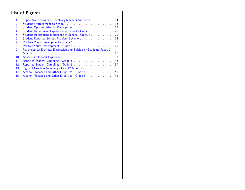## List of Figures

| 1              |                                                                                                                   | 14 |
|----------------|-------------------------------------------------------------------------------------------------------------------|----|
| $\overline{2}$ |                                                                                                                   | 16 |
| 3              |                                                                                                                   | 18 |
| 4              | Student Harassment Experience at School - Grade 6                                                                 | 21 |
| 5              | Student Harassment Experience at School - Grade 8                                                                 | 22 |
| 6              | Student Reported Serious Problem Behaviors [19] March 2014                                                        | 24 |
| 7              | Positive Youth Development - Grade 6 [11] Nositive Youth Development - Grade 6 [11] Nositive Wales Youth Pro      | 27 |
| 8              |                                                                                                                   | 28 |
| q              | Psychological Distress, Depression and Suicide by Students Past 12                                                |    |
|                |                                                                                                                   | 31 |
| 10             |                                                                                                                   | 33 |
| 11             | Reported Student Gambling - Grade 6 [11] Case of The Reported Student Gambling - Grade 6 [11] Case of Lines and D | 36 |
| 12             | Reported Student Gambling - Grade 8 [11] North American American American American American American              | 37 |
| 13             |                                                                                                                   | 38 |
| 14             | Alcohol, Tobacco and Other Drug Use - Grade 6 [11, 11, 11, 11]                                                    | 41 |
| 15             | Alcohol, Tobacco and Other Drug Use - Grade 8 [11] Alcohol, Tobacco and Other Drug Use - Grade 8                  | 42 |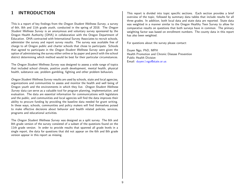## <span id="page-8-0"></span>1 INTRODUCTION

This is a report of key findings from the Oregon Student Wellness Survey, a survey of 6th, 8th and 11th grade youth, conducted in the spring of 2018. The Oregon Student Wellness Survey is an anonymous and voluntary survey sponsored by the Oregon Health Authority (OHA) in collaboration with the Oregon Department of Education. OHA contracted with International Survey Associates to recruit schools, administer the survey and report survey results. The survey was available free of charge to all Oregon public and charter schools that chose to participate. Schools that agreed to participate in the Oregon Student Wellness Survey were given the option of administering the survey either online or by paper and pencil with the school district determining which method would be best for their particular circumstances.

The Oregon Student Wellness Survey was designed to assess a wide range of topics that included school climate, positive youth development, mental health, physical health, substance use, problem gambling, fighting and other problem behaviors.

Oregon Student Wellness Survey results are used by schools, state and local agencies, organizations and communities to assess and monitor the health and well being of Oregon youth and the environments in which they live. Oregon Student Wellness Survey data can serve as a valuable tool for program planning, implementation, and evaluation. The data are essential information for communications with legislators and the public, and communities and local agencies will find the data improves their ability to procure funding by providing the baseline data needed for grant writing. In these ways, schools, communities and policy makers will find themselves poised to make effective decisions about behavior and health related policies, services, programs and educational activities.

The Oregon Student Wellness Survey was designed as a split survey. The 6th and 8th grade version of the survey consisted of a subset of the questions found on the 11th grade version. In order to provide results that spanned all grade levels in a single report, the data for questions that did not appear on the 6th and 8th grade version appear in this report as missing.

This report is divided into topic specific sections. Each section provides a brief overview of the topic, followed by summary data tables that include results for all three grades. In addition, both local data and state data are reported. State data was weighted in a manner similar to the Oregon Healthy Teen Survey to allow for comparative results on questions that both surveys have in common. The primary weighting factor was based on enrollment numbers. The county data in this report has also been weighted.

For questions about the survey please contact:

Duyen Ngo, PhD, MPH Health Promotion and Chronic Disease Prevention Public Health Division Email: [duyen.l.ngo@state.or.us](mailto:duyen.l.ngo@state.or.us)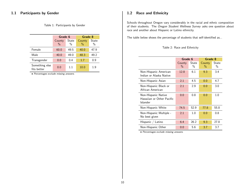#### <span id="page-9-0"></span>1.1 Participants by Gender

<span id="page-9-2"></span>Table 1: Participants by Gender

|                               | Grade 6                 |               | Grade 8                 |               |
|-------------------------------|-------------------------|---------------|-------------------------|---------------|
|                               | County<br>$\frac{0}{0}$ | State<br>$\%$ | County<br>$\frac{0}{0}$ | State<br>$\%$ |
| Female                        | 60.0                    | 49.5          | 40.0                    | 47.9          |
| Male                          | 40.0                    | 49.0          | 48.3                    | 49.2          |
| Transgender                   | 0.0                     | 0.4           | 1.7                     | 0.9           |
| Something else<br>fits better | 0.0                     | 11            | 10.0                    | 1.9           |

• Percentages exclude missing answers.

#### <span id="page-9-1"></span>1.2 Race and Ethnicity

Schools throughout Oregon vary considerably in the racial and ethnic composition of their students. The Oregon Student Wellness Survey asks one question about race and another about Hispanic or Latino ethnicity.

The table below shows the percentage of students that self-identified as...

#### <span id="page-9-3"></span>Table 2: Race and Ethnicity

|                                                              | Grade 6        |               | Grade 8        |               |
|--------------------------------------------------------------|----------------|---------------|----------------|---------------|
|                                                              | County<br>$\%$ | State<br>$\%$ | County<br>$\%$ | State<br>$\%$ |
| Non-Hispanic American<br>Indian or Alaska Native             | 12.8           | 6.1           | 9.3            | 3.4           |
| Non-Hispanic Asian                                           | 2.1            | 4.5           | 0.0            | 4.7           |
| Non-Hispanic Black or<br>African American                    | 2.1            | 2.9           | 0.0            | 3.0           |
| Non-Hispanic Native<br>Hawaiian or Other Pacific<br>Islander | 0.0            | 0.8           | 0.0            | 1.0           |
| Non-Hispanic White                                           | 74.5           | 52.9          | 77.8           | 55.8          |
| Non-Hispanic Multiple -<br>No best given                     | 2.1            | 1.0           | 0.0            | 0.8           |
| Hispanic / Latino                                            | 6.4            | 26.2          | 9.3            | 27.8          |
| Non-Hispanic Other                                           | 0.0            | 5.6           | 3.7            | 3.7           |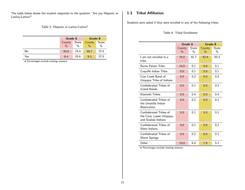The table below shows the student responses to the question "Are you Hispanic or Latino/Latina?"

<span id="page-10-1"></span>Table 3: Hispanic or Latino/Latina?

|     | Grade 6         |               | Grade 8       |               |
|-----|-----------------|---------------|---------------|---------------|
|     | State<br>County |               | County        | State         |
|     | $\frac{0}{0}$   | $\frac{0}{0}$ | $\frac{0}{0}$ | $\frac{0}{0}$ |
| No  | 93.6            | 74.4          | 90.7          | 72.5          |
| Yes | 6.4             | 25.6          | 9.3           | 27.5          |

• Percentages exclude missing answers.

## <span id="page-10-0"></span>1.3 Tribal Affiliation

Students were asked if they were enrolled in any of the following tribes.

|                                                                          | Grade 6        |                        | Grade 8        |                        |
|--------------------------------------------------------------------------|----------------|------------------------|----------------|------------------------|
|                                                                          | County<br>$\%$ | State<br>$\frac{0}{0}$ | County<br>$\%$ | State<br>$\frac{0}{0}$ |
| I am not enrolled in a<br>tribe                                          | 76.0           | 91.7                   | 82.4           | 93.3                   |
| <b>Burns Paiute Tribe</b>                                                | 14.0           | 0.1                    | 9.8            | 0.1                    |
| Coquille Indian Tribe                                                    | 0.0            | 0.1                    | 0.0            | 0.1                    |
| Cow Creek Band of<br>Umpqua Tribe of Indians                             | 0.0            | 0.2                    | 0.0            | 0.2                    |
| Confederated Tribes of<br>Grand Ronde                                    | 0.0            | 0.1                    | 0.0            | 0.2                    |
| Klamath Tribes                                                           | 0.0            | 0.4                    | 0.0            | 0.4                    |
| Confederated Tribes of<br>the Umatilla Indian<br>Reservation             | 0.0            | 0.2                    | 0.0            | 0.1                    |
| Confederated Tribes of<br>the Coos, Lower Umpqua,<br>and Siuslaw Indians | 0.0            | 0.1                    | 0.0            | 0.1                    |
| Confederated Tribes of<br>Siletz Indians                                 | 0.0            | 0.1                    | 0.0            | 0.2                    |
| Confederated Tribes of<br>Warm Springs                                   | 0.0            | 0.2                    | 0.0            | 0.1                    |
| Other                                                                    | 10.0           | 6.8                    | 7.8            | 5.2                    |

#### <span id="page-10-2"></span>Table 4: Tribal Enrollment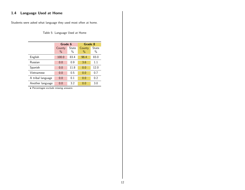## <span id="page-11-0"></span>1.4 Language Used at Home

Students were asked what language they used most often at home.

## <span id="page-11-1"></span>Table 5: Language Used at Home

|                   | Grade 6                 |               | Grade 8                 |               |  |
|-------------------|-------------------------|---------------|-------------------------|---------------|--|
|                   | County<br>$\frac{0}{0}$ | State<br>$\%$ | County<br>$\frac{0}{0}$ | State<br>$\%$ |  |
| English           | 100.0                   | 83.4          | 96.4                    | 83.0          |  |
| Russian           | 0.0                     | 0.9           | 3.6                     | 1.1           |  |
| Spanish           | 0.0                     | 11.8          | 0.0                     | 12.0          |  |
| Vietnamese        | 0.0                     | 0.5           | 0.0                     | 0.7           |  |
| A tribal language | 0.0                     | 0.1           | 0.0                     | 0.2           |  |
| Another language  | 0.0                     | 3.2           | 0.0                     | 3.0           |  |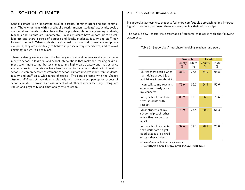## <span id="page-12-0"></span>2 SCHOOL CLIMATE

School climate is an important issue to parents, administrators and the community. The environment within a school directly impacts students' academic, social, emotional and mental states. Respectful, supportive relationships among students, teachers and parents are fundamental. When students have opportunities to collaborate and share a sense of purpose and ideals, students, faculty and staff look forward to school. When students are attached to school and to teachers and prosocial peers, they are more likely to behave in prosocial ways themselves, and to avoid engaging in high-risk behaviors.

There is strong evidence that the learning environment influences student attachment to school. Classroom and school interventions that make the learning environment safer, more caring, better managed and highly participatory and that enhance students' social competence have been shown to increase student attachment to school. A comprehensive assessment of school climate involves input from students, faculty and staff on a wide range of topics. The data collected with the Oregon Student Wellness Survey deals exclusively with the student perception aspect of school climate. It provides an assessment of whether students feel they belong, are valued and physically and emotionally safe at school.

#### <span id="page-12-1"></span>2.1 Supportive Atmosphere

In supportive atmospheres students feel more comfortable approaching and interacting with teachers and peers, thereby strengthening their relationships.

The table below reports the percentage of students that agree with the following statements.

<span id="page-12-2"></span>Table 6: Supportive Atmosphere involving teachers and peers

|                                                                                                    | Grade 6        |               | Grade 8        |               |
|----------------------------------------------------------------------------------------------------|----------------|---------------|----------------|---------------|
|                                                                                                    | County<br>$\%$ | State<br>$\%$ | County<br>$\%$ | State<br>$\%$ |
| My teachers notice when<br>I am doing a good job<br>and let me know about it.                      | 81.1           | 77.8          | 64.9           | 68.8          |
| I can talk to my teachers<br>openly and freely about<br>my concerns.                               | 75.9           | 66.6          | 54.4           | 56.6          |
| In my school, teachers<br>treat students with<br>respect.                                          | 85.2           | 88.0          | 66.7           | 78.6          |
| Most students at my<br>school help each other<br>when they are hurt or<br>upset.                   | 75.9           | 73.4          | 50.9           | 61.3          |
| In my school, students<br>that work hard to get<br>good grades are picked<br>on by other students. | 39.6           | 29.8          | 28.1           | 25.0          |

• Percentages exclude missing answers.

• Percentages include Strongly aqree and Somewhat agree.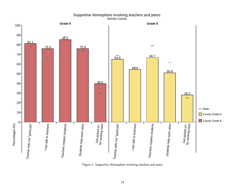<span id="page-13-0"></span>

#### Supportive Atmosphere involving teachers and peers Harney County

Figure 1: Supportive Atmosphere involving teachers and peers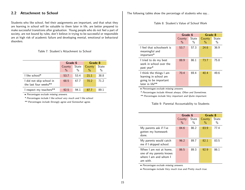#### <span id="page-14-0"></span>2.2 Attachment to School

Students who like school, feel their assignments are important, and that what they are learning in school will be valuable to them later in life, are better prepared to make successful transitions after graduation. Young people who do not feel a part of society, are not bound by rules, don't believe in trying to be successful or responsible are at high risk of academic failure and developing mental, emotional or behavioral disorders.

#### <span id="page-14-1"></span>Table 7: Student's Attachment to School

|                                                   |                         | Grade 6       |                         | Grade 8              |
|---------------------------------------------------|-------------------------|---------------|-------------------------|----------------------|
|                                                   | County<br>$\frac{0}{0}$ | State<br>$\%$ | County<br>$\frac{0}{2}$ | <b>State</b><br>$\%$ |
| I like school*                                    | 53.7                    | 53.4          | 21.1                    | 38.8                 |
| I did not skip school in<br>the last four weeks** | 68.5                    | 67.7          | 70.2                    | 71.2                 |
| I respect my teachers**                           | 92.5                    | 94 1          | 87.7                    | 89 1                 |

• Percentages exclude missing answers.

\* Percentages include I like school very much and I like school.

\*\* Percentages include Strongly agree and Somewhat agree.

The following tables show the percentage of students who say...

#### <span id="page-14-2"></span>Table 8: Student's Value of School Work

|                                                                                               | Grade 6        |               | Grade 8        |               |
|-----------------------------------------------------------------------------------------------|----------------|---------------|----------------|---------------|
|                                                                                               | County<br>$\%$ | State<br>$\%$ | County<br>$\%$ | State<br>$\%$ |
| I feel that schoolwork is<br>meaningful and<br>important*                                     | 53.7           | 57.3          | 24.6           | 36.9          |
| I tried to do my best<br>work in school over the<br>past year*                                | 88.9           | 86.1          | 73.7           | 75.8          |
| I think the things I am<br>learning in school are<br>going to be important<br>later in life** | 70.4           | 69.4          | 40.4           | 49.6          |

• Percentages exclude missing answers.

\* Percentages include Almost always, Often and Sometimes.

\*\* Percentages include Very important and Quite important.

#### <span id="page-14-3"></span>Table 9: Parental Accountability to Students

|                                                                                        | Grade 6                 |               | Grade 8     |            |
|----------------------------------------------------------------------------------------|-------------------------|---------------|-------------|------------|
|                                                                                        | County<br>$\frac{0}{0}$ | State<br>$\%$ | County<br>% | State<br>% |
| My parents ask if I've<br>gotten my homework<br>done.                                  | 84.6                    | 86.2          | 83.9        | 77.4       |
| My parents would catch<br>me if I skipped school.                                      | 96.2                    | 89.7          | 82.1        | 83.5       |
| When I am not at home.<br>one of my parents knows<br>where I am and whom I<br>am with. | 86.5                    | 89.3          | 92.9        | 86.1       |

• Percentages exclude missing answers.

• Percentages include Very much true and Pretty much true.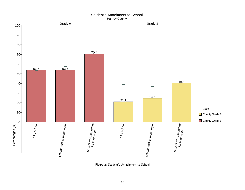#### Student's Attachment to School Harney County

<span id="page-15-0"></span>

Figure 2: Student's Attachment to School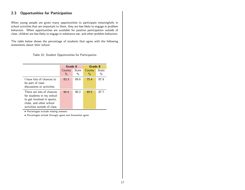#### <span id="page-16-0"></span>2.3 Opportunities for Participation

When young people are given many opportunities to participate meaningfully in school activities that are important to them, they are less likely to engage in problem behaviors. When opportunities are available for positive participation outside of class, children are less likely to engage in substance use, and other problem behaviors.

The table below shows the percentage of students that agree with the following statements about their school.

<span id="page-16-1"></span>Table 10: Student Opportunities for Participation

|                                                                                                                                                 | Grade 6                 |            | Grade 8        |            |
|-------------------------------------------------------------------------------------------------------------------------------------------------|-------------------------|------------|----------------|------------|
|                                                                                                                                                 | County<br>$\frac{0}{0}$ | State<br>% | County<br>$\%$ | State<br>% |
| I have lots of chances to<br>be part of class<br>discussions or activities.                                                                     | 83.3                    | 89.6       | 75.4           | 87.9       |
| There are lots of chances<br>for students in my school<br>to get involved in sports,<br>clubs, and other school<br>activities outside of class. | 94.4                    | 90.2       | 89.5           | 87.7       |

• Percentages exclude missing answers.

• Percentages include Strongly agree and Somewhat agree.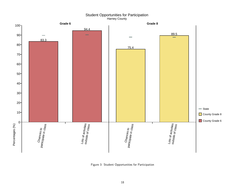Student Opportunities for Participation Harney County

<span id="page-17-0"></span>

Figure 3: Student Opportunities for Participation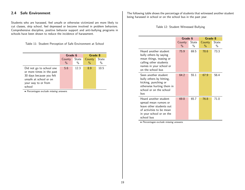#### <span id="page-18-0"></span>2.4 Safe Environment

Students who are harassed, feel unsafe or otherwise victimized are more likely to cut classes, skip school, feel depressed or become involved in problem behaviors. Comprehensive discipline, positive behavior support and anti-bullying programs in schools have been shown to reduce the incidence of harassment.

<span id="page-18-1"></span>Table 11: Student Perception of Safe Environment at School

|                                                                                                                                              |                         | Grade 6                |                         | Grade 8    |
|----------------------------------------------------------------------------------------------------------------------------------------------|-------------------------|------------------------|-------------------------|------------|
|                                                                                                                                              | County<br>$\frac{0}{0}$ | State<br>$\frac{0}{0}$ | County<br>$\frac{0}{0}$ | State<br>% |
| Did not go to school one<br>or more times in the past<br>30 days because you felt<br>unsafe at school or on<br>your way to or from<br>school | 5.6                     | 12.3                   | 8.9                     | 10.5       |

• Percentages exclude missing answers.

The following table shows the percentage of students that witnessed another student being harassed in school or on the school bus in the past year.

<span id="page-18-2"></span>Table 12: Student Witnessed Bullying

|                                                                                                                                                      | Grade 6        |               | Grade 8        |                        |
|------------------------------------------------------------------------------------------------------------------------------------------------------|----------------|---------------|----------------|------------------------|
|                                                                                                                                                      | County<br>$\%$ | State<br>$\%$ | County<br>$\%$ | State<br>$\frac{0}{0}$ |
| Heard another student<br>bully others by saying<br>mean things, teasing or<br>calling other students<br>names in your school or<br>on the school bus | 75.9           | 69.5          | 78.6           | 73.3                   |
| Seen another student<br>bully others by hitting,<br>kicking, punching or<br>otherwise hurting them in<br>school or on the school<br>bus              | 64.2           | 55.1          | 67.9           | 56.4                   |
| Heard another student<br>spread mean rumors or<br>leave other students out<br>of activities to be mean<br>in your school or on the<br>school bus     | 69.8           | 65.7          | 76.8           | 71.0                   |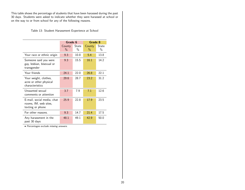This table shows the percentage of students that have been harassed during the past 30 days. Students were asked to indicate whether they were harassed at school or on the way to or from school for any of the following reasons.

<span id="page-19-0"></span>Table 13: Student Harassment Experience at School

|                                                                         | Grade 6        |               | Grade 8                 |               |  |
|-------------------------------------------------------------------------|----------------|---------------|-------------------------|---------------|--|
|                                                                         | County<br>$\%$ | State<br>$\%$ | County<br>$\frac{0}{0}$ | State<br>$\%$ |  |
| Your race or ethnic origin                                              | 9.3            | 10.8          | 5.4                     | 13.8          |  |
| Someone said you were<br>gay, lesbian, bisexual or<br>transgender       | 9.3            | 15.5          | 16.1                    | 14.2          |  |
| Your friends                                                            | 24.1           | 22.0          | 26.8                    | 22.1          |  |
| Your weight, clothes,<br>acne or other physical<br>characteristics      | 29.6           | 28.7          | 23.2                    | 31.2          |  |
| Unwanted sexual<br>comments or attention                                | 3.7            | 7.9           | 7.1                     | 12.6          |  |
| E-mail, social media, chat<br>rooms, IM, web sites,<br>texting or phone | 25.9           | 22.8          | 17.9                    | 23.5          |  |
| For other reasons.                                                      | 9.3            | 14.7          | 21.4                    | 17.5          |  |
| Any harassment in the<br>past 30 days                                   | 48.1           | 49.1          | 42.9                    | 50.0          |  |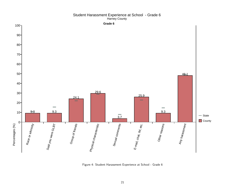<span id="page-20-0"></span>

#### Student Harassment Experience at School - Grade 6 Harney County

Figure 4: Student Harassment Experience at School - Grade 6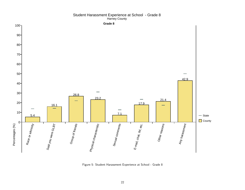<span id="page-21-0"></span>

#### Student Harassment Experience at School - Grade 8 Harney County

Figure 5: Student Harassment Experience at School - Grade 8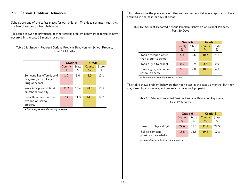#### <span id="page-22-0"></span>2.5 Serious Problem Behaviors

Schools are one of the safest places for our children. This does not mean that they are free of serious problem behaviors.

This table shows the prevalence of other serious problem behaviors reported to have occurred in the past 12 months at school.

<span id="page-22-1"></span>Table 14: Student Reported Serious Problem Behaviors on School Property Past 12 Months

|                                                                        | Grade 6                 |               | Grade 8                 |               |
|------------------------------------------------------------------------|-------------------------|---------------|-------------------------|---------------|
|                                                                        | County<br>$\frac{0}{0}$ | State<br>$\%$ | County<br>$\frac{0}{0}$ | State<br>$\%$ |
| Someone has offered, sold<br>or given you an illegal<br>drug at school | 1.9                     | 3.0           | 8.9                     | 10.1          |
| Were in a physical fight<br>on school property                         | 22.2                    | 16.4          | 28.6                    | 13.5          |
| Been threatened with a<br>weapon on school<br>property                 | 7.4                     | 11.3          | 14.3                    | 12.2          |

• Percentages exclude missing answers.

This table shows the prevalence of other serious problem behaviors reported to have occurred in the past 30 days at school.

<span id="page-22-2"></span>Table 15: Student Reported Serious Problem Behaviors on School Property Past 30 Days

|                                             | Grade 6         |      | Grade 8 |               |
|---------------------------------------------|-----------------|------|---------|---------------|
|                                             | State<br>County |      | County  | State         |
|                                             | $\%$            | $\%$ | $\%$    | $\frac{0}{0}$ |
| Took a weapon other<br>than a gun to school | 5.6             | 2.6  | 10.7    | 4.2           |
| Took a gun to school                        | 0.0             | 0.9  | 3.6     | 0.9           |
| Have a gun/weapon on<br>school property     | 5.6             | 2.8  | 10.7    | 4.3           |

• Percentages exclude missing answers.

This table shows problem behaviors that took place in the past 12 months, but they may take place anywhere, not necessarily on school property.

#### <span id="page-22-3"></span>Table 16: Student Reported Serious Problem Behaviors Anywhere Past 12 Months

|                                                  | Grade 6                 |                        | Grade 8                 |               |  |
|--------------------------------------------------|-------------------------|------------------------|-------------------------|---------------|--|
|                                                  | County<br>$\frac{0}{0}$ | State<br>$\frac{0}{0}$ | County<br>$\frac{0}{0}$ | State<br>$\%$ |  |
| Been in a physical fight                         | 29.6                    | 28.3                   | 41.1                    | 24.5          |  |
| <b>Bullied</b> someone<br>physically or verbally | 18.5                    | 15.8                   | 19.6                    | 17.8          |  |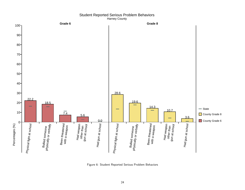<span id="page-23-0"></span>

#### Student Reported Serious Problem Behaviors Harney County

Figure 6: Student Reported Serious Problem Behaviors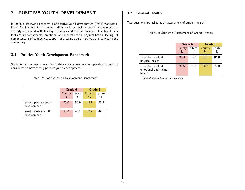## <span id="page-24-0"></span>3 POSITIVE YOUTH DEVELOPMENT

In 2006, a statewide benchmark of positive youth development (PYD) was established for 8th and 11th graders. High levels of positive youth development are strongly associated with healthy behaviors and student success. The benchmark looks at six components: emotional and mental health, physical health, feelings of competence, self-confidence, support of a caring adult in school, and service to the community.

#### <span id="page-24-1"></span>3.1 Positive Youth Development Benchmark

Students that answer at least five of the six PYD questions in a positive manner are considered to have strong positive youth development.

<span id="page-24-3"></span>Table 17: Positive Youth Development Benchmark

|                                      | Grade 6                 |               | Grade 8        |               |  |
|--------------------------------------|-------------------------|---------------|----------------|---------------|--|
|                                      | County<br>$\frac{0}{0}$ | State<br>$\%$ | County<br>$\%$ | State<br>$\%$ |  |
| Strong positive youth<br>development | 75.0                    | 59.9          | 49.1           | 50.9          |  |
| Weak positive youth<br>development   | 25.0                    | 40.1          | 50.9           | 49.1          |  |

#### <span id="page-24-2"></span>3.2 General Health

Two questions are asked as an assessment of student health.

<span id="page-24-4"></span>Table 18: Student's Assessment of General Health

|                                                     | Grade 6         |      | Grade 8 |       |  |
|-----------------------------------------------------|-----------------|------|---------|-------|--|
|                                                     | State<br>County |      | County  | State |  |
|                                                     | $\frac{0}{0}$   | $\%$ | $\%$    | $\%$  |  |
| Good to excellent<br>physical health                | 92.3            | 89.6 | 94.6    | 84.8  |  |
| Good to excellent<br>emotional and mental<br>health | 92.5            | 85.4 | 80.7    | 75.0  |  |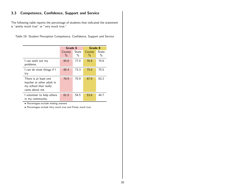## <span id="page-25-0"></span>3.3 Competence, Confidence, Support and Service

The following table reports the percentage of students that indicated the statement is "pretty much true" or "very much true."

|  |  |  |  | Table 19: Student Perception Competence, Confidence, Support and Service |  |  |  |  |
|--|--|--|--|--------------------------------------------------------------------------|--|--|--|--|
|--|--|--|--|--------------------------------------------------------------------------|--|--|--|--|

<span id="page-25-1"></span>

|                                                                                                | Grade 6        |               | Grade 8                 |               |  |
|------------------------------------------------------------------------------------------------|----------------|---------------|-------------------------|---------------|--|
|                                                                                                | County<br>$\%$ | State<br>$\%$ | County<br>$\frac{0}{0}$ | State<br>$\%$ |  |
| I can work out my<br>problems.                                                                 | 84.6           | 77.0          | 76.8                    | 74.6          |  |
| I can do most things if I<br>try.                                                              | 80.4           | 73.3          | 75.0                    | 75.5          |  |
| There is at least one<br>teacher or other adult in<br>my school that really<br>cares about me. | 76.9           | 70.9          | 67.9                    | 63.2          |  |
| I volunteer to help others<br>in my community.                                                 | 61.5           | 54.5          | 53.6                    | 447           |  |

• Percentages exclude missing answers.

• Percentages include Very much true and Pretty much true.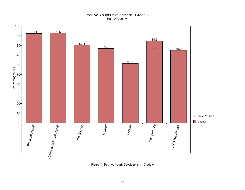#### Positive Youth Development - Grade 6 Harney County

<span id="page-26-0"></span>

Figure 7: Positive Youth Development - Grade 6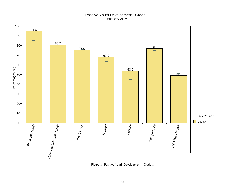#### Positive Youth Development - Grade 8 Harney County

<span id="page-27-0"></span>

Figure 8: Positive Youth Development - Grade 8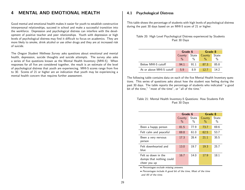## <span id="page-28-0"></span>4 MENTAL AND EMOTIONAL HEALTH

Good mental and emotional health makes it easier for youth to establish constructive interpersonal relationships, succeed in school and make a successful transition into the workforce. Depression and psychological distress can interfere with the development of positive teacher and peer relationships. Youth with depression or high levels of psychological distress may find it difficult to focus on academics. They are more likely to smoke, drink alcohol or use other drugs and they are at increased risk of suicide.

The Oregon Student Wellness Survey asks questions about emotional and mental health, depression, suicide thoughts and suicide attempts. The survey also asks a series of five questions known as the Mental Health Inventory (MHI-5). When responses for all five are considered together, the result is an estimate of the level of psychological distress that youth are experiencing. MHI-5 scores range from five to 30. Scores of 21 or higher are an indication that youth may be experiencing a mental health concern that requires further assessment.

#### <span id="page-28-1"></span>4.1 Psychological Distress

This table shows the percentage of students with high levels of psychological distress during the past 30 days based on an MHI-5 score of 21 or higher.

<span id="page-28-2"></span>

|  | Table 20: High Level Psychological Distress experienced by Students |  |  |
|--|---------------------------------------------------------------------|--|--|
|  | Past 30 Days                                                        |  |  |

|                          | Grade 6         |      | Grade 8       |       |
|--------------------------|-----------------|------|---------------|-------|
|                          | State<br>County |      | County        | State |
|                          | $\%$            | %    | $\frac{0}{0}$ | $\%$  |
| Below MHI-5 cutoff       | 94.1            | 91.1 | 87.3          | 85.8  |
| At or above MHI-5 cutoff | 5.9             | 8 Q  | 12.7          | 14 2  |

The following table contains data on each of the five Mental Health Inventory questions. This series of questions asks about how the student was feeling during the past 30 days. The table reports the percentage of students who indicated "a good bit of the time," "most of the time", or "all of the time."

#### <span id="page-28-3"></span>Table 21: Mental Health Inventory-5 Questions: How Students Felt Past 30 Days

|                                                                 | Grade 6                 |                        | Grade 8        |                        |
|-----------------------------------------------------------------|-------------------------|------------------------|----------------|------------------------|
|                                                                 | County<br>$\frac{0}{0}$ | State<br>$\frac{0}{0}$ | County<br>$\%$ | State<br>$\frac{0}{0}$ |
| Been a happy person                                             | 81.5                    | 77.9                   | 73.7           | 69.6                   |
| Felt calm and peaceful                                          | 69.8                    | 61.0                   | 62.5           | 53.7                   |
| Been a very nervous<br>person                                   | 17.3                    | 28.4                   | 21.1           | 35.5                   |
| Felt downhearted and<br>blue                                    | 13.0                    | 19.7                   | 19.3           | 25.7                   |
| Felt so down in the<br>dumps that nothing could<br>cheer you up | 16.7                    | 14.0                   | 17.9           | 18.1                   |

• Percentages exclude missing answers.

• Percentages include A good bit of the time, Most of the time and All of the time.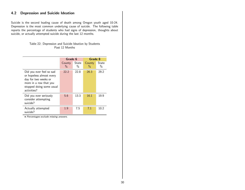#### <span id="page-29-0"></span>4.2 Depression and Suicide Ideation

Suicide is the second leading cause of death among Oregon youth aged 10-24. Depression is the most common underlying cause of suicide. The following table reports the percentage of students who had signs of depression, thoughts about suicide, or actually attempted suicide during the last 12 months.

#### <span id="page-29-1"></span>Table 22: Depression and Suicide Ideation by Students Past 12 Months

|                                                                                                                                                   | Grade 6        |               | Grade 8        |               |  |
|---------------------------------------------------------------------------------------------------------------------------------------------------|----------------|---------------|----------------|---------------|--|
|                                                                                                                                                   | County<br>$\%$ | State<br>$\%$ | County<br>$\%$ | State<br>$\%$ |  |
| Did you ever feel so sad<br>or hopeless almost every<br>day for two weeks or<br>more in a row that you<br>stopped doing some usual<br>activities? | 22.2           | 22.8          | 26.3           | 29.2          |  |
| Did you ever seriously<br>consider attempting<br>suicide?                                                                                         | 5.6            | 13.3          | 16.1           | 19.9          |  |
| Actually attempted<br>suicide?                                                                                                                    | 1.9            | 7.5           | 7.1            | 10.2          |  |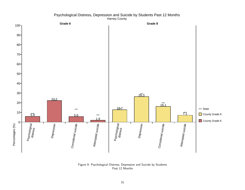#### Psychological Distress, Depression and Suicide by Students Past 12 Months Harney County

<span id="page-30-0"></span>

Figure 9: Psychological Distress, Depression and Suicide by Students Past 12 Months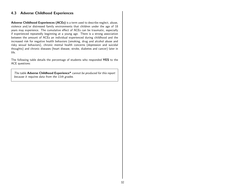#### <span id="page-31-0"></span>4.3 Adverse Childhood Experiences

Adverse Childhood Experiences (ACEs) is a term used to describe neglect, abuse, violence and/or distressed family environments that children under the age of 18 years may experience. The cumulative effect of ACEs can be traumatic, especially if experienced repeatedly beginning at a young age. There is a strong association between the amount of ACEs an individual experienced during childhood and the increased risk for negative health behaviors (smoking, drug and alcohol abuse and risky sexual behaviors), chronic mental health concerns (depression and suicidal thoughts) and chronic diseases (heart disease, stroke, diabetes and cancer) later in life.

The following table details the percentage of students who responded YES to the ACE questions:

The table Adverse Childhood Experience\* cannot be produced for this report because it requires data from the 11th grades.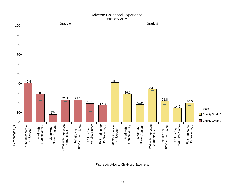#### Adverse Childhood Experience Harney County

<span id="page-32-0"></span>

Figure 10: Adverse Childhood Experience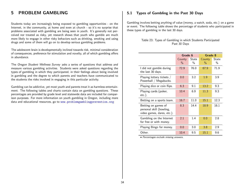## <span id="page-33-0"></span>5 PROBLEM GAMBLING

Students today are increasingly being exposed to gambling opportunities - on the Internet, in the community, at home and even at church - so it's no surprise that problems associated with gambling are being seen in youth. It's generally not perceived nor treated as risky, yet research shows that youth who gamble are much more likely to engage in other risky behaviors such as drinking, smoking and using drugs and some of them will go on to develop serious gambling problems.

The adolescent brain is developmentally inclined towards risk, minimal consideration of consequences, preference for stimulation and novelty, all of which gambling offers in abundance.

The Oregon Student Wellness Survey asks a series of questions that address and measure various gambling activities. Students were asked questions regarding the types of gambling in which they participated, in their feelings about being involved in gambling and the degree to which parents and teachers have communicated to the students the risks involved in engaging in this particular activity.

Gambling can be addictive, yet most youth and parents treat it as harmless entertainment. The following tables and charts contain data on gambling questions. These percentages are provided by grade level and statewide data are included for comparison purposes. For more information on youth gambling in Oregon, including more data and educational resources, go to <www.problemgamblingprevention.org>

#### <span id="page-33-1"></span>5.1 Types of Gambling in the Past 30 Days

Gambling involves betting anything of value (money, a watch, soda, etc.) on a game or event. The following table shows the percentage of students who participated in these types of gambling in the last 30 days.

<span id="page-33-2"></span>

|  |              | Table 23: Types of Gambling in which Students Participated |
|--|--------------|------------------------------------------------------------|
|  | Past 30 Days |                                                            |

|                                                                               | Grade 6        |                        | Grade 8        |               |
|-------------------------------------------------------------------------------|----------------|------------------------|----------------|---------------|
|                                                                               | County<br>$\%$ | State<br>$\frac{0}{0}$ | County<br>$\%$ | State<br>$\%$ |
| I did not gamble during<br>the last 30 days.                                  | 72.9           | 76.0                   | 67.9           | 71.9          |
| Playing lottery tickets /<br>Powerball / Megabucks.                           | 0.0            | 3.2                    | 1.9            | 3.9           |
| Playing dice or coin flips.                                                   | 6.3            | 9.1                    | 13.2           | 9.3           |
| Playing cards (poker,<br>$etc.$ ).                                            | 10.4           | 6.9                    | 11.3           | 9.3           |
| Betting on a sports team.                                                     | 16.7           | 11.0                   | 15.1           | 12.3          |
| Betting on games of<br>personal skill (bowling,<br>video games, dares, etc.). | 8.3            | 14.4                   | 18.9           | 16.1          |
| Gambling on the Internet<br>for free or with money.                           | 2.1            | 1.4                    | 0.0            | 2.8           |
| Playing Bingo for money.                                                      | 0.0            | 3.0                    | 3.8            | 2.9           |
| Other.                                                                        | 10.4           | 9.5                    | 15.1           | 9.6           |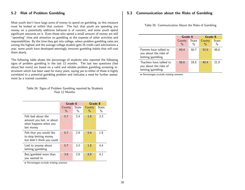#### <span id="page-34-0"></span>5.2 Risk of Problem Gambling

Most youth don't have large sums of money to spend on gambling, so this measure must be looked at within that context. The fact that youth are spending any money on a potentially addictive behavior is of concern, and some youth spend significant amounts on it. Even those who spend a small amount of money are still "spending" time and attention on gambling at the expense of other activities and responsibilities. By the time they get into college, where problem gambling rates are among the highest and the average college student gets 25 credit card solicitations a year, some youth have developed seemingly innocent gambling habits that will cost them dearly.

The following table shows the percentage of students who reported the following signs of problem gambling in the last 12 months. The last two questions (lied about/bet more) are based on a valid and reliable problem gambling screening instrument which has been used for many years; saying yes to either of these is highly correlated to a potential gambling problem and indicates a need for further assessment by a trained counselor.

#### <span id="page-34-2"></span>Table 24: Signs of Problem Gambling reported by Students Past 12 Months

|                                                                                      | Grade 6        |               | Grade 8        |               |
|--------------------------------------------------------------------------------------|----------------|---------------|----------------|---------------|
|                                                                                      | County<br>$\%$ | State<br>$\%$ | County<br>$\%$ | State<br>$\%$ |
| Felt bad about the<br>amount you bet, or about<br>what happens when you<br>bet money | 5.7            | 2.4           | 1.8            | 2.3           |
| Felt that you would like<br>to stop betting money<br>but didn't think you could      | 5.7            | 2.9           | 5.4            | 1.8           |
| Lied to anyone about<br>betting/gambling                                             | 5.7            | 3.3           | 1.8            | 4.4           |
| $\text{ Bet/gambled more than}$<br>you wanted to                                     | 3.8            | 2.9           | 8.8            | 4.1           |

• Percentages exclude missing answers.

#### <span id="page-34-1"></span>5.3 Communication about the Risks of Gambling

<span id="page-34-3"></span>

|  | Table 25: Communication About the Risks of Gambling |  |  |  |
|--|-----------------------------------------------------|--|--|--|
|--|-----------------------------------------------------|--|--|--|

|                                                                       | Grade 6        |                        | Grade 8     |               |
|-----------------------------------------------------------------------|----------------|------------------------|-------------|---------------|
|                                                                       | County<br>$\%$ | State<br>$\frac{0}{0}$ | County<br>% | State<br>$\%$ |
| Parents have talked to<br>you about the risks of<br>betting/gambling  | 60.4           | 50.7                   | 52.6        | 48.6          |
| Teachers have talked to<br>you about the risks of<br>betting/gambling | 56.6           | 18.5                   | 40.4        | 21.9          |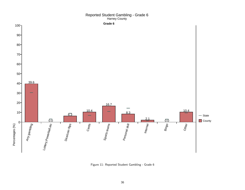#### Reported Student Gambling - Grade 6 Harney County

<span id="page-35-0"></span>

Figure 11: Reported Student Gambling - Grade 6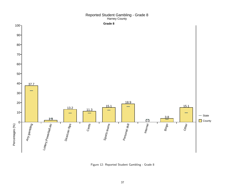#### Reported Student Gambling - Grade 8 Harney County



Figure 12: Reported Student Gambling - Grade 8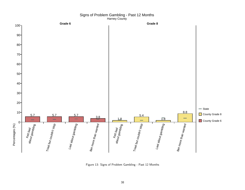

#### Signs of Problem Gambling - Past 12 Months Harney County

Figure 13: Signs of Problem Gambling - Past 12 Months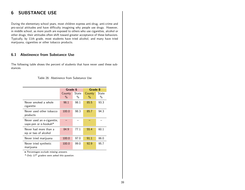# 6 SUBSTANCE USE

During the elementary school years, most children express anti-drug, anti-crime and pro-social attitudes and have difficulty imagining why people use drugs. However, in middle school, as more youth are exposed to others who use cigarettes, alcohol or other drugs, their attitudes often shift toward greater acceptance of these behaviors. Typically, by 11th grade, most students have tried alcohol, and many have tried marijuana, cigarettes or other tobacco products.

## 6.1 Abstinence from Substance Use

The following table shows the percent of students that have never used these substances.

Table 26: Abstinence from Substance Use

|                                                     | Grade 6        |                        | Grade 8                 |                        |
|-----------------------------------------------------|----------------|------------------------|-------------------------|------------------------|
|                                                     | County<br>$\%$ | State<br>$\frac{0}{0}$ | County<br>$\frac{0}{2}$ | State<br>$\frac{0}{0}$ |
| Never smoked a whole<br>cigarette                   | 98.1           | 98.1                   | 85.5                    | 93.3                   |
| Never used other tobacco<br>products                | 100.0          | 98.3                   | 85.7                    | 94.3                   |
| Never used an e-cigarette,<br>vape-pen or e-hookah* |                |                        |                         |                        |
| Never had more than a<br>sip or two of alcohol      | 84.9           | 77.1                   | 55.4                    | 60.1                   |
| Never tried marijuana                               | 100.0          | 97.0                   | 91.1                    | 86.0                   |
| Never tried synthetic<br>marijuana                  | 100.0          | 99.0                   | 92.9                    | 95.7                   |

• Percentages exclude missing answers.

 $*$  Only 11<sup>th</sup> graders were asked this question.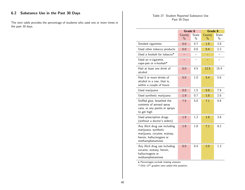# 6.2 Substance Use in the Past 30 Days

The next table provides the percentage of students who used one or more times in the past 30 days.

### Table 27: Student Reported Substance Use Past 30 Days

|                                                                                                                                        | Grade 6                 |               | Grade 8                 |                      |
|----------------------------------------------------------------------------------------------------------------------------------------|-------------------------|---------------|-------------------------|----------------------|
|                                                                                                                                        | County<br>$\frac{0}{0}$ | State<br>$\%$ | County<br>$\frac{0}{0}$ | <b>State</b><br>$\%$ |
| Smoked cigarettes                                                                                                                      | 0.0                     | 0.7           | 1.9                     | 2.8                  |
| Used other tobacco products                                                                                                            | 0.0                     | 0.6           | 5.4                     | 2.2                  |
| Used a hookah for tobacco*                                                                                                             |                         |               |                         |                      |
| Used an e-cigarette,<br>vape-pen or e-hookah*                                                                                          |                         |               |                         |                      |
| Had at least one drink of<br>alcohol                                                                                                   | 0.0                     | 4.5           | 12.5                    | 15.4                 |
| Had 5 or more drinks of<br>alcohol in a row, that is,<br>within a couple of hours                                                      | 0.0                     | 1.0           | 5.4                     | 5.6                  |
| Used marijuana                                                                                                                         | 0.0                     | 1.5           | 5.9                     | 7.9                  |
| Used synthetic marijuana                                                                                                               | 1.9                     | 0.7           | 1.8                     | 2.8                  |
| Sniffed glue, breathed the<br>contents of aerosol spray<br>cans, or any paints or sprays<br>to get high                                | 7.5                     | 5.0           | 7.1                     | 4.8                  |
| Used prescription drugs<br>(without a doctor's orders)                                                                                 | 1.9                     | 1.2           | 1.8                     | 3.8                  |
| Any illicit drug use including<br>marijuana, synthetic<br>marijuana, cocaine, ecstasy,<br>heroin, hallucinogens or<br>methamphetamines | 1.9                     | 1.8           | 7.1                     | 8.2                  |
| Any illicit drug use including<br>cocaine, ecstasy, heroin,<br>hallucinogens or<br>methamphetamines                                    | 0.0                     | 0.4           | 2.0                     | 1.3                  |

• Percentages exclude missing answers.

 $*$  Only 11<sup>th</sup> graders were asked this question.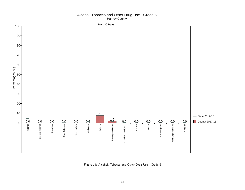#### Alcohol, Tobacco and Other Drug Use - Grade 6 Harney County



Figure 14: Alcohol, Tobacco and Other Drug Use - Grade 6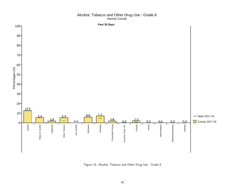#### Alcohol, Tobacco and Other Drug Use - Grade 8 Harney County



Figure 15: Alcohol, Tobacco and Other Drug Use - Grade 8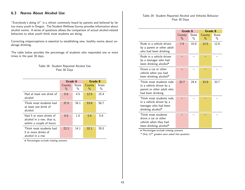# 6.3 Norms About Alcohol Use

"Everybody's doing it!" is a refrain commonly heard by parents and believed by far too many youth in Oregon. The Student Wellness Survey provides information about alcohol norms. A series of questions allows the comparison of actual alcohol-related behaviors to what youth think most students are doing.

Correcting misperceptions is essential to establishing new, healthy norms about underage drinking.

The table below provides the percentage of students who responded one or more times in the past 30 days.

#### Table 28: Student Reported Alcohol Use Past 30 Days

|                                                                                   | Grade 6        |               | Grade 8        |                        |
|-----------------------------------------------------------------------------------|----------------|---------------|----------------|------------------------|
|                                                                                   | County<br>$\%$ | State<br>$\%$ | County<br>$\%$ | State<br>$\frac{0}{0}$ |
| Had at least one drink of<br>alcohol                                              | 0.0            | 4.5           | 12.5           | 15.4                   |
| Think most students had<br>at least one drink of<br>alcohol                       | 37.0           | 34.1          | 53.6           | 56.7                   |
| Had 5 or more drinks of<br>alcohol in a row, that is,<br>within a couple of hours | 0.0            | 1.0           | 5.4            | 5.6                    |
| Think most students had<br>5 or more drinks of<br>alcohol in a row                | 22.2           | 14.1          | 32.1           | 35.0                   |

• Percentages exclude missing answers.

#### Table 29: Student Reported Alcohol and Vehicles Behavior Past 30 Days

|                                                                                                        | Grade 6        |                        | Grade 8                 |               |
|--------------------------------------------------------------------------------------------------------|----------------|------------------------|-------------------------|---------------|
|                                                                                                        | County<br>$\%$ | State<br>$\frac{0}{0}$ | County<br>$\frac{0}{0}$ | State<br>$\%$ |
| Rode in a vehicle driven<br>by a parent or other adult<br>who had been drinking                        | 7.4            | 10.8                   | 12.5                    | 12.8          |
| Rode in a vehicle driven<br>by a teenager who had<br>been drinking alcohol*                            |                |                        |                         |               |
| Drove a car or other<br>vehicle when you had<br>been drinking alcohol*                                 |                |                        |                         |               |
| Think most students rode<br>in a vehicle driven by a<br>parent or other adult who<br>had been drinking | 32.7           | 24.4                   | 33.9                    | 33.7          |
| Think most students rode<br>in a vehicle driven by a<br>teenager who had been<br>drinking alcohol*     |                |                        |                         |               |
| Think most students<br>drove a car or other<br>vehicle when they had<br>been drinking alcohol*         |                |                        |                         |               |

• Percentages exclude missing answers.

\* Only 11th graders were asked this question.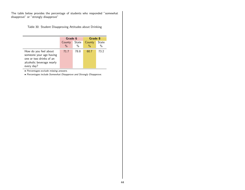The table below provides the percentage of students who responded "somewhat disapprove" or "strongly disapprove"

Table 30: Student Disapproving Attitudes about Drinking

|                                                                                                                        |                         | Grade 6                |                         | Grade 8    |  |  |
|------------------------------------------------------------------------------------------------------------------------|-------------------------|------------------------|-------------------------|------------|--|--|
|                                                                                                                        | County<br>$\frac{0}{0}$ | State<br>$\frac{0}{0}$ | County<br>$\frac{0}{0}$ | State<br>% |  |  |
| How do you feel about<br>someone your age having<br>one or two drinks of an<br>alcoholic beverage nearly<br>every day? | 71.7                    | 78.8                   | 60.7                    | 73.2       |  |  |

• Percentages exclude missing answers.

• Percentages include Somewhat Disapprove and Strongly Disapprove.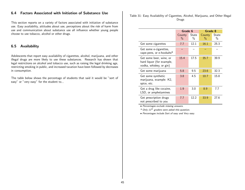## 6.4 Factors Associated with Initiation of Substance Use

This section reports on a variety of factors associated with initiation of substance use. Easy availability, attitudes about use, perceptions about the risk of harm from use and communication about substance use all influence whether young people choose to use tobacco, alcohol or other drugs.

## 6.5 Availability

Adolescents that report easy availability of cigarettes, alcohol, marijuana, and other illegal drugs are more likely to use these substances. Research has shown that legal restrictions on alcohol and tobacco use, such as raising the legal drinking age, restricting smoking in public, and increased taxation have been followed by decreases in consumption.

The table below shows the percentage of students that said it would be "sort of easy" or "very easy" for the student to...

Table 31: Easy Availability of Cigarettes, Alcohol, Marijuana, and Other Illegal Drugs

|                                                                                 | Grade 6        |                        | Grade 8        |                        |
|---------------------------------------------------------------------------------|----------------|------------------------|----------------|------------------------|
|                                                                                 | County<br>$\%$ | State<br>$\frac{0}{0}$ | County<br>$\%$ | State<br>$\frac{0}{0}$ |
| Get some cigarettes                                                             | 7.7            | 12.1                   | 16.1           | 25.3                   |
| Get some e-cigarettes,<br>vape-pens, or e-hookahs*                              |                |                        |                |                        |
| Get some beer, wine, or<br>hard liquor (for example,<br>vodka, whiskey, or gin) | 15.4           | 17.5                   | 35.7           | 39.9                   |
| Get some marijuana                                                              | 5.8            | 9.5                    | 23.6           | 32.3                   |
| Get some synthetic<br>marijuana, example: K2,<br>spice, etc.                    | 3.8            | 4.5                    | 10.7           | 15.8                   |
| Get a drug like cocaine,<br>LSD, or amphetamines                                | 1.9            | 3.0                    | 8.9            | 7.7                    |
| Get prescription drugs<br>not prescribed to you                                 | 7.7            | 12.2                   | 33.9           | 27.6                   |

• Percentages exclude missing answers.

 $*$  Only 11<sup>th</sup> graders were asked this question.

• Percentages include Sort of easy and Very easy.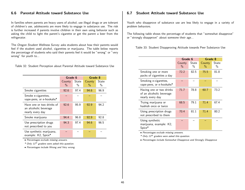## 6.6 Parental Attitude toward Substance Use

In families where parents are heavy users of alcohol, use illegal drugs or are tolerant of children's use, adolescents are more likely to engage in substance use. The risk is further increased if parents involve children in their own using behavior such as asking the child to light the parent's cigarette or get the parent a beer from the refrigerator.

The Oregon Student Wellness Survey asks students about how their parents would feel if the student used alcohol, cigarettes or marijuana. The table below reports the percentage of students who said their parents feel it would be "wrong" or "very wrong" for youth to...

Table 32: Student Perception about Parental Attitude toward Substance Use

|                                                                        | Grade 6        |               | Grade 8        |               |
|------------------------------------------------------------------------|----------------|---------------|----------------|---------------|
|                                                                        | County<br>$\%$ | State<br>$\%$ | County<br>$\%$ | State<br>$\%$ |
| Smoke cigarettes                                                       | 92.6           | 97.4          | 94.6           | 96.9          |
| Smoke e-cigarettes,<br>vape-pens, or e-hookahs*                        |                |               |                |               |
| Have one or two drinks of<br>an alcoholic beverage<br>nearly every day | 92.6           | 95.9          | 92.9           | 94.2          |
| Smoke marijuana                                                        | 94.4           | 96.8          | 92.9           | 92.8          |
| Use prescription drugs<br>not prescribed to you                        | 94.3           | 97.4          | 94.6           | 96.5          |
| Use synthetic marijuana,<br>example: K2, Spice*                        |                |               |                |               |

• Percentages exclude missing answers.

 $*$  Only 11<sup>th</sup> graders were asked this question.

• Percentages include Wrong and Very wrong.

### 6.7 Student Attitude toward Substance Use

Youth who disapprove of substance use are less likely to engage in a variety of problem behaviors.

The following table shows the percentage of students that "somewhat disapprove" or "strongly disapprove" about someone their age...

Table 33: Student Disapproving Attitude towards Peer Substance Use

|                                                                          | Grade 6        |            | Grade 8                 |                        |
|--------------------------------------------------------------------------|----------------|------------|-------------------------|------------------------|
|                                                                          | County<br>$\%$ | State<br>% | County<br>$\frac{0}{0}$ | State<br>$\frac{0}{0}$ |
| Smoking one or more<br>packs of cigarettes a day                         | 72.2           | 82.5       | 75.5                    | 81.8                   |
| Smoking e-cigarettes,<br>vape-pens, or e-hookahs*                        |                |            |                         |                        |
| Having one or two drinks<br>of an alcoholic beverage<br>nearly every day | 71.7           | 78.8       | 60.7                    | 73.2                   |
| Trying marijuana or<br>hashish once or twice                             | 68.5           | 79.1       | 71.4                    | 67.4                   |
| Using prescription drugs<br>not prescribed to them                       | 70.4           | 81.1       | 71.4                    | 80.2                   |
| Using synthetic<br>marijuana, example: K2,<br>Spice*                     |                |            |                         |                        |

• Percentages exclude missing answers.

 $*$  Only 11<sup>th</sup> graders were asked this question.

• Percentages include Somewhat Disapprove and Strongly Disapprove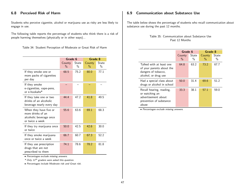# 6.8 Perceived Risk of Harm

Students who perceive cigarette, alcohol or marijuana use as risky are less likely to engage in use.

The following table reports the percentage of students who think there is a risk of people harming themselves (physically or in other ways)...

Table 34: Student Perception of Moderate or Great Risk of Harm

|                                                                                           |                         | Grade 8<br>Grade 6     |                         |            |
|-------------------------------------------------------------------------------------------|-------------------------|------------------------|-------------------------|------------|
|                                                                                           | County<br>$\frac{0}{0}$ | State<br>$\frac{0}{0}$ | County<br>$\frac{0}{0}$ | State<br>% |
| If they smoke one or<br>more packs of cigarettes<br>per day                               | 68.5                    | 75.2                   | 80.0                    | 77.1       |
| If they smoke<br>e-cigarettes, vape-pens,<br>or e-hookahs*                                |                         |                        |                         |            |
| If they take one or two<br>drinks of an alcoholic<br>beverage nearly every day            | 44.4                    | 47.2                   | 41.8                    | 49.5       |
| When they have five or<br>more drinks of an<br>alcoholic beverage once<br>or twice a week | 55.6                    | 63.6                   | 69.1                    | 68.3       |
| If they try marijuana once<br>or twice                                                    | 50.0                    | 42.5                   | 42.6                    | 30.0       |
| If they smoke marijuana<br>once or twice a week                                           | 66.7                    | 60.7                   | 67.3                    | 52.2       |
| If they use prescription<br>drugs that are not<br>prescribed to them                      | 74.1                    | 78.6                   | 78.2                    | 81.8       |

• Percentages exclude missing answers.

 $*$  Only 11<sup>th</sup> graders were asked this question.

• Percentages include Moderate risk and Great risk.

## 6.9 Communication about Substance Use

The table below shows the percentage of students who recall communication about substance use during the past 12 months.

| Table 35: Communication about Substance Use |  |
|---------------------------------------------|--|
| Past 12 Months                              |  |

|                                                                                                       | Grade 6        |               | Grade 8        |                        |
|-------------------------------------------------------------------------------------------------------|----------------|---------------|----------------|------------------------|
|                                                                                                       | County<br>$\%$ | State<br>$\%$ | County<br>$\%$ | State<br>$\frac{0}{0}$ |
| Talked with at least one<br>of your parents about the<br>dangers of tobacco,<br>alcohol, or drug use  | 64.8           | 63.2          | 73.2           | 67.7                   |
| Had a special class about<br>drugs or alcohol in school                                               | 50.0           | 31.4          | 69.6           | 51.2                   |
| Recall hearing, reading,<br>or watching an<br>advertisement about<br>prevention of substance<br>abuse | 33.3           | 38.1          | 57.1           | 59.0                   |

• Percentages exclude missing answers.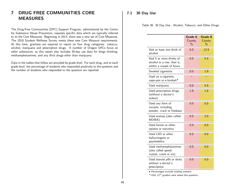# 7 DRUG FREE COMMUNITIES CORE MEASURES

The Drug-Free Communities (DFC) Support Program, administered by the Center for Substance Abuse Prevention, requests specific data which are typically referred to as the Core Measures. Beginning in 2013, there was a new set of Core Measures. The 2018 Student Wellness Survey meets these new Core Measure requirements. At this time, grantees are required to report on four drug categories: tobacco, alcohol, marijuana and prescription drugs. A number of Oregon DFCs focus on other substances, so this report also includes 30-day use data for binge drinking, methamphetamines, and any illicit drugs other than marijuana.

Data in the tables that follow are provided by grade level. For each drug, and at each grade level, the percentage of students who responded positively to the question and the number of students who responded to the question are reported.

## 7.1 30 Day Use

Table 36: 30 Day Use - Alcohol, Tobacco, and Other Drugs

|                                                                                   | Grade 6<br>County<br>$\frac{0}{0}$ | Grade 8<br>County<br>$\frac{0}{0}$ |
|-----------------------------------------------------------------------------------|------------------------------------|------------------------------------|
| Had at least one drink of<br>alcohol                                              | 0.0                                | 12.5                               |
| Had 5 or more drinks of<br>alcohol in a row, that is,<br>within a couple of hours | 0.0                                | 5.4                                |
| Smoked cigarettes                                                                 | 0.0                                | 1.9                                |
| Used an e-cigarette,<br>vape-pen or e-hookah*                                     |                                    |                                    |
| Used marijuana                                                                    | 0.0                                | 5.9                                |
| Used prescription drugs<br>(without a doctor's<br>orders)                         | 1.9                                | 1.8                                |
| Used any form of<br>cocaine, including<br>powder, crack or freebase               | 0.0                                | 0.0                                |
| Used ecstasy (also called<br>MDMA)                                                | 0.0                                | 2.0                                |
| Used heroin or other<br>opiates or narcotics                                      | 0.0                                | 0.0                                |
| Used LSD or other<br>hallucinogens or<br>psychedelics                             | 0.0                                | 0.0                                |
| Used methamphetamines<br>(also called speed,<br>crystal, crank or ice)            | 0.0                                | 0.0                                |
| Used steroid pills or shots<br>without a doctor's<br>prescription                 | 0.0                                | 0.0                                |

• Percentages exclude missing answers.

 $*$  Only 11<sup>th</sup> graders were asked this question.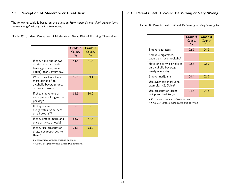## 7.2 Perception of Moderate or Great Risk

The following table is based on the question How much do you think people harm themselves (physically or in other ways)...

| Table 37: Student Perception of Moderate or Great Risk of Harming Themselves |  |  |  |  |  |
|------------------------------------------------------------------------------|--|--|--|--|--|
|------------------------------------------------------------------------------|--|--|--|--|--|

|                                                                                                         | Grade 6<br>County<br>$\%$ | Grade 8<br>County<br>$\%$ |
|---------------------------------------------------------------------------------------------------------|---------------------------|---------------------------|
| If they take one or two<br>drinks of an alcoholic<br>beverage (beer, wine,<br>liquor) nearly every day? | 44.4                      | 41.8                      |
| When they have five or<br>more drinks of an<br>alcoholic beverage once<br>or twice a week?              | 55.6                      | 69.1                      |
| If they smoke one or<br>more packs of cigarettes<br>per day?                                            | 68.5                      | 80.0                      |
| If they smoke<br>e-cigarettes, vape-pens,<br>or e-hookahs?*                                             |                           |                           |
| If they smoke marijuana<br>once or twice a week?                                                        | 66.7                      | 67.3                      |
| If they use prescription<br>drugs not prescribed to<br>them?                                            | 74.1                      | 78.2                      |

• Percentages exclude missing answers.

 $*$  Only 11<sup>th</sup> graders were asked this question.

## 7.3 Parents Feel It Would Be Wrong or Very Wrong

Table 38: Parents Feel It Would Be Wrong or Very Wrong to...

|                                                                        | Grade 6<br>County<br>$\%$ | Grade 8<br>County<br>% |
|------------------------------------------------------------------------|---------------------------|------------------------|
| Smoke cigarettes                                                       | 92.6                      | 94.6                   |
| Smoke e-cigarettes,<br>vape-pens, or e-hookahs*                        |                           |                        |
| Have one or two drinks of<br>an alcoholic beverage<br>nearly every day | 92.6                      | 92.9                   |
| Smoke marijuana                                                        | 94.4                      | 92.9                   |
| Use synthetic marijuana,<br>example: K2, Spice*                        |                           |                        |
| Use prescription drugs<br>not prescribed to you                        | 94.3                      | 94.6                   |

• Percentages exclude missing answers.

\* Only 11th graders were asked this question.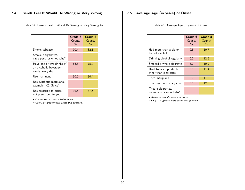# 7.4 Friends Feel It Would Be Wrong or Very Wrong

Table 39: Friends Feel It Would Be Wrong or Very Wrong to...

|                                                                        | Grade 6<br>County<br>$\frac{0}{0}$ | Grade 8<br>County<br>$\frac{0}{0}$ |
|------------------------------------------------------------------------|------------------------------------|------------------------------------|
| Smoke tobbaco                                                          | 90.4                               | 82.1                               |
| Smoke e-cigarettes,<br>vape-pens, or e-hookahs*                        |                                    |                                    |
| Have one or two drinks of<br>an alcoholic beverage<br>nearly every day | 86.8                               | 75.0                               |
| Use marijuana                                                          | 90.6                               | 80.4                               |
| Use synthetic marijuana,<br>example: K2, Spice*                        |                                    |                                    |
| Use prescription drugs<br>not prescribed to you                        | 92.5                               | 87.5                               |

• Percentages exclude missing answers.

\* Only 11th graders were asked this question.

# 7.5 Average Age (in years) of Onset

Table 40: Average Age (in years) of Onset

|                                                | Grade 6<br>County<br>$\%$ | Grade 8<br>County<br>$\frac{0}{0}$ |
|------------------------------------------------|---------------------------|------------------------------------|
| Had more than a sip or<br>two of alcohol       | 9.5                       | 10.7                               |
| Drinking alcohol regularly                     | 0.0                       | 12.5                               |
| Smoked a whole cigarette                       | 8.0                       | 10.9                               |
| Used tobacco products<br>other than cigarettes | 0.0                       | 11.4                               |
| Tried marijuana                                | 0.0                       | 11.8                               |
| Tried synthetic marijauna                      | 0.0                       | 12.8                               |
| Tried e-cigarettes,<br>vape-pens or e-hookahs* |                           |                                    |

• Averages exclude missing answers.

 $*$  Only 11<sup>th</sup> graders were asked this question.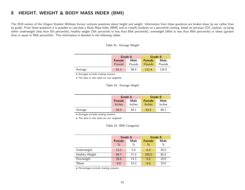# 8 HEIGHT, WEIGHT & BODY MASS INDEX (BMI)

The 2018 version of the Oregon Student Wellness Survey contains questions about height and weight. Information from these questions are broken down by sex rather than by grade. From these questions it is possible to calculate a Body Mass Index (BMI) and to classify students on a percentile ranking, based on previous CDC analysis, as being either underweight (less than 5th percentile), healthy weight (5th percentile to less than 85th percentile), overweight (85th to less than 95th percentile) or obese (greater than or equal to 95th percentile). This information is detailed in the following tables.

Table 41: Average Weight

|         | Grade 6               |        | Grade 8       |        |  |
|---------|-----------------------|--------|---------------|--------|--|
|         | Male<br><b>Female</b> |        | <b>Female</b> | Male   |  |
|         | Pounds                | Pounds | <b>Pounds</b> | Pounds |  |
| Average | 91.3                  | 96.9   | 112.4         | 118.9  |  |

• Averages exclude missing answers.

• The data in this table are not weighted.

#### Table 42: Average Height

|         | Grade 6                         |      | Grade 8                        |                |
|---------|---------------------------------|------|--------------------------------|----------------|
|         | Male<br><b>Female</b><br>Inches |      | <b>Female</b><br><b>Inches</b> | Male<br>Inches |
|         | Inches                          |      |                                |                |
| Average | 59.4                            | 60.1 | 63.5                           | 69.2           |

• Averages exclude missing answers.

• The data in this table are not weighted.

Table 43: BMI Categories

|                | Grade 6                        |              | Grade 8                        |              |
|----------------|--------------------------------|--------------|--------------------------------|--------------|
|                | <b>Female</b><br>$\frac{0}{0}$ | Male<br>$\%$ | <b>Female</b><br>$\frac{0}{0}$ | Male<br>$\%$ |
| Underweight    | 12.5                           | 0.0          | 0.0                            | 20.0         |
| Healthy Weight | 66.7                           | 71.4         | 100.0                          | 60.0         |
| Overweight     | 20.8                           | 14.3         | 0.0                            | 10.0         |
| Obese          | 0.0                            | 14.3         | 0.0                            | 10.0         |

• Percentages exclude missing answers.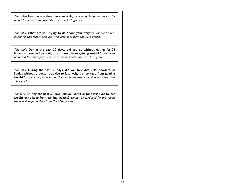The table How do you describe your weight? cannot be produced for this report because it requires data from the 11th grades.

The table What are you trying to do about your weight? cannot be produced for this report because it requires data from the 11th grades.

The table During the past 30 days, did you go without eating for 24 hours or more to lose weight or to keep from gaining weight? cannot be produced for this report because it requires data from the 11th grades.

The table During the past 30 days, did you take diet pills, powders, or liquids without a doctor's advice to lose weight or to keep from gaining weight? cannot be produced for this report because it requires data from the 11th grades.

The table During the past 30 days, did you vomit or take laxatives to lose weight or to keep from gaining weight? cannot be produced for this report because it requires data from the 11th grades.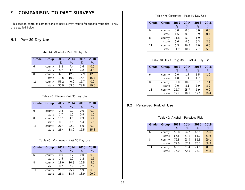# 9 COMPARISON TO PAST SURVEYS

This section contains comparisons to past survey results for specific variables. They are detailed below.

## 9.1 Past 30 Day Use

Table 44: Alcohol - Past 30 Day Use

| <b>Grade</b> | <b>Group</b> | 2012<br>$\%$ | 2014<br>$\frac{0}{0}$ | 2016<br>$\frac{0}{0}$ | 2018<br>$\%$ |
|--------------|--------------|--------------|-----------------------|-----------------------|--------------|
| 6            | county       | 8.3          | 7.4                   | 1.6                   | 0.0          |
|              | state        | 6.7          | 4.5                   | 4.0                   | 4.5          |
| 8            | county       | 32.1         | 12.9                  | 17.9                  | 12.5         |
|              | state        | 19.6         | 16.9                  | 15.4                  | 15.4         |
| 11           | county       | 57.2         | 40.0                  | 15.7                  | 0.0          |
|              | state        | 35.9         | 33.5                  | 29.8                  | 29.0         |

#### Table 45: Binge - Past 30 Day Use

| Grade | Group  | 2012 | 2014 | 2016 | 2018 |
|-------|--------|------|------|------|------|
|       |        | $\%$ | $\%$ | $\%$ | $\%$ |
| 6     | county | 2.8  | 0.0  | 0.0  | 0.0  |
|       | state  | 1.7  | 1.0  | 0.9  | 1.0  |
| 8     | county | 15.1 | 4.8  | 7.3  | 5.4  |
|       | state  | 8.1  | 6.6  | 5.4  | 5.6  |
| 11    | county | 27.4 | 22.9 | 8.0  | 0.0  |
|       | state  | 21.4 | 18.9 | 15.5 | 15.3 |

#### Table 46: Marijuana - Past 30 Day Use

| Grade | Group  | 2012<br>$\%$ | 2014<br>$\%$ | 2016<br>$\frac{0}{0}$ | 2018<br>$\%$ |
|-------|--------|--------------|--------------|-----------------------|--------------|
| 6     | county | 0.0          | 1.7          | 0.0                   | 0.0          |
|       | state  | 1.5          | 1.2          | 1.2                   | 1.5          |
| 8     | county | 17.0         | 10.8         | 12.5                  | 5.9          |
|       | state  | 8.7          | 7.9          | 7.2                   | 7.9          |
| 11    | county | 25.7         | 25.7         | 5.9                   | 0.0          |
|       | state  | 21.8         | 18.7         | 18.9                  | 20.0         |

#### Table 47: Cigarettes - Past 30 Day Use

| Grade | <b>Group</b> | 2012 | 2014          | 2016 | 2018 |
|-------|--------------|------|---------------|------|------|
|       |              | $\%$ | $\frac{0}{0}$ | $\%$ | $\%$ |
| 6     | county       | 0.0  | 0.0           | 0.0  | 0.0  |
|       | state        | 1.5  | 0.8           | 0.9  | 0.7  |
| 8     | county       | 11.8 | 5.0           | 1.9  | 1.9  |
|       | state        | 5.6  | 4.5           | 3.3  | 2.8  |
| 11    | county       | 6.3  | 26.5          | 2.0  | 0.0  |
|       | state        | 119  | 10.0          | 77   | 5.8  |

### Table 48: Illicit Drug Use - Past 30 Day Use

| Grade | <b>Group</b> | 2012<br>$\frac{0}{0}$ | 2014<br>$\frac{0}{0}$ | 2016<br>$\frac{0}{0}$ | 2018<br>$\frac{0}{6}$ |
|-------|--------------|-----------------------|-----------------------|-----------------------|-----------------------|
| 6     | county       | 0.0                   | 1.7                   | 1.5                   | 1.9                   |
|       | state        | 1.8                   | 1.4                   | 1.7                   | 1.8                   |
| 8     | county       | 17.0                  | 10.8                  | 12.5                  | 7.1                   |
|       | state        | 9.0                   | 8.1                   | 7.9                   | 8.2                   |
| 11    | county       | 25.7                  | 25.7                  | 5.9                   | 0.0                   |
|       | state        | 22.2                  | 19.1                  | 19.6                  | 20.4                  |

## 9.2 Perceived Risk of Use

Table 49: Alcohol - Perceived Risk

| Grade | <b>Group</b> | 2012 | 2014          | 2016          | 2018 |
|-------|--------------|------|---------------|---------------|------|
|       |              | $\%$ | $\frac{0}{0}$ | $\frac{0}{0}$ | $\%$ |
| 6     | county       | 58.8 | 54.7          | 63.5          | 55.6 |
|       | state        | 65.6 | 61.2          | 64.2          | 63.6 |
| 8     | county       | 72.5 | 63.9          | 55.8          | 69.1 |
|       | state        | 72.6 | 67.9          | 70.2          | 68.3 |
| 11    | county       | 68.1 | 71.4          | 74.5          | 0.0  |
|       | state        | 76.0 | 72.5          | 75.1          | 74.8 |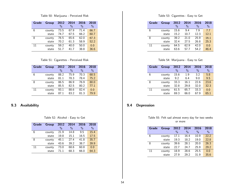Table 50: Marijuana - Perceived Risk

| <b>Grade</b> | <b>Group</b> | 2012 | 2014 | 2016          | 2018 |
|--------------|--------------|------|------|---------------|------|
|              |              | $\%$ | $\%$ | $\frac{0}{0}$ | $\%$ |
| 6            | county       | 73.5 | 67.9 | 71.4          | 66.7 |
|              | state        | 74.7 | 67.5 | 66.2          | 60.7 |
| 8            | county       | 76.5 | 65.6 | 62.0          | 67.3 |
|              | state        | 70.2 | 61.3 | 58.9          | 52.2 |
| 11           | county       | 59.2 | 40.0 | 50.0          | 0.0  |
|              | state        | 51.7 | 41.7 | 38.8          | 36.6 |

Table 51: Cigarettes - Perceived Risk

| Grade | <b>Group</b> | 2012<br>$\frac{0}{0}$ | 2014<br>$\frac{0}{0}$ | 2016<br>$\frac{0}{0}$ | 2018<br>$\frac{0}{0}$ |
|-------|--------------|-----------------------|-----------------------|-----------------------|-----------------------|
| 6     | county       | 88.2                  | 75.9                  | 70.3                  | 68.5                  |
|       | state        | 81.1                  | 78.3                  | 78.4                  | 75.2                  |
| 8     | county       | 86.5                  | 86.9                  | 76.9                  | 80.0                  |
|       | state        | 85.5                  | 82.5                  | 80.2                  | 77.1                  |
| 11    | county       | 93.1                  | 88.6                  | 82.4                  | 0.0                   |
|       | state        | 87.1                  | 83.2                  | 81.3                  | 79.9                  |

## 9.3 Availability

#### Table 52: Alcohol - Easy to Get

| <b>Grade</b> | <b>Group</b> | 2012 | 2014          | 2016          | 2018 |
|--------------|--------------|------|---------------|---------------|------|
|              |              | $\%$ | $\frac{0}{0}$ | $\frac{0}{0}$ | $\%$ |
| 6            | county       | 21.9 | 14.8          | 9.5           | 15.4 |
|              | state        | 19.8 | 15.1          | 16.5          | 17.5 |
| 8            | county       | 45.1 | 27.4          | 41.8          | 35.7 |
|              | state        | 43.6 | 39.2          | 38.7          | 39.9 |
| 11           | county       | 73.0 | 68.6          | 60.8          | 0.0  |
|              | state        | 71.1 | 68.3          | 66.0          | 64.3 |

Table 53: Cigarettes - Easy to Get

| Grade | <b>Group</b> | 2012 | 2014 | 2016 | 2018 |
|-------|--------------|------|------|------|------|
|       |              | $\%$ | $\%$ | $\%$ | $\%$ |
| 6     | county       | 15.6 | 9.4  | 7.9  | 7.7  |
|       | state        | 15.2 | 10.7 | 12.3 | 12.1 |
| 8     | county       | 39.2 | 21.0 | 25.9 | 16.1 |
|       | state        | 32.4 | 27.5 | 26.8 | 25.3 |
| 11    | county       | 64.5 | 62.9 | 42.0 | 0.0  |
|       | state        | 63.6 | 57.7 | 54.2 | 46.4 |

### Table 54: Marijuana - Easy to Get

| Grade | <b>Group</b> | 2012<br>$\frac{0}{0}$ | 2014<br>$\frac{0}{0}$ | 2016<br>$\frac{0}{0}$ | 2018<br>$\frac{0}{6}$ |
|-------|--------------|-----------------------|-----------------------|-----------------------|-----------------------|
| 6     | county       | 15.6                  | 1.9                   | 3.2                   | 5.8                   |
|       | state        | 9.2                   | 6.4                   | 9.0                   | 9.5                   |
| 8     | county       | 33.3                  | 16.1                  | 22.6                  | 23.6                  |
|       | state        | 32.8                  | 29.8                  | 32.0                  | 32.3                  |
| 11    | county       | 61.5                  | 65.7                  | 33.3                  | 0.0                   |
|       | state        | 69.3                  | 66.0                  | 67.9                  | 65.1                  |

## 9.4 Depression

Table 55: Felt sad almost every day for two weeks or more

| Grade | <b>Group</b> | 2012<br>$\%$ | 2014<br>$\frac{0}{0}$ | 2016<br>$\frac{0}{0}$ | 2018<br>$\frac{0}{0}$ |
|-------|--------------|--------------|-----------------------|-----------------------|-----------------------|
| 6     | county       | 17.1         | 16.4                  | 10.9                  | 22.2                  |
|       | state        | 19.3         | 18.2                  | 19.0                  | 22.8                  |
| 8     | county       | 39.6         | 28.1                  | 20.0                  | 26.3                  |
|       | state        | 22.7         | 24.7                  | 25.9                  | 29.2                  |
| 11    | county       | 18.9         | 28.6                  | 25.5                  | 0.0                   |
|       | state        | 27.9         | 29.2                  | 31.9                  | 35.6                  |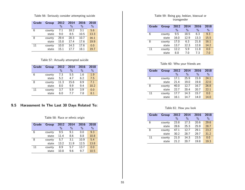Table 56: Seriously consider attempting suicide

| Grade | <b>Group</b> | 2012          | 2014 | 2016          | 2018 |
|-------|--------------|---------------|------|---------------|------|
|       |              | $\frac{0}{0}$ | $\%$ | $\frac{0}{0}$ | $\%$ |
| 6     | county       | 7.1           | 18.2 | 3.1           | 5.6  |
|       | state        | 9.0           | 8.5  | 10.5          | 13.3 |
| 8     | county       | 29.4          | 20.3 | 10.7          | 16.1 |
|       | state        | 15.8          | 17.4 | 17.6          | 19.9 |
| 11    | county       | 10.0          | 14.3 | 17.6          | 0.0  |
|       | state        | 15.1          | 17.7 | 18.1          | 19.7 |

Table 57: Actually attempted suicide

| Grade | <b>Group</b> | 2012<br>$\frac{0}{0}$ | 2014<br>$\frac{0}{0}$ | 2016<br>$\frac{0}{0}$ | 2018<br>$\%$ |
|-------|--------------|-----------------------|-----------------------|-----------------------|--------------|
| 6     | county       | 7.3                   | 5.5                   | 1.6                   | 1.9          |
|       | state        | 5.2                   | 4.7                   | 6.2                   | 7.5          |
| 8     | county       | 11.3                  | 15.6                  | 8.9                   | 7.1          |
|       | state        | 8.0                   | 9.9                   | 9.4                   | 10.2         |
| 11    | county       | 3.7                   | 5.9                   | 3.9                   | 0.0          |
|       | state        | 6.0                   | 77                    | 7.8                   | 8.1          |

## 9.5 Harassment In The Last 30 Days Related To:

Table 58: Race or ethnic origin

| Grade | <b>Group</b> | 2012 | 2014          | 2016          | 2018 |
|-------|--------------|------|---------------|---------------|------|
|       |              | $\%$ | $\frac{0}{0}$ | $\frac{0}{0}$ | $\%$ |
| 6     | county       | 9.5  | 9.1           | 0.0           | 9.3  |
|       | state        | 11.4 | 8.6           | 8.8           | 10.8 |
| 8     | county       | 5.7  | 3.1           | 10.9          | 5.4  |
|       | state        | 13.2 | 11.9          | 12.5          | 13.8 |
| 11    | county       | 8.9  | 5.7           | 13.7          | 0.0  |
|       | state        | 10.8 | 9.6           | 9.7           | 10.5 |

#### Table 59: Being gay, lesbian, bisexual or transgender

| Grade | <b>Group</b> | 2012 | 2014 | 2016          | 2018 |
|-------|--------------|------|------|---------------|------|
|       |              | $\%$ | $\%$ | $\frac{0}{0}$ | $\%$ |
| 6     | county       | 9.5  | 18.5 | 6.3           | 9.3  |
|       | state        | 16.0 | 12.9 | 13.3          | 15.5 |
| 8     | county       | 17.0 | 6.3  | 21.8          | 16.1 |
|       | state        | 13.7 | 12.3 | 12.8          | 14.2 |
| 11    | county       | 12.2 | 5.9  | 11.8          | 0.0  |
|       | state        | 8.0  | 7.0  | 7.3           | 7.0  |

Table 60: Who your friends are

| Grade | <b>Group</b> | 2012<br>$\%$ | 2014<br>$\%$ | 2016<br>$\%$ | 2018<br>$\%$ |
|-------|--------------|--------------|--------------|--------------|--------------|
| 6     | county       | 17.1         | 25.9         | 15.9         | 24.1         |
|       | state        | 21.4         | 19.0         | 19.8         | 22.0         |
| 8     | county       | 40.0         | 12.7         | 16.7         | 26.8         |
|       | state        | 22.7         | 20.4         | 20.7         | 22.1         |
| 11    | county       | 17.7         | 14.3         | 15.7         | 0.0          |
|       | state        | 16.1         | 14.7         | 14.0         | 14.0         |

#### Table 61: How you look

| Grade | <b>Group</b> | 2012 | 2014          | 2016          | 2018 |
|-------|--------------|------|---------------|---------------|------|
|       |              | $\%$ | $\frac{0}{0}$ | $\frac{0}{0}$ | $\%$ |
| 6     | county       | 23.8 | 17.3          | 20.6          | 29.6 |
|       | state        | 28.6 | 25.3          | 25.9          | 28.7 |
| 8     | county       | 47.1 | 12.7          | 29.1          | 23.2 |
|       | state        | 30.2 | 28.7          | 29.7          | 31.2 |
| 11    | county       | 21.0 | 14.3          | 23.5          | 0.0  |
|       | state        | 21.2 | 20.7          | 19.8          | 19.3 |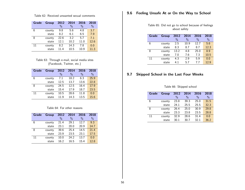9.6 Feeling Unsafe At or On the Way to School

Table 62: Received unwanted sexual comments

| <b>Grade</b> | <b>Group</b> | 2012 | 2014 | 2016 | 2018 |
|--------------|--------------|------|------|------|------|
|              |              | $\%$ | $\%$ | $\%$ | $\%$ |
| 6            | county       | 9.8  | 5.6  | 4.8  | 3.7  |
|              | state        | 8.2  | 6.1  | 6.5  | 7.9  |
| 8            | county       | 22.6 | 3.2  | 5.7  | 7.1  |
|              | state        | 12.1 | 10.2 | 11.0 | 12.6 |
| 11           | county       | 8.2  | 14.3 | 7.8  | 0.0  |
|              | state        | 11.4 | 10.5 | 10.9 | 11.3 |

Table 63: Through e-mail, social media sites (Facebook, Twitter, etc.)

| Grade | <b>Group</b> | 2012 | 2014 | 2016          | 2018 |
|-------|--------------|------|------|---------------|------|
|       |              | $\%$ | $\%$ | $\frac{0}{0}$ | $\%$ |
| 6     | county       | 7.1  | 18.2 | 6.3           | 25.9 |
|       | state        | 12.5 | 13.7 | 13.6          | 22.8 |
| 8     | county       | 24.5 | 12.5 | 16.4          | 17.9 |
|       | state        | 15.4 | 17.9 | 18.7          | 23.5 |
| 11    | county       | 10.5 | 28.6 | 11.8          | 0.0  |
|       | state        | 11.9 | 14.3 | 13.5          | 15.6 |

#### Table 64: For other reasons

| Grade | <b>Group</b> | 2012 | 2014          | 2016          | 2018 |
|-------|--------------|------|---------------|---------------|------|
|       |              | $\%$ | $\frac{0}{0}$ | $\frac{0}{0}$ | $\%$ |
| 6     | county       | 21.4 | 29.1          | 12.7          | 9.3  |
|       | state        | 23.1 | 20.0          | 20.9          | 14.7 |
| 8     | county       | 39.6 | 25.4          | 14.5          | 21.4 |
|       | state        | 23.9 | 23.5          | 23.1          | 17.5 |
| 11    | county       | 10.0 | 24.2          | 13.7          | 0.0  |
|       | state        | 16.2 | 16.5          | 15.4          | 12.8 |

| Table 65: Did not go to school because of feelings |  |              |  |  |
|----------------------------------------------------|--|--------------|--|--|
|                                                    |  | about safety |  |  |

| Grade | <b>Group</b> | 2012<br>$\%$ | 2014<br>$\frac{0}{0}$ | 2016<br>$\frac{0}{0}$ | 2018<br>$\%$ |
|-------|--------------|--------------|-----------------------|-----------------------|--------------|
| 6     | county       | 2.5          | 10.9                  | 12.7                  | 5.6          |
|       | state        | 8.3          | 8.7                   | 8.7                   | 12.3         |
| 8     | county       | 13.2         | 4.8                   | 25.0                  | 8.9          |
|       | state        | 7.0          | 7.6                   | 7.3                   | 10.5         |
| 11    | county       | 4.3          | 2.9                   | 5.9                   | 0.0          |
|       | state        | 41           | 5.7                   | 77                    | 12.9         |

# 9.7 Skipped School in the Last Four Weeks

Table 66: Skipped school

| Grade | <b>Group</b> | 2012          | 2014          | 2016          | 2018 |
|-------|--------------|---------------|---------------|---------------|------|
|       |              | $\frac{0}{0}$ | $\frac{0}{0}$ | $\frac{0}{0}$ | $\%$ |
| 6     | county       | 23.8          | 39.3          | 25.0          | 31.5 |
|       | state        | 24.1          | 25.5          | 25.5          | 32.3 |
| 8     | county       | 26.4          | 25.0          | 30.9          | 29.8 |
|       | state        | 23.3          | 23.8          | 23.5          | 28.8 |
| 11    | county       | 32.9          | 28.6          | 31.4          | 0.0  |
|       | state        | 30.1          | 30.7          | 32.1          | 36.2 |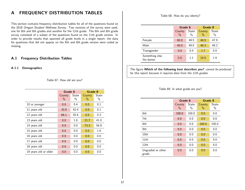# A FREQUENCY DISTRIBUTION TABLES

This section contains frequency distribution tables for all of the questions found on the 2018 Oregon Student Wellness Survey. Two versions of the survey were used, one for 6th and 8th grades and another for the 11th grade. The 6th and 8th grade survey consisted of a subset of the questions found on the 11th grade version. In order to provide results that spanned all grade levels in a single report, the data for questions that did not appear on the 6th and 8th grade version were coded as missing.

## A.1 Frequency Distribution Tables

#### A.1.1 Demographics

Table 67: How old are you?

|                       | Grade 6 |       | Grade 8 |       |
|-----------------------|---------|-------|---------|-------|
|                       | County  | State | County  | State |
|                       | $\%$    | $\%$  | $\%$    | $\%$  |
| 10 or younger         | 0.0     | 0.4   | 0.0     | 0.1   |
| 11 years old          | 33.9    | 42.4  | 0.0     | 0.1   |
| 12 years old          | 66.1    | 55.6  | 0.0     | 0.3   |
| 13 years old          | 0.0     | 1.6   | 21.7    | 41.0  |
| 14 years old          | 0.0     | 0.0   | 73.3    | 56.9  |
| 15 years old          | 0.0     | 0.0   | 5.0     | 1.6   |
| 16 years old          | 0.0     | 0.0   | 0.0     | 0.0   |
| 17 years old          | 0.0     | 0.0   | 0.0     | 0.0   |
| 18 years old          | 0.0     | 0.0   | 0.0     | 0.0   |
| 19 years old or older | 0.0     | 0.0   | 0.0     | 0.0   |

Table 68: How do you identiy?

|                               | Grade 6        |                        | Grade 8                 |               |
|-------------------------------|----------------|------------------------|-------------------------|---------------|
|                               | County<br>$\%$ | State<br>$\frac{0}{0}$ | County<br>$\frac{0}{0}$ | State<br>$\%$ |
| Female                        | 60.0           | 49.5                   | 40.0                    | 47.9          |
| Male                          | 40.0           | 49.0                   | 48.3                    | 49.2          |
| Transgender                   | 0.0            | 0.4                    | 1.7                     | 0.9           |
| Something else<br>fits better | 0.0            | 11                     | 10.0                    | 1.9           |

The figure Which of the following best describes you? cannot be produced for this report because it requires data from the 11th grades.

#### Table 69: In what grade are you?

|                            | Grade 6        |               | Grade 8        |               |
|----------------------------|----------------|---------------|----------------|---------------|
|                            | County<br>$\%$ | State<br>$\%$ | County<br>$\%$ | State<br>$\%$ |
| 6th                        | 100.0          | 100.0         | 0.0            | 0.0           |
| 7th                        | 0.0            | 0.0           | 0.0            | 0.0           |
| 8th                        | 0.0            | 0.0           | 100.0          | 100.0         |
| 9th                        | 0.0            | 0.0           | 0.0            | 0.0           |
| 10 <sub>th</sub>           | 0.0            | 0.0           | 0.0            | 0.0           |
| 11th                       | 0.0            | 0.0           | 0.0            | 0.0           |
| 12 <sub>th</sub>           | 0.0            | 0.0           | 0.0            | 0.0           |
| Ungraded or other<br>grade | 0.0            | 0.0           | 0.0            | 0.0           |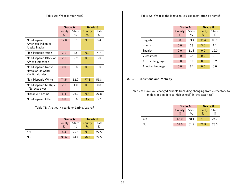Table 70: What is your race?

|                                                              | Grade 6        |                        | Grade 8        |               |
|--------------------------------------------------------------|----------------|------------------------|----------------|---------------|
|                                                              | County<br>$\%$ | State<br>$\frac{0}{0}$ | County<br>$\%$ | State<br>$\%$ |
| Non-Hispanic<br>American Indian or<br>Alaska Native          | 12.8           | 6.1                    | 9.3            | 3.4           |
| Non-Hispanic Asian                                           | 2.1            | 4.5                    | 0.0            | 4.7           |
| Non-Hispanic Black or<br>African American                    | 2.1            | 2.9                    | 0.0            | 3.0           |
| Non-Hispanic Native<br>Hawaiian or Other<br>Pacific Islander | 0.0            | 0.8                    | 0.0            | 1.0           |
| Non-Hispanic White                                           | 74.5           | 52.9                   | 77.8           | 55.8          |
| Non-Hispanic Multiple<br>- No best given                     | 2.1            | 1.0                    | 0.0            | 0.8           |
| Hispanic / Latino                                            | 6.4            | 26.2                   | 9.3            | 27.8          |
| Non-Hispanic Other                                           | 0.0            | 5.6                    | 3.7            | 3.7           |

Table 71: Are you Hispanic or Latino/Latina?

|     | Grade 6       |       | Grade 8       |       |  |
|-----|---------------|-------|---------------|-------|--|
|     | County        | State | County        | State |  |
|     | $\frac{0}{0}$ | $\%$  | $\frac{0}{0}$ | $\%$  |  |
| Yes | 6.4           | 25.6  | 9.3           | 27.5  |  |
| No  | 93.6          | 74.4  | 90.7          | 72.5  |  |

Table 72: What is the language you use most often at home?

|                   |                         | Grade 6       |                         | Grade 8       |  |
|-------------------|-------------------------|---------------|-------------------------|---------------|--|
|                   | County<br>$\frac{0}{0}$ | State<br>$\%$ | County<br>$\frac{0}{0}$ | State<br>$\%$ |  |
| English           | 100.0                   | 83.4          | 96.4                    | 83.0          |  |
| Russian           | 0.0                     | 0.9           | 3.6                     | 1.1           |  |
| Spanish           | 0.0                     | 11.8          | 0.0                     | 12.0          |  |
| Vietnamese        | 0.0                     | 0.5           | 0.0                     | 0.7           |  |
| A tribal language | 0.0                     | 0.1           | 0.0                     | 0.2           |  |
| Another language  | 0.0                     | 3.2           | 0.0                     | 3.0           |  |

## A.1.2 Transitions and Mobility

Table 73: Have you changed schools (including changing from elementary to middle and middle to high school) in the past year?

|     | Grade 6         |               | Grade 8       |               |  |
|-----|-----------------|---------------|---------------|---------------|--|
|     | State<br>County |               | County        | State         |  |
|     | $\frac{0}{0}$   | $\frac{0}{0}$ | $\frac{0}{6}$ | $\frac{0}{0}$ |  |
| Yes | 63.0            | 68.1          | 28.1          | 27.0          |  |
| No  | 37.0            | 31.9          | 71.9          | 73.0          |  |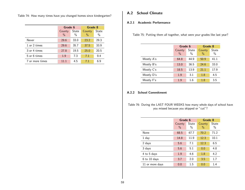Table 74: How many times have you changed homes since kindergarten?

|                 | Grade 6        |               | Grade 8        |               |  |
|-----------------|----------------|---------------|----------------|---------------|--|
|                 | County<br>$\%$ | State<br>$\%$ | County<br>$\%$ | State<br>$\%$ |  |
| Never           | 29.6           | 33.0          | 23.2           | 29.3          |  |
| 1 or 2 times    | 29.6           | 35.7          | 37.5           | 33.9          |  |
| 3 or 4 times    | 27.8           | 19.5          | 25.0           | 20.5          |  |
| 5 or 6 times    | 1.9            | 7.3           | 7.1            | 9.4           |  |
| 7 or more times | 111            | 4.5           | 71             | 6.9           |  |

# A.2 School Climate

### A.2.1 Academic Performance

Table 75: Putting them all together, what were your grades like last year?

|            | Grade 6        |               | Grade 8                 |               |  |
|------------|----------------|---------------|-------------------------|---------------|--|
|            | County<br>$\%$ | State<br>$\%$ | County<br>$\frac{0}{0}$ | State<br>$\%$ |  |
| Mostly A's | 64.8           | 44.9          | 50.9                    | 41.1          |  |
| Mostly B's | 13.0           | 36.5          | 24.6                    | 33.0          |  |
| Mostly C's | 18.5           | 13.9          | 21.1                    | 17.9          |  |
| Mostly D's | 1.9            | 3.1           | 1.8                     | 4.5           |  |
| Mostly F's | 1.9            | 1.6           | 1.8                     | 3.5           |  |

#### A.2.2 School Commitment

Table 76: During the LAST FOUR WEEKS how many whole days of school have you missed because you skipped or "cut"?

|                 | Grade 6        |               | Grade 8        |               |
|-----------------|----------------|---------------|----------------|---------------|
|                 | County<br>$\%$ | State<br>$\%$ | County<br>$\%$ | State<br>$\%$ |
| None            | 68.5           | 67.7          | 70.2           | 71.2          |
| 1 day           | 14.8           | 11.9          | 12.3           | 10.1          |
| 2 days          | 5.6            | 7.1           | 12.3           | 6.5           |
| 3 days          | 5.6            | 5.1           | 0.0            | 4.8           |
| 4 to 5 days     | 1.9            | 4.6           | 1.8            | 4.2           |
| 6 to 10 days    | 3.7            | 2.0           | 3.5            | 1.7           |
| 11 or more days | 0.0            | 1.5           | 0.0            | 1.4           |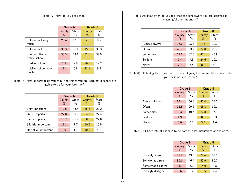Table 77: How do you like school?

|                                      | Grade 6                 |               | Grade 8        |               |  |
|--------------------------------------|-------------------------|---------------|----------------|---------------|--|
|                                      | County<br>$\frac{0}{0}$ | State<br>$\%$ | County<br>$\%$ | State<br>$\%$ |  |
| I like school very<br>much           | 20.4                    | 17.3          | 5.3            | 8.5           |  |
| 1 like school                        | 33.3                    | 36.1          | 15.8           | 30.3          |  |
| I neither like nor<br>dislike school | 33.3                    | 33.1          | 31.6           | 39.5          |  |
| I dislike school                     | 1.9                     | 7.8           | 26.3           | 12.2          |  |
| I dislike school very<br>much        | 11 1                    | 5.8           | 21.1           | 9.5           |  |

|  | Table 78: How important do you think the things you are learning in school are |  |  |                                  |  |  |  |
|--|--------------------------------------------------------------------------------|--|--|----------------------------------|--|--|--|
|  |                                                                                |  |  | going to be for your later life? |  |  |  |

|                      | Grade 6                 |               | Grade 8        |               |  |
|----------------------|-------------------------|---------------|----------------|---------------|--|
|                      | County<br>$\frac{0}{0}$ | State<br>$\%$ | County<br>$\%$ | State<br>$\%$ |  |
| Very important       | 42.6                    | 38.5          | 15.8           | 22.2          |  |
| Quite important      | 27.8                    | 30.9          | 24.6           | 27.4          |  |
| Fairly important     | 16.7                    | 21.2          | 38.6           | 29.8          |  |
| Slightly important   | 11.1                    | 7.7           | 10.5           | 16.5          |  |
| Not at all important | 1.9                     | 17            | 10.5           | 4.1           |  |

Table 79: How often do you feel that the schoolwork you are assigned is meaningful and important?

|               | Grade 6        |               | Grade 8                 |            |  |
|---------------|----------------|---------------|-------------------------|------------|--|
|               | County<br>$\%$ | State<br>$\%$ | County<br>$\frac{0}{0}$ | State<br>% |  |
| Almost always | 13.0           | 23.6          | 1.8                     | 10.2       |  |
| Often         | 40.7           | 33.7          | 22.8                    | 26.7       |  |
| Sometimes     | 31.5           | 32.0          | 42.1                    | 40.9       |  |
| Seldom        | 7.4            | 7.3           | 24.6                    | 16.1       |  |
| Never         | 7.4            | 3.4           | 8.8                     | 6.1        |  |

Table 80: Thinking back over the past school year, how often did you try to do your best work in school?

|               | Grade 6                 |               | Grade 8                 |               |  |
|---------------|-------------------------|---------------|-------------------------|---------------|--|
|               | County<br>$\frac{0}{0}$ | State<br>$\%$ | County<br>$\frac{0}{0}$ | State<br>$\%$ |  |
| Almost always | 57.4                    | 56.6          | 40.4                    | 39.7          |  |
| Often         | 31.5                    | 29.5          | 33.3                    | 36.1          |  |
| Sometimes     | 9.3                     | 10.6          | 22.8                    | 17.3          |  |
| Seldom        | 1.9                     | 2.5           | 0.0                     | 5.3           |  |
| Never         | 0.0                     | 0.8           | 3.5                     | 1.6           |  |

Table 81: I have lots of chances to be part of class discussions or activities.

|                   | Grade 6                 |                        | Grade 8                 |               |  |
|-------------------|-------------------------|------------------------|-------------------------|---------------|--|
|                   | County<br>$\frac{0}{0}$ | State<br>$\frac{0}{0}$ | County<br>$\frac{0}{0}$ | State<br>$\%$ |  |
| Strongly agree    | 27.8                    | 43.3                   | 24.6                    | 37.1          |  |
| Somewhat agree    | 55.6                    | 46.4                   | 50.9                    | 50.7          |  |
| Somewhat disagree | 11.1                    | 8.2                    | 14.0                    | 9.8           |  |
| Strongly disagree | 5.6                     | 22                     | 10.5                    | 24            |  |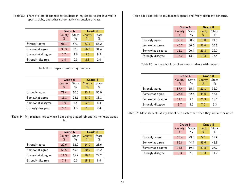Table 82: There are lots of chances for students in my school to get involved in sports, clubs, and other school activities outside of class.

|                   | Grade 6                 |               | Grade 8                 |               |
|-------------------|-------------------------|---------------|-------------------------|---------------|
|                   | County<br>$\frac{0}{0}$ | State<br>$\%$ | County<br>$\frac{0}{0}$ | State<br>$\%$ |
| Strongly agree    | 61.1                    | 57.9          | 63.2                    | 53.2          |
| Somewhat agree    | 33.3                    | 32.3          | 26.3                    | 34.4          |
| Somewhat disagree | 3.7                     | 7.6           | 5.3                     | 9.5           |
| Strongly disagree | 1.9                     | 2.3           | 5.3                     | 2 Q           |

Table 83: I respect most of my teachers.

|                   | Grade 6 |               | Grade 8       |       |
|-------------------|---------|---------------|---------------|-------|
|                   | County  | State         | County        | State |
|                   | $\%$    | $\frac{0}{0}$ | $\frac{0}{0}$ | $\%$  |
| Strongly agree    | 77.4    | 70.0          | 43.9          | 56.0  |
| Somewhat agree    | 15.1    | 24.1          | 43.9          | 33.1  |
| Somewhat disagree | 1.9     | 4.5           | 5.3           | 8.4   |
| Strongly disagree | 5.7     | 13            | 7 በ           | 24    |

Table 84: My teachers notice when I am doing a good job and let me know about it.

|                   | Grade 6                 |               | Grade 8                 |               |
|-------------------|-------------------------|---------------|-------------------------|---------------|
|                   | County<br>$\frac{0}{0}$ | State<br>$\%$ | County<br>$\frac{0}{0}$ | State<br>$\%$ |
| Strongly agree    | 22.6                    | 32.0          | 14.0                    | 23.6          |
| Somewhat agree    | 58.5                    | 45.8          | 50.9                    | 45.2          |
| Somewhat disagree | 11.3                    | 15.9          | 19.3                    | 22.2          |
| Strongly disagree | 7.5                     | 6.3           | 15.8                    | 89            |

Table 85: I can talk to my teachers openly and freely about my concerns.

|                   | Grade 6                 |               | Grade 8        |               |
|-------------------|-------------------------|---------------|----------------|---------------|
|                   | County<br>$\frac{0}{0}$ | State<br>$\%$ | County<br>$\%$ | State<br>$\%$ |
| Strongly agree    | 35.2                    | 30.2          | 15.8           | 21.1          |
| Somewhat agree    | 40.7                    | 36.5          | 38.6           | 35.5          |
| Somewhat disagree | 11.1                    | 20.4          | 26.3           | 26.0          |
| Strongly disagree | 13.0                    | 13.0          | 19.3           | 17.4          |

Table 86: In my school, teachers treat students with respect.

|                   | Grade 6                 |               | Grade 8        |               |  |
|-------------------|-------------------------|---------------|----------------|---------------|--|
|                   | County<br>$\frac{0}{0}$ | State<br>$\%$ | County<br>$\%$ | State<br>$\%$ |  |
| Strongly agree    | 57.4                    | 55.4          | 21.1           | 35.0          |  |
| Somewhat agree    | 27.8                    | 32.6          | 45.6           | 43.6          |  |
| Somewhat disagree | 11.1                    | 9.1           | 26.3           | 16.0          |  |
| Strongly disagree | 3.7                     | 2.9           | 7.0            | 5.3           |  |

Table 87: Most students at my school help each other when they are hurt or upset.

|                   | Grade 6                 |                        | Grade 8                 |               |
|-------------------|-------------------------|------------------------|-------------------------|---------------|
|                   | County<br>$\frac{0}{0}$ | State<br>$\frac{0}{0}$ | County<br>$\frac{0}{0}$ | State<br>$\%$ |
| Strongly agree    | 20.4                    | 29.0                   | 5.3                     | 17.9          |
| Somewhat agree    | 55.6                    | 44.4                   | 45.6                    | 43.5          |
| Somewhat disagree | 14.8                    | 19.4                   | 29.8                    | 27.0          |
| Strongly disagree | 9.3                     | 7.3                    | 19.3                    | 11 7          |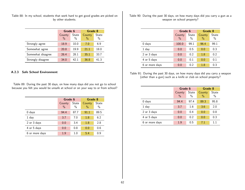Table 88: In my school, students that work hard to get good grades are picked on by other students.

|                   | Grade 6        |               | Grade 8        |               |
|-------------------|----------------|---------------|----------------|---------------|
|                   | County<br>$\%$ | State<br>$\%$ | County<br>$\%$ | State<br>$\%$ |
| Strongly agree    | 18.9           | 10.0          | 7.0            | 6.9           |
| Somewhat agree    | 20.8           | 19.9          | 21.1           | 18.0          |
| Somewhat disagree | 26.4           | 28.1          | 35.1           | 33.7          |
| Strongly disagree | 34.0           | 42 1          | 36.8           | 41 3          |

## A.2.3 Safe School Environment

Table 89: During the past 30 days, on how many days did you not go to school because you felt you would be unsafe at school or on your way to or from school?

|                | Grade 6                 |               | Grade 8        |               |
|----------------|-------------------------|---------------|----------------|---------------|
|                | County<br>$\frac{0}{0}$ | State<br>$\%$ | County<br>$\%$ | State<br>$\%$ |
| $0$ days       | 94.4                    | 87.7          | 91.1           | 89.5          |
| 1 day          | 3.7                     | 7.0           | 1.8            | 6.2           |
| 2 or 3 days    | 0.0                     | 3.4           | 1.8            | 2.8           |
| 4 or 5 days    | 0.0                     | 0.8           | 0.0            | 0.6           |
| 6 or more days | 1.9                     | 1.0           | 5.4            | 0.9           |

Table 90: During the past 30 days, on how many days did you carry a gun as a weapon on school property?

|                | Grade 6                 |               | Grade 8        |               |
|----------------|-------------------------|---------------|----------------|---------------|
|                | County<br>$\frac{0}{0}$ | State<br>$\%$ | County<br>$\%$ | State<br>$\%$ |
| 0 days         | 100.0                   | 99.1          | 96.4           | 99.1          |
| 1 day          | 0.0                     | 0.5           | 0.0            | 0.3           |
| 2 or 3 days    | 0.0                     | 0.2           | 1.8            | 0.2           |
| 4 or 5 days    | 0.0                     | 0.1           | 0.0            | 0.1           |
| 6 or more days | 0.0                     | 0.2           | 1.8            | 0.3           |

Table 91: During the past 30 days, on how many days did you carry a weapon (other than a gun) such as a knife or club on school property?

|                | Grade 6                 |               | Grade 8                 |               |
|----------------|-------------------------|---------------|-------------------------|---------------|
|                | County<br>$\frac{0}{0}$ | State<br>$\%$ | County<br>$\frac{0}{0}$ | State<br>$\%$ |
| 0 days         | 94.4                    | 97.4          | 89.3                    | 95.8          |
| 1 day          | 3.7                     | 1.6           | 3.6                     | 2.0           |
| 2 or 3 days    | 0.0                     | 0.4           | 0.0                     | 0.8           |
| 4 or 5 days    | 0.0                     | 0.2           | 0.0                     | 0.3           |
| 6 or more days | 1.9                     | 0.5           | 7.1                     | 11            |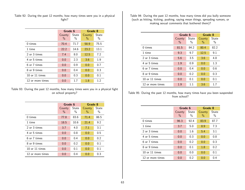Table 92: During the past 12 months, how many times were you in a physical fight?

|                  | Grade 6        |               | Grade 8        |               |
|------------------|----------------|---------------|----------------|---------------|
|                  | County<br>$\%$ | State<br>$\%$ | County<br>$\%$ | State<br>$\%$ |
| $0 \times$       | 70.4           | 71.7          | 58.9           | 75.5          |
| 1 time           | 22.2           | 14.6          | 23.2           | 13.1          |
| 2 or 3 times     | 7.4            | 8.0           | 12.5           | 7.2           |
| 4 or 5 times     | 0.0            | 2.3           | 3.6            | 1.9           |
| 6 or 7 times     | 0.0            | 0.9           | 0.0            | 0.7           |
| 8 or 9 times     | 0.0            | 0.4           | 0.0            | 0.3           |
| 10 or 11 times   | 0.0            | 0.3           | 0.0            | 0.1           |
| 12 or more times | 0.0            | 1.7           | 1.8            | 1.2           |

Table 93: During the past 12 months, how many times were you in a physical fight on school property?

|                    | Grade 6        |               | Grade 8        |               |
|--------------------|----------------|---------------|----------------|---------------|
|                    | County<br>$\%$ | State<br>$\%$ | County<br>$\%$ | State<br>$\%$ |
|                    |                |               |                |               |
| 0 times            | 77.8           | 83.6          | 71.4           | 86.5          |
| 1 time             | 18.5           | 10.6          | 21.4           | 9.2           |
| 2 or 3 times       | 3.7            | 4.0           | 7.1            | 3.1           |
| 4 or 5 times       | 0.0            | 0.8           | 0.0            | 0.5           |
| 6 or 7 times       | 0.0            | 0.4           | 0.0            | 0.2           |
| 8 or 9 times       | 0.0            | 0.2           | 0.0            | 0.1           |
| $10$ or $11$ times | 0.0            | 0.1           | 0.0            | 0.1           |
| 12 or more times   | 0.0            | 0.4           | 0.0            | 0.3           |

Table 94: During the past 12 months, how many times did you bully someone (such as hitting, kicking, pushing, saying mean things, spreading rumors, or making sexual comments that bothered them)?

|                  | Grade 6        |               | Grade 8        |               |
|------------------|----------------|---------------|----------------|---------------|
|                  | County<br>$\%$ | State<br>$\%$ | County<br>$\%$ | State<br>$\%$ |
| $0 \times$       | 81.5           | 84.2          | 80.4           | 82.2          |
| 1 time           | 9.3            | 9.7           | 12.5           | 9.1           |
| 2 or 3 times     | 5.6            | 3.5           | 3.6            | 4.8           |
| 4 or 5 times     | 1.9            | 0.9           | 0.0            | 1.3           |
| 6 or 7 times     | 0.0            | 0.4           | 0.0            | 0.6           |
| 8 or 9 times     | 0.0            | 0.2           | 0.0            | 0.3           |
| 10 or 11 times   | 0.0            | 0.1           | 0.0            | 0.1           |
| 12 or more times | 1.9            | 11            | 3.6            | 17            |

Table 95: During the past 12 months, how many times have you been suspended from school?

|                  | Grade 6        |               | Grade 8        |                        |
|------------------|----------------|---------------|----------------|------------------------|
|                  | County<br>$\%$ | State<br>$\%$ | County<br>$\%$ | State<br>$\frac{0}{0}$ |
| $0 \times$       | 96.3           | 92.4          | 83.9           | 87.7                   |
| 1 time           | 3.7            | 5.0           | 8.9            | 7.3                    |
| 2 or 3 times     | 0.0            | 1.6           | 5.4            | 3.1                    |
| 4 or 5 times     | 0.0            | 0.3           | 0.0            | 0.8                    |
| 6 or 7 times     | 0.0            | 0.2           | 0.0            | 0.3                    |
| 8 or 9 times     | 0.0            | 0.1           | 1.8            | 0.2                    |
| 10 or 11 times   | 0.0            | 0.0           | 0.0            | 0.1                    |
| 12 or more times | 0.0            | 0.2           | 0.0            | 0.4                    |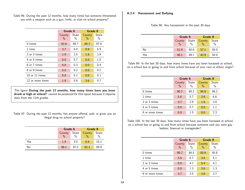Table 96: During the past 12 months, how many times has someone threatened you with a weapon such as a gun, knife, or club on school property?

|                  | Grade 6        |               | Grade 8        |                      |  |
|------------------|----------------|---------------|----------------|----------------------|--|
|                  | County<br>$\%$ | State<br>$\%$ | County<br>$\%$ | <b>State</b><br>$\%$ |  |
| $0 \times$       | 92.6           | 88.7          | 85.7           | 87.8                 |  |
| 1 time           | 3.7            | 6.8           | 8.9            | 6.9                  |  |
| 2 or 3 times     | 1.9            | 2.5           | 1.8            | 2.9                  |  |
| 4 or 5 times     | 0.0            | 0.7           | 0.0            | 1.0                  |  |
| 6 or 7 times     | 0.0            | 0.3           | 0.0            | 0.4                  |  |
| 8 or 9 times     | 0.0            | 0.2           | 0.0            | 0.2                  |  |
| 10 or 11 times   | 0.0            | 0.1           | 0.0            | 0.1                  |  |
| 12 or more times | 1.9            | 0.6           | 3.6            | 0.7                  |  |

The figure During the past 12 months, how many times have you been drunk or high at school? cannot be produced for this report because it requires data from the 11th grades.

Table 97: During the past 12 months, has anyone offered, sold, or given you an illegal drug on school property?

|     | Grade 6         |               | Grade 8       |       |
|-----|-----------------|---------------|---------------|-------|
|     | State<br>County |               | County        | State |
|     | $\frac{0}{0}$   | $\frac{0}{0}$ | $\frac{0}{0}$ | $\%$  |
| Yes | 1.9             | 3.0           | 8.9           | 10.1  |
| No  | 98.1            | 97.0          | 911           | 89.9  |

## A.2.4 Harassment and Bullying

| Table 98: Any harassment in the past 30 days |  |  |  |  |
|----------------------------------------------|--|--|--|--|
|----------------------------------------------|--|--|--|--|

|     |               | Grade 6       |               | Grade 8       |
|-----|---------------|---------------|---------------|---------------|
|     | County        | State         | County        | State         |
|     | $\frac{0}{0}$ | $\frac{0}{0}$ | $\frac{0}{0}$ | $\frac{0}{0}$ |
| No  | 51.9          | 50.9          | 57.1          | 50.0          |
| Yes | 48.1          | 49.1          | 429           | 50.0          |

Table 99: In the last 30 days, how many times have you been harassed at school, on a school bus or going to and from school because of your race or ethnic origin?

|                 | Grade 6        |               | Grade 8        |               |
|-----------------|----------------|---------------|----------------|---------------|
|                 | County<br>$\%$ | State<br>$\%$ | County<br>$\%$ | State<br>$\%$ |
| 0 times         | 90.7           | 89.2          | 94.6           | 86.2          |
| 1 time          | 5.6            | 5.7           | 3.6            | 6.6           |
| 2 or 3 times    | 3.7            | 2.9           | 1.8            | 3.8           |
| 4 or 5 times    | 0.0            | 0.7           | 0.0            | $1.1\,$       |
| 6 or more times | 0.0            | 1.5           | 0.0            | 2.3           |

Table 100: In the last 30 days, how many times have you been harassed at school, on a school bus or going to and from school because someone said you were gay, lesbian, bisexual or transgender?

|                 | Grade 6        |               | Grade 8                 |            |
|-----------------|----------------|---------------|-------------------------|------------|
|                 | County<br>$\%$ | State<br>$\%$ | County<br>$\frac{0}{0}$ | State<br>% |
|                 |                |               |                         |            |
| 0 times         | 90.7           | 84.5          | 83.9                    | 85.8       |
| 1 time          | 5.6            | 6.7           | 3.6                     | 5.1        |
| 2 or 3 times    | 0.0            | 4.1           | 5.4                     | 4.1        |
| 4 or 5 times    | 0.0            | 1.3           | 3.6                     | 1.3        |
| 6 or more times | 37             | 3.5           | 3.6                     | 37         |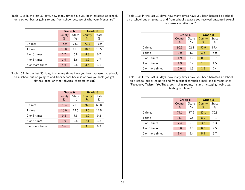Table 101: In the last 30 days, how many times have you been harassed at school, on a school bus or going to and from school because of who your friends are?

|                 | Grade 6        |               | Grade 8                 |               |  |
|-----------------|----------------|---------------|-------------------------|---------------|--|
|                 | County<br>$\%$ | State<br>$\%$ | County<br>$\frac{0}{0}$ | State<br>$\%$ |  |
| $0 \times$      | 75.9           | 78.0          | 73.2                    | 77.9          |  |
| 1 time          | 13.0           | 11.8          | 10.7                    | 10.5          |  |
| 2 or 3 times    | 3.7            | 5.8           | 8.9                     | 6.7           |  |
| 4 or 5 times    | 1.9            | 1.6           | 3.6                     | 1.7           |  |
| 6 or more times | 5.6            | 2.8           | 3.6                     | 3.1           |  |

Table 102: In the last 30 days, how many times have you been harassed at school, on a school bus or going to and from school because of how you look (weight, clothes, acne, or other physical characteristics)?

|                 |                         | Grade 6       |                | Grade 8       |
|-----------------|-------------------------|---------------|----------------|---------------|
|                 | County<br>$\frac{0}{0}$ | State<br>$\%$ | County<br>$\%$ | State<br>$\%$ |
| 0 times         | 70.4                    | 71.3          | 76.8           | 68.8          |
| 1 time          | 13.0                    | 12.5          | 3.6            | 12.5          |
| 2 or 3 times    | 9.3                     | 7.8           | 8.9            | 9.2           |
| 4 or 5 times    | 1.9                     | 2.8           | 7.1            | 3.2           |
| 6 or more times | 5.6                     | 5.7           | 3.6            | 6.3           |

Table 103: In the last 30 days, how many times have you been harassed at school, on a school bus or going to and from school because you received unwanted sexual comments or attention?

|                 | Grade 6                 |               | Grade 8                 |               |
|-----------------|-------------------------|---------------|-------------------------|---------------|
|                 | County<br>$\frac{0}{0}$ | State<br>$\%$ | County<br>$\frac{0}{0}$ | State<br>$\%$ |
| $0 \times$      | 96.3                    | 92.1          | 92.9                    | 87.4          |
| 1 time          | 0.0                     | 4.0           | 3.6                     | 5.0           |
| 2 or 3 times    | 1.9                     | 1.9           | 0.0                     | 3.7           |
| 4 or 5 times    | 1.9                     | 0.7           | 1.8                     | $1.5\,$       |
| 6 or more times | 0.0                     | 1.3           | 1.8                     | 2.4           |

Table 104: In the last 30 days, how many times have you been harassed at school, on a school bus or going to and from school through e-mail, social media sites (Facebook, Twitter, YouTube, etc.), chat rooms, instant messaging, web sites, texting or phone?

|                 | Grade 6        |               | Grade 8        |               |
|-----------------|----------------|---------------|----------------|---------------|
|                 | County<br>$\%$ | State<br>$\%$ | County<br>$\%$ | State<br>$\%$ |
| $0 \times$      | 74.1           | 77.2          | 82.1           | 76.5          |
| 1 time          | 11.1           | 9.6           | 8.9            | 9.1           |
| 2 or 3 times    | 7.4            | 5.8           | 3.6            | 6.3           |
| 4 or 5 times    | 0.0            | 2.0           | 0.0            | 2.5           |
| 6 or more times | 7.4            | 5.4           | 5.4            | 5.7           |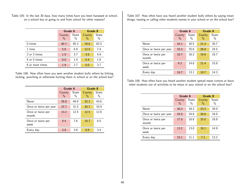Table 105: In the last 30 days, how many times have you been harassed at school, on a school bus or going to and from school for other reasons?

|                 | Grade 6        |               | Grade 8                 |               |
|-----------------|----------------|---------------|-------------------------|---------------|
|                 | County<br>$\%$ | State<br>$\%$ | County<br>$\frac{0}{0}$ | State<br>$\%$ |
| $0 \times$      | 90.7           | 85.3          | 78.6                    | 82.5          |
| 1 time          | 5.6            | 6.9           | 12.5                    | 7.4           |
| 2 or 3 times    | 1.9            | 3.7           | 3.6                     | 4.6           |
| 4 or 5 times    | 0.0            | 1.4           | 5.4                     | 1.8           |
| 6 or more times | 1.9            | 2.7           | 0.0                     | 3.7           |

Table 106: How often have you seen another student bully others by hitting, kicking, punching or otherwise hurting them in school or on the school bus?

|                            | Grade 6        |               | Grade 8        |               |
|----------------------------|----------------|---------------|----------------|---------------|
|                            | County<br>$\%$ | State<br>$\%$ | County<br>$\%$ | State<br>$\%$ |
| Never                      | 35.8           | 44.9          | 32.1           | 43.6          |
| Once or twice per year     | 37.7           | 31.5          | 35.7           | 33.9          |
| Once or twice per<br>month | 13.2           | 12.4          | 12.5           | 12.6          |
| Once or twice per<br>week  | 9.4            | 7.6           | 10.7           | 6.5           |
| Every day                  | 3.8            | 3.6           | 8.9            | 3.4           |

Table 107: How often have you heard another student bully others by saying mean things, teasing or calling other students names in your school or on the school bus?

|                            | Grade 6                 |               | Grade 8                 |                        |
|----------------------------|-------------------------|---------------|-------------------------|------------------------|
|                            | County<br>$\frac{0}{0}$ | State<br>$\%$ | County<br>$\frac{0}{0}$ | State<br>$\frac{0}{0}$ |
| Never                      | 24.1                    | 30.5          | 21.4                    | 26.7                   |
| Once or twice per year     | 33.3                    | 25.6          | 26.8                    | 24.5                   |
| Once or twice per<br>month | 16.7                    | 16.2          | 19.6                    | 18.7                   |
| Once or twice per<br>week  | 9.3                     | 14.6          | 21.4                    | 15.8                   |
| Every day                  | 16.7                    | 13.1          | 10.7                    | 14.3                   |

Table 108: How often have you heard another student spread mean rumors or leave other students out of activities to be mean in your school or on the school bus?

|                            | Grade 6        |               | Grade 8                 |               |
|----------------------------|----------------|---------------|-------------------------|---------------|
|                            | County<br>$\%$ | State<br>$\%$ | County<br>$\frac{0}{0}$ | State<br>$\%$ |
| Never                      | 30.2           | 34.3          | 23.2                    | 29.0          |
| Once or twice per year     | 24.5           | 24.8          | 28.6                    | 24.0          |
| Once or twice per<br>month | 17.0           | 16.8          | 25.0                    | 18.8          |
| Once or twice per<br>week  | 13.2           | 13.0          | 16.1                    | 14.9          |
| Every day                  | 15.1           | 11 1          | 7.1                     | 13.2          |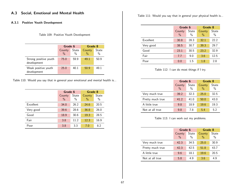A.3.1 Positive Youth Development

#### Table 109: Positive Youth Development

|                                      | Grade 6                 |                        | Grade 8                 |               |
|--------------------------------------|-------------------------|------------------------|-------------------------|---------------|
|                                      | County<br>$\frac{0}{0}$ | State<br>$\frac{0}{0}$ | County<br>$\frac{0}{0}$ | State<br>$\%$ |
| Strong positive youth<br>development | 75.0                    | 59.9                   | 49.1                    | 50.9          |
| Weak positive youth<br>development   | 25.0                    | 40.1                   | 50.9                    | 49.1          |

Table 110: Would you say that in general your emotional and mental health is...

|                  | Grade 6                 |               | Grade 8                 |               |
|------------------|-------------------------|---------------|-------------------------|---------------|
|                  | County<br>$\frac{0}{0}$ | State<br>$\%$ | County<br>$\frac{0}{0}$ | State<br>$\%$ |
| <b>Fxcellent</b> | 34.0                    | 26.2          | 24.6                    | 20.5          |
| Very good        | 39.6                    | 28.6          | 36.8                    | 26.0          |
| Good             | 18.9                    | 30.6          | 19.3                    | 28.5          |
| Fair             | 3.8                     | 11.2          | 12.3                    | 16.9          |
| Poor             | 3.8                     | 3.3           | 7.0                     | 8.2           |

Table 111: Would you say that in general your physical health is...

|           | Grade 6        |               | Grade 8        |               |
|-----------|----------------|---------------|----------------|---------------|
|           | County<br>$\%$ | State<br>$\%$ | County<br>$\%$ | State<br>$\%$ |
| Excellent | 30.8           | 28.3          | 32.1           | 22.2          |
| Very good | 38.5           | 30.7          | 39.3           | 29.7          |
| Good      | 23.1           | 30.5          | 23.2           | 32.9          |
| Fair      | 7.7            | 9.0           | 3.6            | 12.5          |
| Poor      | 0.0            | 1.5           | 1.8            | 2.8           |

Table 112: I can do most things if I try.

|                  | Grade 6        |               | Grade 8                 |               |
|------------------|----------------|---------------|-------------------------|---------------|
|                  | County<br>$\%$ | State<br>$\%$ | County<br>$\frac{0}{0}$ | State<br>$\%$ |
| Very much true   | 39.2           | 32.3          | 25.0                    | 32.5          |
| Pretty much true | 41.2           | 41.0          | 50.0                    | 43.0          |
| A little true    | 9.8            | 18.9          | 19.6                    | 19.3          |
| Not at all true  | 9.8            | 7.8           | 5.4                     | 5.2           |

Table 113: I can work out my problems.

|                  | Grade 6        |               | Grade 8        |               |
|------------------|----------------|---------------|----------------|---------------|
|                  | County<br>$\%$ | State<br>$\%$ | County<br>$\%$ | State<br>$\%$ |
| Very much true   | 42.3           | 34.5          | 25.0           | 30.9          |
| Pretty much true | 42.3           | 42.5          | 51.8           | 43.7          |
| A little true    | 9.6            | 18.1          | 19.6           | 20.5          |
| Not at all true  | 5.8            | 4.9           | 3.6            | 4.9           |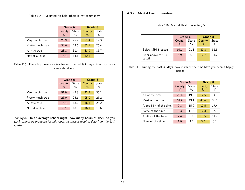Table 114: I volunteer to help others in my community.

|                  | Grade 6 |       | Grade 8 |       |
|------------------|---------|-------|---------|-------|
|                  | County  | State | County  | State |
|                  | $\%$    | $\%$  | $\%$    | $\%$  |
| Very much true   | 26.9    | 25.9  | 21.4    | 19.3  |
| Pretty much true | 34.6    | 28.6  | 32.1    | 25.4  |
| A little true    | 23.1    | 31.4  | 33.9    | 35.7  |
| Not at all true  | 15.4    | 14.1  | 12.5    | 19.7  |

Table 115: There is at least one teacher or other adult in my school that really cares about me.

|                  | Grade 6 |               | Grade 8 |       |
|------------------|---------|---------------|---------|-------|
|                  | County  | State         | County  | State |
|                  | $\%$    | $\frac{0}{0}$ | $\%$    | $\%$  |
| Very much true   | 51.9    | 45.9          | 42.9    | 36.1  |
| Pretty much true | 25.0    | 25.1          | 25.0    | 27.2  |
| A little true    | 15.4    | 18.2          | 16.1    | 23.2  |
| Not at all true  | 7.7     | 10.8          | 16.1    | 13.6  |

The figure On an average school night, how many hours of sleep do you get? cannot be produced for this report because it requires data from the 11th grades.

#### A.3.2 Mental Health Inventory

Table 116: Mental Health Inventory 5

|                             | Grade 6                 |                        | Grade 8                 |               |
|-----------------------------|-------------------------|------------------------|-------------------------|---------------|
|                             | County<br>$\frac{0}{0}$ | State<br>$\frac{0}{0}$ | County<br>$\frac{0}{0}$ | State<br>$\%$ |
| Below MHI-5 cutoff          | 94.1                    | 91.1                   | 87.3                    | 85.8          |
| At or above MHI-5<br>cutoff | 5.9                     | 89                     | 127                     | 14.2          |

Table 117: During the past 30 days, how much of the time have you been a happy person

|                        | Grade 6        |               | Grade 8        |               |
|------------------------|----------------|---------------|----------------|---------------|
|                        | County<br>$\%$ | State<br>$\%$ | County<br>$\%$ | State<br>$\%$ |
| All of the time        | 20.4           | 19.8          | 17.5           | 14.1          |
| Most of the time       | 51.9           | 43.1          | 45.6           | 38.1          |
| A good bit of the time | 9.3            | 15.0          | 10.5           | 17.4          |
| Some of the time       | 9.3            | 11.8          | 12.3           | 16.1          |
| A little of the time   | 7.4            | 8.1           | 10.5           | 11.2          |
| None of the time       | 1.9            | 22            | 3.5            | 31            |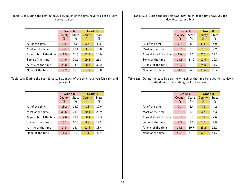Table 118: During the past 30 days, how much of the time have you been a very nervous person

|                        | Grade 6                 |               | Grade 8        |            |
|------------------------|-------------------------|---------------|----------------|------------|
|                        | County<br>$\frac{0}{0}$ | State<br>$\%$ | County<br>$\%$ | State<br>% |
| All of the time        | 1.9                     | 7.0           | 5.3            | 8.5        |
| Most of the time       | 3.8                     | 10.4          | 3.5            | 13.0       |
| A good bit of the time | 11.5                    | 11.0          | 12.3           | 14.0       |
| Some of the time       | 34.6                    | 20.1          | 29.8           | 21.3       |
| A little of the time   | 28.8                    | 34.9          | 28.1           | 30.2       |
| None of the time       | 19.2                    | 16.6          | 21 1           | 13.0       |

Table 119: During the past 30 days, how much of the time have you felt calm and peaceful

|                        | Grade 6        |               | Grade 8                 |               |
|------------------------|----------------|---------------|-------------------------|---------------|
|                        | County<br>$\%$ | State<br>$\%$ | County<br>$\frac{0}{0}$ | State<br>$\%$ |
| All of the time        | 13.2           | 15.0          | 1.8                     | 10.6          |
| Most of the time       | 39.6           | 26.9          | 30.4                    | 23.9          |
| A good bit of the time | 17.0           | 19.1          | 30.4                    | 19.3          |
| Some of the time       | 15.1           | 16.3          | 8.9                     | 19.2          |
| A little of the time   | 3.8            | 14.4          | 21.4                    | 18.4          |
| None of the time       | 11.3           | 8.3           | 7.1                     | 8.7           |

Table 120: During the past 30 days, how much of the time have you felt downhearted and blue

|                        | Grade 6        |               | Grade 8        |               |
|------------------------|----------------|---------------|----------------|---------------|
|                        | County<br>$\%$ | State<br>$\%$ | County<br>$\%$ | State<br>$\%$ |
| All of the time        | 7.4            | 3.9           | 5.3            | 5.0           |
| Most of the time       | 3.7            | 7.1           | 7.0            | 9.2           |
| A good bit of the time | 1.9            | 8.6           | 7.0            | 11.6          |
| Some of the time       | 14.8           | 14.2          | 17.5           | 16.7          |
| A little of the time   | 40.7           | 31.9          | 24.6           | 31.2          |
| None of the time       | 31.5           | 34.2          | 38.6           | 26.4          |

Table 121: During the past 30 days, how much of the time have you felt so down in the dumps that nothing could cheer you up

|                        | Grade 6 |       | Grade 8 |              |
|------------------------|---------|-------|---------|--------------|
|                        | County  | State | County  | <b>State</b> |
|                        | $\%$    | $\%$  | $\%$    | $\%$         |
| All of the time        | 9.3     | 3.4   | 7.1     | 4.2          |
| Most of the time       | 3.7     | 5.0   | 3.6     | 6.3          |
| A good bit of the time | 3.7     | 5.6   | 7.1     | 7.6          |
| Some of the time       | 9.3     | 8.5   | 1.8     | 9.8          |
| A little of the time   | 14.8    | 19.7  | 23.2    | 21.0         |
| None of the time       | 59.3    | 57.9  | 571     | 51.2         |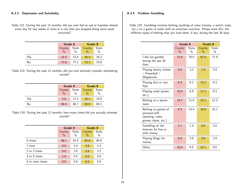### A.3.3 Depression and Suicidality

Table 122: During the past 12 months, did you ever feel so sad or hopeless almost every day for two weeks or more in a row that you stopped doing some usual activities?

|     | Grade 6      |      | <b>Grade 8</b>      |               |
|-----|--------------|------|---------------------|---------------|
|     | County State |      | County State        |               |
|     | $\%$         | $\%$ | $\frac{0}{0}$       | $\frac{0}{0}$ |
| Yes | 22.2         | 22.8 | $-26.3$             | 29.2          |
| No  | 77.8         | 77.2 | $\blacksquare$ 73.7 | 70.8          |

Table 123: During the past 12 months, did you ever seriously consider attempting suicide?

|     | Grade 6         |               | Grade 8       |               |
|-----|-----------------|---------------|---------------|---------------|
|     | State<br>County |               | County        | State         |
|     | $\frac{0}{0}$   | $\frac{0}{0}$ | $\frac{0}{0}$ | $\frac{0}{0}$ |
| Yes | 5.6             | 13.3          | 16.1          | 19.9          |
| No  | 94.4            | 86.7          | 83.9          | 80.1          |

Table 124: During the past 12 months, how many times did you actually attempt suicide?

|                 | Grade 6        |               | Grade 8        |               |
|-----------------|----------------|---------------|----------------|---------------|
|                 | County<br>$\%$ | State<br>$\%$ | County<br>$\%$ | State<br>$\%$ |
| $0 \times$      | 98.1           | 92.5          | 92.9           | 89.8          |
| 1 time          | 0.0            | 4.3           | 3.6            | 5.3           |
| 2 or 3 times    | 0.0            | 2.0           | 3.6            | 3.2           |
| 4 or 5 times    | 1.9            | 0.5           | 0.0            | 0.8           |
| 6 or more times | 0.0            | 0.6           | 0.0            | 0.8           |

## A.3.4 Problem Gambling

Table 125: Gambling involves betting anything of value (money, a watch, soda, etc.) on a game or event with an uncertain outcome. Please mark ALL the different types of betting that you have done, if any, during the last 30 days:

|                                                                                  | Grade 6        |               | Grade 8                 |               |
|----------------------------------------------------------------------------------|----------------|---------------|-------------------------|---------------|
|                                                                                  | County<br>$\%$ | State<br>$\%$ | County<br>$\frac{0}{0}$ | State<br>$\%$ |
| I did not gamble<br>during the last 30<br>days.                                  | 72.9           | 76.0          | 67.9                    | 71.9          |
| Playing lottery tickets<br>Powerball /<br>Megabucks.                             | 0.0            | 3.2           | 1.9                     | 3.9           |
| Playing dice or coin<br>flips.                                                   | 6.3            | 9.1           | 13.2                    | 9.3           |
| Playing cards (poker,<br>$etc.$ ).                                               | 10.4           | 6.9           | 11.3                    | 9.3           |
| Betting on a sports<br>team.                                                     | 16.7           | 11.0          | 15.1                    | 12.3          |
| Betting on games of<br>personal skill<br>(bowling, video<br>games, dares, etc.). | 8.3            | 14.4          | 18.9                    | 16.1          |
| Gambling on the<br>Internet for free or<br>with money.                           | 2.1            | 1.4           | 0.0                     | 2.8           |
| Playing Bingo for<br>money.                                                      | 0.0            | 3.0           | 3.8                     | 2.9           |
| Other.                                                                           | 10.4           | 9.5           | 15.1                    | 9.6           |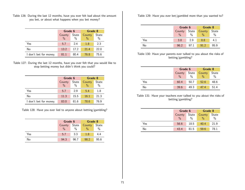Table 126: During the last 12 months, have you ever felt bad about the amount you bet, or about what happens when you bet money?

|                        | Grade 6        |               | Grade 8        |               |
|------------------------|----------------|---------------|----------------|---------------|
|                        | County<br>$\%$ | State<br>$\%$ | County<br>$\%$ | State<br>$\%$ |
| Yes                    | 5.7            | 2.4           | 1.8            | 2.3           |
| No                     | 13.2           | 17.2          | 21.4           | 22.0          |
| I don't bet for money. | 81.1           | 80.4          | 76.8           | 75.6          |

Table 127: During the last 12 months, have you ever felt that you would like to stop betting money but didn't think you could?

|                        | Grade 6       |       | Grade 8 |       |
|------------------------|---------------|-------|---------|-------|
|                        | County        | State | County  | State |
|                        | $\frac{0}{0}$ | $\%$  | $\%$    | $\%$  |
| Yes                    | 5.7           | 2.9   | 5.4     | 1.8   |
| No                     | 11.3          | 15.5  | 16.1    | 21.3  |
| I don't bet for money. | 83.0          | 81.6  | 78.6    | 76.9  |

Table 128: Have you ever lied to anyone about betting/gambling?

|     | Grade 6         |               | Grade 8       |               |
|-----|-----------------|---------------|---------------|---------------|
|     | State<br>County |               | County        | State         |
|     | $\frac{0}{0}$   | $\frac{0}{0}$ | $\frac{0}{0}$ | $\frac{0}{0}$ |
| Yes | 5.7             | 3.3           | 1.8           | 4.4           |
| No  | 94.3            | 96.7          | 98.2          | 95.6          |

Table 129: Have you ever bet/gambled more than you wanted to?

|     | Grade 6       |       | Grade 8       |               |
|-----|---------------|-------|---------------|---------------|
|     | County        | State | <b>County</b> | State         |
|     | $\frac{0}{0}$ | $\%$  | $\frac{0}{0}$ | $\frac{0}{0}$ |
| Yes | 3.8           | 2.9   | 8.8           | 4.1           |
| No  | 96.2          | 97.1  | 912           | 95.9          |

Table 130: Have your parents ever talked to you about the risks of betting/gambling?

|     | Grade 6         |               | Grade 8       |               |
|-----|-----------------|---------------|---------------|---------------|
|     | State<br>County |               | <b>County</b> | State         |
|     | $\frac{0}{0}$   | $\frac{0}{0}$ |               | $\frac{0}{0}$ |
| Yes | 60.4            | 50.7          | 52.6          | 48.6          |
| No  | 39.6            | 49.3          | 47.4          | 51.4          |

Table 131: Have your teachers ever talked to you about the risks of betting/gambling?

|     | Grade 6       |               | Grade 8       |       |
|-----|---------------|---------------|---------------|-------|
|     | County        | State         | County        | State |
|     | $\frac{0}{0}$ | $\frac{0}{0}$ | $\frac{0}{0}$ | $\%$  |
| Yes | 56.6          | 18.5          | 40.4          | 21.9  |
| No  | 43.4          | 81.5          | 59.6          | 78.1  |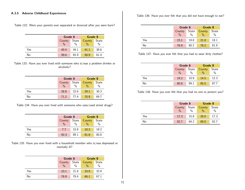#### A.3.5 Adverse Childhood Experiences

Table 132: Were your parents ever separated or divorced after you were born?

|     | Grade 6       |               | Grade 8       |               |
|-----|---------------|---------------|---------------|---------------|
|     | <b>County</b> | State         | County        | State         |
|     | $\frac{0}{0}$ | $\frac{0}{0}$ | $\frac{0}{0}$ | $\frac{0}{0}$ |
| Yes | 40.4          | 34.1          | 41.1          | 38.6          |
| No  | 59.6          | 65.9          | 58.9          | 61.4          |

Table 133: Have you ever lived with someone who is/was a problem drinker or alcoholic?

|     | Grade 6         |               | Grade 8       |               |
|-----|-----------------|---------------|---------------|---------------|
|     | State<br>County |               | <b>County</b> | State         |
|     | $\frac{0}{0}$   | $\frac{0}{0}$ | $\%$          | $\frac{0}{0}$ |
| Yes | 28.8            | 22.6          | 29.1          | 30.3          |
| No  | 71.2            | 77.4          | 70 Q          | 69.7          |

| Table 134: Have you ever lived with someone who uses/used street drugs? |  |  |  |  |  |  |
|-------------------------------------------------------------------------|--|--|--|--|--|--|
|-------------------------------------------------------------------------|--|--|--|--|--|--|

|     | Grade 6       |               | Grade 8       |               |
|-----|---------------|---------------|---------------|---------------|
|     | County        | State         | County        | State         |
|     | $\frac{0}{0}$ | $\frac{0}{0}$ | $\frac{0}{0}$ | $\frac{0}{0}$ |
| Yes | 7.7           | 10.9          | 18.2          | 19.2          |
| No  | 92.3          | 89.1          | 81.8          | 80.8          |

Table 135: Have you ever lived with a household member who is/was depressed or mentally ill?

|     | Grade 6                 |                        | Grade 8                        |                        |
|-----|-------------------------|------------------------|--------------------------------|------------------------|
|     | County<br>$\frac{0}{0}$ | State<br>$\frac{0}{0}$ | <b>County</b><br>$\frac{0}{0}$ | State<br>$\frac{0}{0}$ |
| Yes | 23.1                    | 21.6                   | 33.9                           | 32.9                   |
| No  | 76.9                    | 78.4                   | 66.1                           | 67.1                   |

Table 136: Have you ever felt that you did not have enough to eat?

|     | Grade 6       |               | Grade 8       |               |
|-----|---------------|---------------|---------------|---------------|
|     | County        | State         | County        | State         |
|     | $\frac{0}{0}$ | $\frac{0}{0}$ | $\frac{0}{0}$ | $\frac{0}{0}$ |
| Yes | 23.1          | 19.8          | 21.8          | 18.1          |
| No  | 76.9          | 80.2          | 78.2          | 81.9          |

Table 137: Have you ever felt that you had to wear dirty clothes?

|     | Grade 6         |               | Grade 8       |       |
|-----|-----------------|---------------|---------------|-------|
|     | State<br>County |               | County        | State |
|     | $\frac{0}{0}$   | $\frac{0}{0}$ | $\frac{0}{0}$ | $\%$  |
| Yes | 19.2            | 10.9          | 14.5          | 12.3  |
| No  | 80.8            | 89.1          | 85.5          | 87.7  |

Table 138: Have you ever felt that you had no one to protect you?

|     | Grade 6       |               | Grade 8       |               |
|-----|---------------|---------------|---------------|---------------|
|     | County        | State         | County        | State         |
|     | $\frac{0}{0}$ | $\frac{0}{0}$ | $\frac{0}{2}$ | $\frac{0}{0}$ |
| Yes | 17.3          | 15.8          | <b>20.0</b>   | 17.3          |
| No  | 82.7          | 84.2          | 80.0          | 82.7          |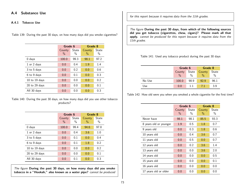# A.4 Substance Use

### A.4.1 Tobacco Use

Table 139: During the past 30 days, on how many days did you smoke cigarettes?

|               |                | Grade 6       |                | Grade 8              |
|---------------|----------------|---------------|----------------|----------------------|
|               | County<br>$\%$ | State<br>$\%$ | County<br>$\%$ | <b>State</b><br>$\%$ |
| $0$ days      | 100.0          | 99.3          | 98.1           | 97.2                 |
| 1 or 2 days   | 0.0            | 0.4           | 1.9            | 1.4                  |
| 3 to 5 days   | 0.0            | 0.2           | 0.0            | 0.6                  |
| 6 to 9 days   | 0.0            | 0.1           | 0.0            | 0.3                  |
| 10 to 19 days | 0.0            | 0.0           | 0.0            | 0.2                  |
| 20 to 29 days | 0.0            | 0.0           | 0.0            | 0.1                  |
| All 30 days   | 0.0            | 0.0           | 0.0            | 0.3                  |

Table 140: During the past 30 days, on how many days did you use other tobacco products?

|                   | Grade 6        |               | Grade 8        |               |
|-------------------|----------------|---------------|----------------|---------------|
|                   | County<br>$\%$ | State<br>$\%$ | County<br>$\%$ | State<br>$\%$ |
| $0$ days          | 100.0          | 99.4          | 94.6           | 97.8          |
| 1 or 2 days       | 0.0            | 0.4           | 3.6            | 1.0           |
| 3 to 5 days       | 0.0            | 0.1           | 0.0            | 0.4           |
| 6 to 9 days       | 0.0            | 0.1           | 1.8            | 0.2           |
| 10 to 19 days     | 0.0            | 0.0           | 0.0            | 0.2           |
| $20$ to $29$ days | 0.0            | 0.0           | 0.0            | 0.1           |
| All 30 days       | 0.0            | 0.1           | 0.0            | 0.3           |

The figure During the past 30 days, on how many days did you smoke tobacco in a "Hookah," also known as a water pipe? cannot be produced for this report because it requires data from the 11th grades.

The figure During the past 30 days, from which of the following sources did you get tobacco (cigarettes, chew, cigars)? Please mark all that apply. cannot be produced for this report because it requires data from the 11th grades.

Table 141: Used any tobacco product during the past 30 days

|        | Grade 6       |               | Grade 8       |               |
|--------|---------------|---------------|---------------|---------------|
|        | County        | State         | County        | State         |
|        | $\frac{0}{0}$ | $\frac{0}{0}$ | $\frac{0}{0}$ | $\frac{0}{0}$ |
| No Use | 100.0         | 98.9          | 92.9          | 96.1          |
| Use    | 0.0           | 11            | 71            | 3.9           |

Table 142: How old were you when you smoked a whole cigarette for the first time?

|                        | Grade 6        |               | Grade 8        |            |
|------------------------|----------------|---------------|----------------|------------|
|                        | County<br>$\%$ | State<br>$\%$ | County<br>$\%$ | State<br>% |
| Never have             | 98.1           | 98.1          | 85.5           | 93.3       |
| 8 years old or younger | 1.9            | 0.5           | 1.8            | 0.7        |
| 9 years old            | 0.0            | 0.3           | 1.8            | 0.6        |
| 10 years old           | 0.0            | 0.4           | 3.6            | 0.7        |
| 11 years old           | 0.0            | 0.5           | 0.0            | 0.7        |
| 12 years old           | 0.0            | 0.2           | 3.6            | 1.4        |
| 13 years old           | 0.0            | 0.0           | 3.6            | 2.0        |
| 14 years old           | 0.0            | 0.0           | 0.0            | 0.5        |
| 15 years old           | 0.0            | 0.0           | 0.0            | 0.1        |
| 16 years old           | 0.0            | 0.0           | 0.0            | 0.0        |
| 17 years old or older  | 0.0            | 0.0           | 0.0            | 0.0        |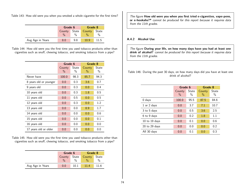Table 143: How old were you when you smoked a whole cigarette for the first time?

|                  | Grade 6       |               | Grade 8 |       |
|------------------|---------------|---------------|---------|-------|
|                  | County        | State         | County  | State |
|                  | $\frac{0}{0}$ | $\frac{0}{0}$ |         | $\%$  |
| Avg Age in Years | 8.0           | 9.8           | 10.9    | 115   |

Table 144: How old were you the first time you used tobacco products other than cigarettes such as snuff, chewing tobacco, and smoking tobacco from a pipe?

|                        | Grade 6                 |            | Grade 8                 |               |
|------------------------|-------------------------|------------|-------------------------|---------------|
|                        | County<br>$\frac{0}{0}$ | State<br>% | County<br>$\frac{0}{0}$ | State<br>$\%$ |
| Never have             | 100.0                   | 98.3       | 85.7                    | 94.3          |
| 8 years old or younger | 0.0                     | 0.3        | 3.6                     | 0.7           |
| 9 years old            | 0.0                     | 0.3        | 0.0                     | 0.4           |
| 10 years old           | 0.0                     | 0.3        | 1.8                     | 0.5           |
| 11 years old           | 0.0                     | 0.5        | 0.0                     | 0.5           |
| 12 years old           | 0.0                     | 0.3        | 0.0                     | 1.2           |
| 13 years old           | 0.0                     | 0.0        | 8.9                     | 1.7           |
| 14 years old           | 0.0                     | 0.0        | 0.0                     | 0.6           |
| 15 years old           | 0.0                     | 0.0        | 0.0                     | 0.1           |
| 16 years old           | 0.0                     | 0.0        | 0.0                     | 0.0           |
| 17 years old or older  | 0.0                     | 0.0        | 0.0                     | 0.0           |

Table 145: How old were you the first time you used tobacco products other than cigarettes such as snuff, chewing tobacco, and smoking tobacco from a pipe?

|                  | Grade 6                 |               | Grade 8            |      |
|------------------|-------------------------|---------------|--------------------|------|
|                  | County<br>$\frac{0}{0}$ | $\frac{0}{0}$ | State County State |      |
| Avg Age in Years | 0.0                     | 10.1          | 11 4               | 11 6 |

The figure How old were you when you first tried e-cigarettes, vape-pens, or e-hookahs?\* cannot be produced for this report because it requires data from the 11th grades.

## A.4.2 Alcohol Use

The figure During your life, on how many days have you had at least one drink of alcohol? cannot be produced for this report because it requires data from the 11th grades.

Table 146: During the past 30 days, on how many days did you have at least one drink of alcohol?

|                   | Grade 6        |               | Grade 8        |               |
|-------------------|----------------|---------------|----------------|---------------|
|                   | County<br>$\%$ | State<br>$\%$ | County<br>$\%$ | State<br>$\%$ |
| 0 days            | 100.0          | 95.5          | 87.5           | 84.6          |
| 1 or 2 days       | 0.0            | 3.7           | 7.1            | 10.7          |
| 3 to 5 days       | 0.0            | 0.5           | 3.6            | 2.5           |
| 6 to 9 days       | 0.0            | 0.2           | 1.8            | 1.1           |
| 10 to 19 days     | 0.0            | 0.1           | 0.0            | 0.6           |
| $20$ to $29$ days | 0.0            | 0.0           | 0.0            | 0.2           |
| All 30 days       | 0.0            | 0.1           | 0.0            | 0.3           |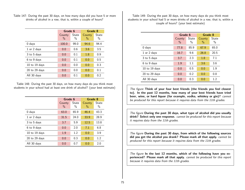Table 147: During the past 30 days, on how many days did you have 5 or more drinks of alcohol in a row, that is, within a couple of hours?

|                   |                | Grade 6       |                | Grade 8              |
|-------------------|----------------|---------------|----------------|----------------------|
|                   | County<br>$\%$ | State<br>$\%$ | County<br>$\%$ | <b>State</b><br>$\%$ |
| $0$ days          | 100.0          | 99.0          | 94.6           | 94.4                 |
| 1 or 2 days       | 0.0            | 0.6           | 3.6            | 3.5                  |
| 3 to 5 days       | 0.0            | 0.1           | 1.8            | 0.9                  |
| 6 to 9 days       | 0.0            | 0.1           | 0.0            | 0.5                  |
| 10 to 19 days     | 0.0            | 0.0           | 0.0            | 0.3                  |
| $20$ to $29$ days | 0.0            | 0.0           | 0.0            | 0.1                  |
| All 30 days       | 0.0            | 0.1           | 0.0            | 0.2                  |

Table 148: During the past 30 days, on how many days do you think most students in your school had at least one drink of alcohol? (your best estimate)

|                   | Grade 6       |       | Grade 8 |       |
|-------------------|---------------|-------|---------|-------|
|                   | County        | State | County  | State |
|                   | $\frac{0}{0}$ | $\%$  | $\%$    | $\%$  |
| 0 days            | 63.0          | 65.9  | 46.4    | 43.3  |
| 1 or 2 days       | 31.5          | 24.0  | 33.9    | 28.9  |
| 3 to 5 days       | 3.7           | 5.9   | 12.5    | 13.8  |
| 6 to 9 days       | 0.0           | 2.0   | 7.1     | 6.8   |
| 10 to 19 days     | 1.9           | 1.2   | 0.0     | 3.9   |
| $20$ to $29$ days | 0.0           | 0.3   | 0.0     | 1.2   |
| All 30 days       | 0.0           | 0.7   | 0.0     | 2.0   |

Table 149: During the past 30 days, on how many days do you think most students in your school had 5 or more drinks of alcohol in a row, that is, within a couple of hours? (your best estimate)

|                   |                | Grade 6       |                         | Grade 8       |  |
|-------------------|----------------|---------------|-------------------------|---------------|--|
|                   | County<br>$\%$ | State<br>$\%$ | County<br>$\frac{0}{0}$ | State<br>$\%$ |  |
| 0 days            | 77.8           | 85.9          | 67.9                    | 65.0          |  |
| 1 or 2 days       | 16.7           | 9.6           | 26.8                    | 20.5          |  |
| 3 to 5 days       | 3.7            | 2.3           | 1.8                     | 7.1           |  |
| 6 to 9 days       | 1.9            | 1.1           | 3.6                     | 3.6           |  |
| 10 to 19 days     | 0.0            | 0.5           | 0.0                     | 1.9           |  |
| $20$ to $29$ days | 0.0            | 0.2           | 0.0                     | 0.8           |  |
| All 30 days       | 0.0            | 0.3           | 0.0                     | 1.2           |  |

The figure Think of your four best friends (the friends you feel closest to). In the past 12 months, how many of your best friends have tried beer, wine, or hard liquor (for example, vodka, whiskey or gin)? cannot be produced for this report because it requires data from the 11th grades.

The figure During the past 30 days, what type of alcohol did you usually drink? Select only one response. cannot be produced for this report because it requires data from the 11th grades.

The figure During the past 30 days, from which of the following sources did you get the alcohol you drank? Please mark all that apply. cannot be produced for this report because it requires data from the 11th grades.

The figure In the last 12 months, which of the following have you experienced? Please mark all that apply. cannot be produced for this report because it requires data from the 11th grades.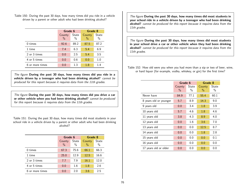Table 150: During the past 30 days, how many times did you ride in a vehicle driven by a parent or other adult who had been drinking alcohol?

|                 | Grade 6                 |                        | Grade 8        |               |
|-----------------|-------------------------|------------------------|----------------|---------------|
|                 | County<br>$\frac{0}{0}$ | State<br>$\frac{0}{0}$ | County<br>$\%$ | State<br>$\%$ |
| $0 \times$      | 92.6                    | 89.2                   | 87.5           | 87.2          |
| 1 time          | 7.4                     | 6.3                    | 5.4            | 6.9           |
| 2 or 3 times    | 0.0                     | 2.5                    | 5.4            | 3.5           |
| 4 or 5 times    | 0.0                     | 0.6                    | 0.0            | 1.0           |
| 6 or more times | 0.0                     | 1.3                    | 1.8            | 1.4           |

The figure During the past 30 days, how many times did you ride in a vehicle driven by a teenager who had been drinking alcohol? cannot be produced for this report because it requires data from the 11th grades.

The figure During the past 30 days, how many times did you drive a car or other vehicle when you had been drinking alcohol? cannot be produced for this report because it requires data from the 11th grades.

Table 151: During the past 30 days, how many times did most students in your school ride in a vehicle driven by a parent or other adult who had been drinking alcohol?

|                 |               | Grade 6 |        | Grade 8 |
|-----------------|---------------|---------|--------|---------|
|                 | County        | State   | County | State   |
|                 | $\frac{0}{0}$ | %       | $\%$   | $\%$    |
| $0 \times$      | 67.3          | 75.6    | 66.1   | 66.3    |
| 1 time          | 25.0          | 12.9    | 12.5   | 16.6    |
| 2 or 3 times    | 7.7           | 7.9     | 16.1   | 12.0    |
| 4 or 5 times    | 0.0           | 1.6     | 1.8    | 2.6     |
| 6 or more times | 0.0           | 2.0     | 3.6    | 2.5     |

The figure During the past 30 days, how many times did most students in your school ride in a vehicle driven by a teenager who had been drinking alcohol? cannot be produced for this report because it requires data from the 11th grades.

The figure During the past 30 days, how many times did most students in your school drive a car or other vehicle when they had been drinking alcohol? cannot be produced for this report because it requires data from the 11th grades.

Table 152: How old were you when you had more than a sip or two of beer, wine, or hard liquor (for example, vodka, whiskey, or gin) for the first time?

|                        | Grade 6        |                        | Grade 8        |                        |  |
|------------------------|----------------|------------------------|----------------|------------------------|--|
|                        | County<br>$\%$ | State<br>$\frac{0}{0}$ | County<br>$\%$ | State<br>$\frac{0}{0}$ |  |
| Never have             | 84.9           | 77.1                   | 55.4           | 60.1                   |  |
| 8 years old or younger | 5.7            | 8.9                    | 14.3           | 9.0                    |  |
| 9 years old            | 0.0            | 3.4                    | 1.8            | 3.9                    |  |
| 10 years old           | 5.7            | 4.6                    | 1.8            | 4.6                    |  |
| 11 years old           | 3.8            | 4.3                    | 8.9            | 4.0                    |  |
| 12 years old           | 0.0            | 1.6                    | 3.6            | 7.0                    |  |
| 13 years old           | 0.0            | 0.0                    | 12.5           | 8.7                    |  |
| 14 years old           | 0.0            | 0.0                    | 1.8            | 2.8                    |  |
| 15 years old           | 0.0            | 0.0                    | 0.0            | 0.1                    |  |
| 16 years old           | 0.0            | 0.0                    | 0.0            | 0.0                    |  |
| 17 years old or older  | 0.0            | 0.0                    | 0.0            | 0.0                    |  |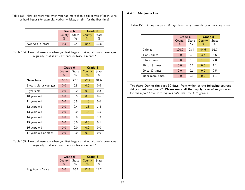Table 153: How old were you when you had more than a sip or two of beer, wine, or hard liquor (for example, vodka, whiskey, or gin) for the first time?

|                  | Grade 6                 |                        | <b>Grade 8</b> |               |
|------------------|-------------------------|------------------------|----------------|---------------|
|                  | County<br>$\frac{0}{0}$ | State<br>$\frac{0}{0}$ | County         | State<br>$\%$ |
| Avg Age in Years | 9.5                     | 94                     | 10.7           | 10.8          |

Table 154: How old were you when you first began drinking alcoholic beverages regularly, that is at least once or twice a month?

|                        | Grade 6                 |                        | Grade 8                 |                        |
|------------------------|-------------------------|------------------------|-------------------------|------------------------|
|                        | County<br>$\frac{0}{0}$ | State<br>$\frac{0}{0}$ | County<br>$\frac{0}{0}$ | State<br>$\frac{0}{0}$ |
| Never have             | 100.0                   | 97.8                   | 92.9                    | 91.6                   |
| 8 years old or younger | 0.0                     | 0.5                    | 0.0                     | 0.6                    |
| 9 years old            | 0.0                     | 0.2                    | 0.0                     | 0.3                    |
| 10 years old           | 0.0                     | 0.5                    | 0.0                     | 0.6                    |
| 11 years old           | 0.0                     | 0.5                    | 1.8                     | 0.6                    |
| 12 years old           | 0.0                     | 0.4                    | 1.8                     | 1.4                    |
| 13 years old           | 0.0                     | 0.0                    | 1.8                     | 3.5                    |
| 14 years old           | 0.0                     | 0.0                    | 1.8                     | 1.3                    |
| 15 years old           | 0.0                     | 0.0                    | 0.0                     | 0.1                    |
| 16 years old           | 0.0                     | 0.0                    | 0.0                     | 0.0                    |
| 17 years old or older  | 0.0                     | 0.0                    | 0.0                     | 0.0                    |

Table 155: How old were you when you first began drinking alcoholic beverages regularly, that is at least once or twice a month?

|                  | Grade 6       |               | <b>Grade 8</b> |       |
|------------------|---------------|---------------|----------------|-------|
|                  | County State  |               | County         | State |
|                  | $\frac{0}{0}$ | $\frac{0}{6}$ |                |       |
| Avg Age in Years | 0.0           | 10 1          | 12.5           | 122   |

# A.4.3 Marijuana Use

Table 156: During the past 30 days, how many times did you use marijuana?

|                  | Grade 6        |               | Grade 8                 |                      |
|------------------|----------------|---------------|-------------------------|----------------------|
|                  | County<br>$\%$ | State<br>$\%$ | County<br>$\frac{0}{0}$ | <b>State</b><br>$\%$ |
| $0 \times$       | 100.0          | 98.4          | 94.6                    | 91.7                 |
| 1 or 2 times     | 0.0            | 0.9           | 3.6                     | 3.6                  |
| 3 to 9 times     | 0.0            | 0.3           | 1.8                     | 2.0                  |
| 10 to 19 times   | 0.0            | 0.1           | 0.0                     | 1.1                  |
| 20 to 39 times   | 0.0            | 0.1           | 0.0                     | 0.5                  |
| 40 or more times | 0.0            | 0.1           | 0.0                     | 1.1                  |

The figure During the past 30 days, from which of the following sources did you get marijuana? Please mark all that apply. cannot be produced for this report because it requires data from the 11th grades.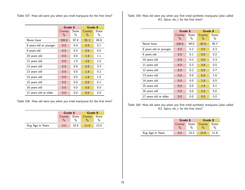Table 157: How old were you when you tried marijuana for the first time?

|                        | Grade 6        |                        | Grade 8                 |                        |
|------------------------|----------------|------------------------|-------------------------|------------------------|
|                        | County<br>$\%$ | State<br>$\frac{0}{0}$ | County<br>$\frac{0}{0}$ | State<br>$\frac{0}{0}$ |
|                        |                |                        |                         |                        |
| Never have             | 100.0          | 97.0                   | 91.1                    | 86.0                   |
| 8 years old or younger | 0.0            | 0.4                    | 0.0                     | 0.7                    |
| 9 years old            | 0.0            | 0.3                    | 0.0                     | 0.5                    |
| 10 years old           | 0.0            | 0.6                    | 1.8                     | 1.1                    |
| 11 years old           | 0.0            | 1.0                    | 3.6                     | 1.5                    |
| 12 years old           | 0.0            | 0.6                    | 0.0                     | 3.3                    |
| 13 years old           | 0.0            | 0.0                    | 1.8                     | 5.2                    |
| 14 years old           | 0.0            | 0.0                    | 1.8                     | $1.5\,$                |
| 15 years old           | 0.0            | 0.0                    | 0.0                     | 0.1                    |
| 16 years old           | 0.0            | 0.0                    | 0.0                     | 0.0                    |
| 17 years old or older  | 0.0            | 0.0                    | 0.0                     | 0.0                    |

Table 158: How old were you when you tried marijuana for the first time?

|                  | Grade 6       |               | Grade 8       |       |  |
|------------------|---------------|---------------|---------------|-------|--|
|                  | County State  |               | County        | State |  |
|                  | $\frac{0}{0}$ | $\frac{0}{6}$ | $\frac{0}{0}$ | $\%$  |  |
| Avg Age in Years | 0.0           | 10.4          | 11.8          | 12.0  |  |

Table 159: How old were you when you first tried synthetic marijuana (also called K2, Spice, etc.) for the first time?

|                        | Grade 6                 |               | Grade 8        |            |
|------------------------|-------------------------|---------------|----------------|------------|
|                        | County<br>$\frac{0}{2}$ | State<br>$\%$ | County<br>$\%$ | State<br>% |
| Never have             | 100.0                   | 99.0          | 92.9           | 95.7       |
| 8 years old or younger | 0.0                     | 0.2           | 0.0            | 0.3        |
| 9 years old            | 0.0                     | 0.1           | 0.0            | 0.2        |
| 10 years old           | 0.0                     | 0.2           | 0.0            | 0.3        |
| 11 years old           | 0.0                     | 0.3           | 3.6            | 0.5        |
| 12 years old           | 0.0                     | 0.2           | 0.0            | 0.7        |
| 13 years old           | 0.0                     | 0.0           | 0.0            | 1.6        |
| 14 years old           | 0.0                     | 0.0           | 1.8            | 0.5        |
| 15 years old           | 0.0                     | 0.0           | 1.8            | 0.1        |
| 16 years old           | 0.0                     | 0.0           | 0.0            | 0.0        |
| 17 years old or older  | 0.0                     | 0.0           | 0.0            | 0.0        |

Table 160: How old were you when you first tried synthetic marijuana (also called K2, Spice, etc.) for the first time?

|                  | Grade 6                 |                        | Grade 8 |               |
|------------------|-------------------------|------------------------|---------|---------------|
|                  | County<br>$\frac{0}{0}$ | State<br>$\frac{0}{0}$ | County  | State<br>$\%$ |
| Avg Age in Years | 0.0                     | 10.3                   | 12.8    | 11.9          |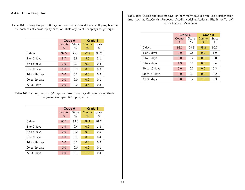Table 161: During the past 30 days, on how many days did you sniff glue, breathe the contents of aerosol spray cans, or inhale any paints or sprays to get high?

|                   | Grade 6        |               | Grade 8        |               |
|-------------------|----------------|---------------|----------------|---------------|
|                   | County<br>$\%$ | State<br>$\%$ | County<br>$\%$ | State<br>$\%$ |
| 0 days            | 92.5           | 95.0          | 92.9           | 95.2          |
| 1 or 2 days       | 5.7            | 3.8           | 3.6            | 3.1           |
| 3 to 5 days       | 1.9            | 0.7           | 0.0            | 0.8           |
| 6 to 9 days       | 0.0            | 0.2           | 0.0            | 0.3           |
| 10 to 19 days     | 0.0            | 0.1           | 0.0            | 0.2           |
| $20$ to $29$ days | 0.0            | 0.0           | 0.0            | 0.1           |
| All 30 days       | 0.0            | 0.2           | 3.6            | 0.3           |

Table 162: During the past 30 days, on how many days did you use synthetic marijuana, example: K2, Spice, etc.?

|                   | Grade 6       |       | Grade 8       |       |
|-------------------|---------------|-------|---------------|-------|
|                   | County        | State | County        | State |
|                   | $\frac{0}{0}$ | $\%$  | $\frac{0}{0}$ | $\%$  |
| $0$ days          | 98.1          | 99.3  | 98.2          | 97.2  |
| 1 or 2 days       | 1.9           | 0.4   | 0.0           | 1.3   |
| 3 to 5 days       | 0.0           | 0.2   | 0.0           | 0.5   |
| 6 to 9 days       | 0.0           | 0.1   | 0.0           | 0.4   |
| 10 to 19 days     | 0.0           | 0.1   | 0.0           | 0.2   |
| $20$ to $29$ days | 0.0           | 0.0   | 0.0           | 0.1   |
| All 30 days       | 0.0           | 0.1   | 1.8           | 0.4   |

Table 163: During the past 30 days, on how many days did you use a prescription drug (such as OxyContin, Percocet, Vicodin, codeine, Adderall, Ritalin, or Xanax) without a doctor's orders?

|                   | Grade 6        |               | Grade 8        |               |
|-------------------|----------------|---------------|----------------|---------------|
|                   | County<br>$\%$ | State<br>$\%$ | County<br>$\%$ | State<br>$\%$ |
| 0 days            | 98.1           | 98.8          | 98.2           | 96.2          |
| 1 or 2 days       | 0.0            | 0.6           | 0.0            | 1.9           |
| 3 to 5 days       | 0.0            | 0.2           | 0.0            | 0.8           |
| 6 to 9 days       | 1.9            | 0.1           | 0.0            | 0.4           |
| 10 to 19 days     | 0.0            | 0.1           | 0.0            | 0.3           |
| $20$ to $29$ days | 0.0            | 0.0           | 0.0            | 0.2           |
| All 30 days       | 0.0            | 0.2           | 1.8            | 0.3           |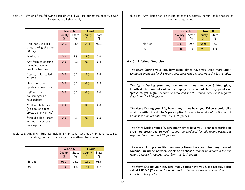Table 164: Which of the following illicit drugs did you use during the past 30 days? Please mark all that apply.

|                                                                   | Grade 6                 |            | Grade 8                 |                        |
|-------------------------------------------------------------------|-------------------------|------------|-------------------------|------------------------|
|                                                                   | County<br>$\frac{0}{0}$ | State<br>% | County<br>$\frac{0}{0}$ | State<br>$\frac{0}{0}$ |
| I did not use illicit<br>drugs during the past<br>30 days         | 100.0                   | 98.4       | 94.1                    | 92.1                   |
| Marijuana                                                         | 0.0                     | 1.5        | 5.9                     | 7.9                    |
| Any form of cocaine<br>including powder,<br>crack or freebase     | 0.0                     | 0.2        | 0.0                     | 0.4                    |
| Ecstasy (also called<br>MDMA)                                     | 0.0                     | 0.1        | 2.0                     | 0.4                    |
| Heroin or other<br>opiates or narcotics                           | 0.0                     | 0.1        | 0.0                     | 0.2                    |
| LSD or other<br>hallucinogens or<br>psychedelics                  | 0.0                     | 0.1        | 0.0                     | 0.6                    |
| Methamphetamines<br>(also called speed,<br>crystal, crank or ice) | 0.0                     | 0.1        | 0.0                     | 0.3                    |
| Steroid pills or shots<br>without a doctor's<br>prescription      | 0.0                     | 0.3        | 0.0                     | 0.5                    |

Table 165: Any illicit drug use including marijuana, synthetic marijuana, cocaine, ecstasy, heroin, hallucinogens or methamphetamines

|        | Grade 6         |               | Grade 8       |       |
|--------|-----------------|---------------|---------------|-------|
|        | State<br>County |               | County        | State |
|        | $\frac{0}{0}$   | $\frac{0}{0}$ | $\frac{0}{0}$ | $\%$  |
| No Use | 98.1            | 98.2          | 92.9          | 91.8  |
| Use    | 1.9             | 1.8           | 71            | 8.2   |

Table 166: Any illicit drug use including cocaine, ecstasy, heroin, hallucinogens or methamphetamines

|        | Grade 6                 |                        | Grade 8 |                        |
|--------|-------------------------|------------------------|---------|------------------------|
|        | County<br>$\frac{0}{0}$ | State<br>$\frac{0}{0}$ | County  | State<br>$\frac{0}{0}$ |
| No Use | 100.0                   | 99.6                   | 98.0    | 98.7                   |
| Use    | 0.0                     | በ 4                    | 2.0     | 1.3                    |

## A.4.5 Lifetime Drug Use

The figure During your life, how many times have you Used marijuana? cannot be produced for this report because it requires data from the 11th grades.

The figure During your life, how many times have you Sniffed glue, breathed the contents of aerosol spray cans, or inhaled any paints or sprays to get high? cannot be produced for this report because it requires data from the 11th grades.

The figure During your life, how many times have you Taken steroid pills or shots without a doctor's prescription? cannot be produced for this report because it requires data from the 11th grades.

The figure During your life, how many times have you Taken a prescription drug not prescribed to you? cannot be produced for this report because it requires data from the 11th grades.

The figure During your life, how many times have you Used any form of cocaine, including powder, crack or freebase? cannot be produced for this report because it requires data from the 11th grades.

The figure During your life, how many times have you Used ecstasy (also called MDMA)? cannot be produced for this report because it requires data from the 11th grades.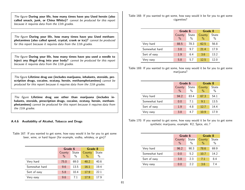The figure During your life, how many times have you Used heroin (also called smack, junk, or China White)? cannot be produced for this report because it requires data from the 11th grades.

The figure During your life, how many times have you Used methamphetamines (also called speed, crystal, crank or ice)? cannot be produced for this report because it requires data from the 11th grades.

The figure During your life, how many times have you used a needle to inject any illegal drug into your body? cannot be produced for this report because it requires data from the 11th grades.

The figure Lifetime drug use (includes marijuana, inhalants, steroids, prescription drugs, cocaine, ecstasy, heroin, methamphetamines) cannot be produced for this report because it requires data from the 11th grades.

The figure Lifetime drug use other than marijuana (includes inhalants, steroids, prescription drugs, cocaine, ecstasy, heroin, methamphetamines) cannot be produced for this report because it requires data from the 11th grades.

### A.4.6 Availability of Alcohol, Tobacco and Drugs

Table 167: If you wanted to get some, how easy would it be for you to get some beer, wine, or hard liquor (for example, vodka, whiskey, or gin)?

|               | Grade 6       |               | Grade 8 |       |
|---------------|---------------|---------------|---------|-------|
|               | County        | State         | County  | State |
|               | $\frac{0}{0}$ | $\frac{0}{0}$ | $\%$    | $\%$  |
| Very hard     | 75.0          | 69.0          | 48.2    | 40.6  |
| Somewhat hard | 9.6           | 13.5          | 16.1    | 19.4  |
| Sort of easy  | 5.8           | 10.4          | 17.9    | 22.1  |
| Very easy     | 9.6           | 7.1           | 17.9    | 17.9  |

Table 168: If you wanted to get some, how easy would it be for you to get some cigarettes?

|               | Grade 6        |                        | Grade 8        |               |
|---------------|----------------|------------------------|----------------|---------------|
|               | County<br>$\%$ | State<br>$\frac{0}{0}$ | County<br>$\%$ | State<br>$\%$ |
| Very hard     | 88.5           | 78.3                   | 62.5           | 56.8          |
| Somewhat hard | 3.8            | 9.7                    | 21.4           | 17.9          |
| Sort of easy  | 1.9            | 6.4                    | 3.6            | 13.2          |
| Very easy     | 5.8            | 5.7                    | 12.5           | 12.0          |

Table 169: If you wanted to get some, how easy would it be for you to get some marijuana?

|               | Grade 6 |       | Grade 8 |       |
|---------------|---------|-------|---------|-------|
|               | County  | State | County  | State |
|               | $\%$    | $\%$  | $\%$    | $\%$  |
| Very hard     | 94.2    | 83.4  | 67.3    | 54.1  |
| Somewhat hard | 0.0     | 7.1   | 9.1     | 13.5  |
| Sort of easy  | 1.9     | 4.8   | 12.7    | 14.4  |
| Very easy     | 3.8     | 47    | 10.9    | 17.9  |

Table 170: If you wanted to get some, how easy would it be for you to get some synthetic marijuana, example: K2, Spice, etc.?

|               | Grade 6        |                        | Grade 8        |               |
|---------------|----------------|------------------------|----------------|---------------|
|               | County<br>$\%$ | State<br>$\frac{0}{0}$ | County<br>$\%$ | State<br>$\%$ |
| Very hard     | 96.2           | 90.3                   | 78.6           | 69.9          |
| Somewhat hard | 0.0            | 5.2                    | 10.7           | 14.2          |
| Sort of easy  | 3.8            | 2.3                    | 7.1            | 8.4           |
| Very easy     | 0.0            | 22                     | 3.6            | 74            |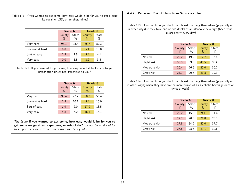Table 171: If you wanted to get some, how easy would it be for you to get a drug like cocaine, LSD, or amphetamines?

|               | Grade 6        |                        | Grade 8                 |               |
|---------------|----------------|------------------------|-------------------------|---------------|
|               | County<br>$\%$ | State<br>$\frac{0}{0}$ | County<br>$\frac{0}{0}$ | State<br>$\%$ |
| Very hard     | 98.1           | 93.4                   | 85.7                    | 82.3          |
| Somewhat hard | 0.0            | 3.7                    | 5.4                     | 10.0          |
| Sort of easy  | 1.9            | 1.5                    | 5.4                     | 4.1           |
| Very easy     | 0.0            | 15                     | 3.6                     | 3.5           |

Table 172: If you wanted to get some, how easy would it be for you to get prescription drugs not prescribed to you?

|               | Grade 6 |       | Grade 8 |       |
|---------------|---------|-------|---------|-------|
|               | County  | State | County  | State |
|               | $\%$    | $\%$  | $\%$    | $\%$  |
| Very hard     | 90.4    | 77.7  | 60.7    | 56.4  |
| Somewhat hard | 1.9     | 10.1  | 5.4     | 16.0  |
| Sort of easy  | 1.9     | 6.0   | 17.9    | 13.5  |
| Very easy     | 5.8     | 6.2   | 16.1    | 14.1  |

The figure If you wanted to get some, how easy would it be for you to get some e-cigarettes, vape-pens, or e-hookahs? cannot be produced for this report because it requires data from the 11th grades.

## A.4.7 Perceived Risk of Harm from Substance Use

Table 173: How much do you think people risk harming themselves (physically or in other ways) if they take one or two drinks of an alcoholic beverage (beer, wine, liquor) nearly every day?

|               | Grade 6        |                        | Grade 8        |                      |
|---------------|----------------|------------------------|----------------|----------------------|
|               | County<br>$\%$ | State<br>$\frac{0}{0}$ | County<br>$\%$ | <b>State</b><br>$\%$ |
| No risk       | 22.2           | 19.2                   | 12.7           | 16.6                 |
| Slight risk   | 33.3           | 33.6                   | 45.5           | 33.9                 |
| Moderate risk | 20.4           | 26.5                   | 20.0           | 30.2                 |
| Great risk    | 24.1           | 20.7                   | 21.8           | 19.3                 |

Table 174: How much do you think people risk harming themselves (physically or in other ways) when they have five or more drinks of an alcoholic beverage once or twice a week?

|               |                | Grade 6       |                | Grade 8       |
|---------------|----------------|---------------|----------------|---------------|
|               | County<br>$\%$ | State<br>$\%$ | County<br>$\%$ | State<br>$\%$ |
|               |                |               |                |               |
| No risk       | 22.2           | 15.5          | 9.1            | 11.4          |
| Slight risk   | 22.2           | 20.8          | 21.8           | 20.3          |
| Moderate risk | 27.8           | 34.9          | 40.0           | 37.7          |
| Great risk    | 27.8           | 28.7          | 29.1           | 30.6          |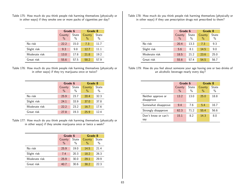Table 175: How much do you think people risk harming themselves (physically or in other ways) if they smoke one or more packs of cigarettes per day?

|               | Grade 6        |                      | Grade 8        |                      |
|---------------|----------------|----------------------|----------------|----------------------|
|               | County<br>$\%$ | <b>State</b><br>$\%$ | County<br>$\%$ | <b>State</b><br>$\%$ |
| No risk       | 22.2           | 15.0                 | 7.3            | 11.7                 |
| Slight risk   | 9.3            | 9.8                  | 12.7           | 11.1                 |
| Moderate risk | 13.0           | 17.8                 | 21.8           | 19.2                 |
| Great risk    | 55.6           | 57.5                 | 58.2           | 57.9                 |

Table 176: How much do you think people risk harming themselves (physically or in other ways) if they try marijuana once or twice?

|               | Grade 6 |               | Grade 8       |       |
|---------------|---------|---------------|---------------|-------|
|               | County  | State         | County        | State |
|               | $\%$    | $\frac{0}{0}$ | $\frac{0}{0}$ | $\%$  |
| No risk       | 25.9    | 23.7          | 20.4          | 32.3  |
| Slight risk   | 24.1    | 33.9          | 37.0          | 37.8  |
| Moderate risk | 22.2    | 23.2          | 16.7          | 17.6  |
| Great risk    | 27.8    | 19.3          | 25.9          | 12.4  |

Table 177: How much do you think people risk harming themselves (physically or in other ways) if they smoke marijuana once or twice a week?

|               | Grade 6        |                      | Grade 8        |               |
|---------------|----------------|----------------------|----------------|---------------|
|               | County<br>$\%$ | <b>State</b><br>$\%$ | County<br>$\%$ | State<br>$\%$ |
| No risk       | 25.9           | 19.0                 | 14.5           | 21.4          |
| Slight risk   | 7.4            | 20.3                 | 18.2           | 26.3          |
| Moderate risk | 25.9           | 30.0                 | 29.1           | 29.9          |
| Great risk    | 40.7           | 30.6                 | 38.2           | 22.3          |

Table 178: How much do you think people risk harming themselves (physically or in other ways) if they use prescription drugs not prescribed to them?

|               |                | Grade 6                       |                         | Grade 8       |
|---------------|----------------|-------------------------------|-------------------------|---------------|
|               | County<br>$\%$ | <b>State</b><br>$\frac{0}{0}$ | County<br>$\frac{0}{0}$ | State<br>$\%$ |
| No risk       | 20.4           | 13.3                          | 7.3                     | 9.3           |
| Slight risk   | 5.6            | 8.1                           | 14.5                    | 9.0           |
| Moderate risk | 18.5           | 21.2                          | 23.6                    | 25.0          |
| Great risk    | 55.6           | 57.4                          | 54.5                    | 56.7          |

Table 179: How do you feel about someone your age having one or two drinks of an alcoholic beverage nearly every day?

|                                  |                | Grade 6       |                         | Grade 8       |
|----------------------------------|----------------|---------------|-------------------------|---------------|
|                                  | County<br>$\%$ | State<br>$\%$ | County<br>$\frac{0}{0}$ | State<br>$\%$ |
| Neither approve or<br>disapprove | 13.2           | 13.0          | 25.0                    | 18.8          |
| Somewhat disapprove              | 9.4            | 7.6           | 5.4                     | 16.7          |
| Strongly disapprove              | 62.3           | 71.2          | 55.4                    | 56.6          |
| Don't know or can't<br>say       | 15.1           | 8.2           | 14.3                    | 8.0           |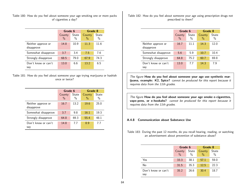Table 180: How do you feel about someone your age smoking one or more packs of cigarettes a day?

|                                  | Grade 6                 |                        | Grade 8        |               |
|----------------------------------|-------------------------|------------------------|----------------|---------------|
|                                  | County<br>$\frac{0}{0}$ | State<br>$\frac{0}{0}$ | County<br>$\%$ | State<br>$\%$ |
| Neither approve or<br>disapprove | 14.8                    | 10.9                   | 11.3           | 11.6          |
| Somewhat disapprove              | 3.7                     | 3.4                    | 7.5            | 7.6           |
| Strongly disapprove              | 68.5                    | 79.0                   | 67.9           | 74.3          |
| Don't know or can't<br>say       | 13.0                    | ნ ნ                    | 13.2           | 6.5           |

Table 181: How do you feel about someone your age trying marijuana or hashish once or twice?

|                                  | Grade 6                 |                        | Grade 8        |               |
|----------------------------------|-------------------------|------------------------|----------------|---------------|
|                                  | County<br>$\frac{0}{0}$ | State<br>$\frac{0}{0}$ | County<br>$\%$ | State<br>$\%$ |
| Neither approve or<br>disapprove | 16.7                    | 13.2                   | 19.6           | 25.0          |
| Somewhat disapprove              | 3.7                     | 9.8                    | 16.1           | 19.3          |
| Strongly disapprove              | 64.8                    | 69.3                   | 55.4           | 48.1          |
| Don't know or can't<br>say       | 14.8                    | 7.7                    | 8.9            | 7.7           |

Table 182: How do you feel about someone your age using prescription drugs not prescribed to them?

|                                  | Grade 6                 |                        | Grade 8        |               |
|----------------------------------|-------------------------|------------------------|----------------|---------------|
|                                  | County<br>$\frac{0}{0}$ | State<br>$\frac{0}{0}$ | County<br>$\%$ | State<br>$\%$ |
| Neither approve or<br>disapprove | 16.7                    | 11.1                   | 14.3           | 12.0          |
| Somewhat disapprove              | 5.6                     | 5.9                    | 10.7           | 10.4          |
| Strongly disapprove              | 64.8                    | 75.2                   | 60.7           | 69.8          |
| Don't know or can't<br>say       | 13.0                    | 7.7                    | 14.3           | 7.9           |

The figure How do you feel about someone your age use synthetic marijuana, example: K2, Spice? cannot be produced for this report because it requires data from the 11th grades.

The figure How do you feel about someone your age smoke e-cigarettes, vape-pens, or e-hookahs? cannot be produced for this report because it requires data from the 11th grades.

#### A.4.8 Communication about Substance Use

Table 183: During the past 12 months, do you recall hearing, reading, or watching an advertisement about prevention of substance abuse?

|                            |                         | Grade 6                |                | Grade 8       |
|----------------------------|-------------------------|------------------------|----------------|---------------|
|                            | County<br>$\frac{0}{0}$ | State<br>$\frac{0}{0}$ | County<br>$\%$ | State<br>$\%$ |
| Yes                        | 33.3                    | 38.1                   | 57.1           | 59.0          |
| No                         | 31.5                    | 35.3                   | 12.5           | 22.3          |
| Don't know or can't<br>say | 35.2                    | 26.6                   | 30.4           | 18.7          |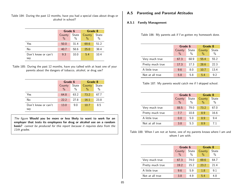Table 184: During the past 12 months, have you had a special class about drugs or alcohol in school?

|                            | Grade 6                 |                        | Grade 8        |                      |
|----------------------------|-------------------------|------------------------|----------------|----------------------|
|                            | County<br>$\frac{0}{0}$ | State<br>$\frac{0}{0}$ | County<br>$\%$ | <b>State</b><br>$\%$ |
| Yes                        | 50.0                    | 31.4                   | 69.6           | 51.2                 |
| No                         | 40.7                    | 58.6                   | 25.0           | 38.4                 |
| Don't know or can't<br>say | 9.3                     | 10.0                   | 5.4            | 10.4                 |

Table 185: During the past 12 months, have you talked with at least one of your parents about the dangers of tobacco, alcohol, or drug use?

|                     | Grade 6 |       | Grade 8 |       |
|---------------------|---------|-------|---------|-------|
|                     | County  | State | County  | State |
|                     | $\%$    | $\%$  | $\%$    | $\%$  |
| Yes                 | 64.8    | 63.2  | 73.2    | 67.7  |
| No                  | 22.2    | 27.8  | 16.1    | 23.8  |
| Don't know or can't | 13.0    | 9.0   | 10.7    | 8.5   |
| say                 |         |       |         |       |

The figure Would you be more or less likely to want to work for an employer that tests its employees for drug or alcohol use on a random basis? cannot be produced for this report because it requires data from the 11th grades.

## A.5 Parenting and Parental Attitudes

## A.5.1 Family Management

Table 186: My parents ask if I've gotten my homework done.

|                  | Grade 6        |                               | Grade 8                 |               |
|------------------|----------------|-------------------------------|-------------------------|---------------|
|                  | County<br>$\%$ | <b>State</b><br>$\frac{0}{0}$ | County<br>$\frac{0}{0}$ | State<br>$\%$ |
| Very much true   | 67.3           | 68.9                          | 55.4                    | 55.2          |
| Pretty much true | 17.3           | 17.3                          | 28.6                    | 22.3          |
| A little true    | 9.6            | 8.0                           | 10.7                    | 13.4          |
| Not at all true  | 5.8            | 5.8                           | 5.4                     | 9.2           |

Table 187: My parents would catch me if I skipped school.

|                  |                | Grade 6                |                         | Grade 8       |
|------------------|----------------|------------------------|-------------------------|---------------|
|                  | County<br>$\%$ | State<br>$\frac{0}{0}$ | County<br>$\frac{0}{0}$ | State<br>$\%$ |
| Very much true   | 88.5           | 79.0                   | 73.2                    | 67.0          |
| Pretty much true | 7.7            | 10.8                   | 8.9                     | 16.6          |
| A little true    | 0.0            | 5.0                    | 8.9                     | 9.4           |
| Not at all true  | 3.8            | 5.3                    | 8.9                     | 71            |

Table 188: When I am not at home, one of my parents knows where I am and whom I am with.

|                  | Grade 6 |               | Grade 8 |       |
|------------------|---------|---------------|---------|-------|
|                  | County  | State         | County  | State |
|                  | $\%$    | $\frac{0}{0}$ | $\%$    | $\%$  |
| Very much true   | 67.3    | 74.0          | 69.6    | 64.7  |
| Pretty much true | 19.2    | 15.2          | 23.2    | 21.4  |
| A little true    | 9.6     | 5.9           | 1.8     | 9.1   |
| Not at all true  | 3.8     | 4.9           | 5.4     | 4.8   |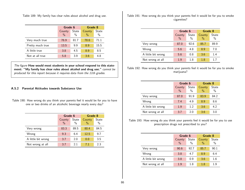Table 189: My family has clear rules about alcohol and drug use.

|                  | Grade 6                 |                      | Grade 8        |               |
|------------------|-------------------------|----------------------|----------------|---------------|
|                  | County<br>$\frac{0}{0}$ | <b>State</b><br>$\%$ | County<br>$\%$ | State<br>$\%$ |
| Very much true   | 76.9                    | 81.7                 | 78.6           | 71.1          |
| Pretty much true | 13.5                    | 9.9                  | 89             | 15.5          |
| A little true    | 3.8                     | 4.5                  | 89             | 8.5           |
| Not at all true  | 5.8                     | 3.9                  | 3.6            | 4.8           |

The figure How would most students in your school respond to this statement: "My family has clear rules about alcohol and drug use." cannot be produced for this report because it requires data from the 11th grades.

### A.5.2 Parental Attitudes towards Substance Use

Table 190: How wrong do you think your parents feel it would be for you to have one or two drinks of an alcoholic beverage nearly every day?

|                    | Grade 6       |       | Grade 8       |       |  |
|--------------------|---------------|-------|---------------|-------|--|
|                    | County        | State | County        | State |  |
|                    | $\frac{0}{0}$ | $\%$  | $\frac{0}{0}$ | $\%$  |  |
| Very wrong         | 83.3          | 89.5  | 80.4          | 84.5  |  |
| Wrong              | 9.3           | 6.4   | 12.5          | 9.7   |  |
| A little bit wrong | 3.7           | 2.0   | 0.0           | 3.5   |  |
| Not wrong at all   | 3.7           | 2.1   | 71            | 2.3   |  |

Table 191: How wrong do you think your parents feel it would be for you to smoke cigarettes?

|                    | Grade 6                 |                        | Grade 8                 |               |
|--------------------|-------------------------|------------------------|-------------------------|---------------|
|                    | County<br>$\frac{0}{0}$ | State<br>$\frac{0}{0}$ | County<br>$\frac{0}{0}$ | State<br>$\%$ |
| Very wrong         | 87.0                    | 92.6                   | 85.7                    | 89.9          |
| Wrong              | 5.6                     | 4.8                    | 8.9                     | 7.0           |
| A little bit wrong | 5.6                     | 0.8                    | 3.6                     | 1.4           |
| Not wrong at all   | 1.9                     | 1.8                    | 1.8                     | 17            |

Table 192: How wrong do you think your parents feel it would be for you to smoke marijuana?

|                    | Grade 6        |               | Grade 8        |                      |
|--------------------|----------------|---------------|----------------|----------------------|
|                    | County<br>$\%$ | State<br>$\%$ | County<br>$\%$ | <b>State</b><br>$\%$ |
| Very wrong         | 87.0           | 91.9          | 83.9           | 84.2                 |
| Wrong              | 7.4            | 4.9           | 8.9            | 8.6                  |
| A little bit wrong | 1.9            | 12            | 3.6            | 4.2                  |
| Not wrong at all   | 3.7            | 2.0           | 3.6            | 3.0                  |

Table 193: How wrong do you think your parents feel it would be for you to use prescription drugs not prescribed to you?

|                    | Grade 6        |                        | Grade 8        |                      |
|--------------------|----------------|------------------------|----------------|----------------------|
|                    | County<br>$\%$ | State<br>$\frac{0}{0}$ | County<br>$\%$ | <b>State</b><br>$\%$ |
| Very wrong         | 90.6           | 92.7                   | 85.7           | 90.1                 |
| Wrong              | 3.8            | 4.7                    | 8.9            | 6.4                  |
| A little bit wrong | 3.8            | 0.9                    | 3.6            | 1.6                  |
| Not wrong at all   | 1.9            | 1.8                    | 1.8            | 1 Q                  |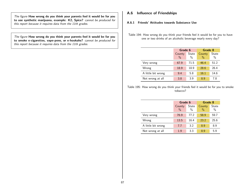The figure How wrong do you think your parents feel it would be for you to use synthetic marijuana, example: K2, Spice? cannot be produced for this report because it requires data from the 11th grades.

The figure How wrong do you think your parents feel it would be for you to smoke e-cigarettes, vape-pens, or e-hookahs? cannot be produced for this report because it requires data from the 11th grades.

# A.6 Influence of Friendships

- A.6.1 Friends' Attitudes towards Substance Use
- Table 194: How wrong do you think your friends feel it would be for you to have one or two drinks of an alcoholic beverage nearly every day?

|                    |                | Grade 6                |                | Grade 8       |
|--------------------|----------------|------------------------|----------------|---------------|
|                    | County<br>$\%$ | State<br>$\frac{0}{0}$ | County<br>$\%$ | State<br>$\%$ |
| Very wrong         | 67.9           | 71.5                   | 46.4           | 51.2          |
| Wrong              | 18.9           | 18.9                   | 28.6           | 26.4          |
| A little bit wrong | 9.4            | 5.8                    | 16.1           | 14.6          |
| Not wrong at all   | 3.8            | 3.9                    | 89             | 7.8           |

Table 195: How wrong do you think your friends feel it would be for you to smoke tobacco?

|                    | Grade 6                 |                        | Grade 8        |               |
|--------------------|-------------------------|------------------------|----------------|---------------|
|                    | County<br>$\frac{0}{0}$ | State<br>$\frac{0}{0}$ | County<br>$\%$ | State<br>$\%$ |
| Very wrong         | 76.9                    | 77.2                   | 58.9           | 59.7          |
| Wrong              | 13.5                    | 16.4                   | 23.2           | 25.6          |
| A little bit wrong | 7.7                     | 3.2                    | 8.9            | 8.9           |
| Not wrong at all   | 1.9                     | 3.3                    | 89             | 5.9           |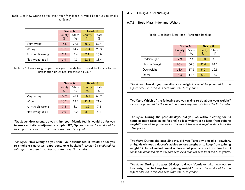Table 196: How wrong do you think your friends feel it would be for you to smoke marijuana?

|                    | Grade 6                 |               | Grade 8        |               |
|--------------------|-------------------------|---------------|----------------|---------------|
|                    | County<br>$\frac{0}{0}$ | State<br>$\%$ | County<br>$\%$ | State<br>$\%$ |
| Very wrong         | 75.5                    | 77.1          | 58.9           | 52.4          |
| Wrong              | 15.1                    | 14.2          | 21.4           | 20.3          |
| A little bit wrong | 7.5                     | 44            | 7.1            | 13.9          |
| Not wrong at all   | 1.9                     | 4.3           | 12.5           | 13.4          |

Table 197: How wrong do you think your friends feel it would be for you to use prescription drugs not prescribed to you?

|                    | Grade 6                 |                        |                         | Grade 8       |  |  |
|--------------------|-------------------------|------------------------|-------------------------|---------------|--|--|
|                    | County<br>$\frac{0}{0}$ | State<br>$\frac{0}{0}$ | County<br>$\frac{0}{0}$ | State<br>$\%$ |  |  |
| Very wrong         | 79.2                    | 78.4                   | 66.1                    | 66.2          |  |  |
| Wrong              | 13.2                    | 15.2                   | 21.4                    | 21.4          |  |  |
| A little bit wrong | 7.5                     | 3.1                    | 3.6                     | 7.4           |  |  |
| Not wrong at all   | 0.0                     | 3.2                    | 89                      | 5.1           |  |  |

The figure How wrong do you think your friends feel it would be for you to use synthetic marijuana, example: K2, Spice? cannot be produced for this report because it requires data from the 11th grades.

The figure How wrong do you think your friends feel it would be for you to smoke e-cigarettes, vape-pens, or e-hookahs? cannot be produced for this report because it requires data from the 11th grades.

# A.7 Height and Weight

## A.7.1 Body Mass Index and Weight

|                | Grade 6        |               | Grade 8        |               |
|----------------|----------------|---------------|----------------|---------------|
|                | County<br>$\%$ | State<br>$\%$ | County<br>$\%$ | State<br>$\%$ |
| Underweight    | 7.9            | 7.4           | 10.0           | 4.1           |
| Healthy Weight | 68.4           | 60.8          | 80.0           | 64.1          |
| Overweight     | 18.4           | 17.5          | 5.0            | 16.8          |
| Obese          | 5.3            | 14.3          | 5.0            | 15.0          |

Table 198: Body Mass Index Percentile Ranking

The figure **How do you describe your weight?** cannot be produced for this report because it requires data from the 11th grades.

The figure Which of the following are you trying to do about your weight? cannot be produced for this report because it requires data from the 11th grades.

The figure During the past 30 days, did you Go without eating for 24 hours or more (also called fasting) to lose weight or to keep from gaining weight? cannot be produced for this report because it requires data from the 11th grades.

The figure During the past 30 days, did you Take any diet pills, powders, or liquids without a doctor's advice to lose weight or to keep from gaining weight? (Do not include meal replacement products such as Slim Fast.) cannot be produced for this report because it requires data from the 11th grades.

The figure During the past 30 days, did you Vomit or take laxatives to lose weight or to keep from gaining weight? cannot be produced for this report because it requires data from the 11th grades.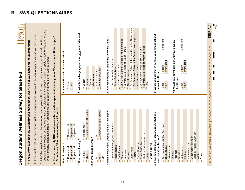

| DO NOT put your name on the questi-                                                        |
|--------------------------------------------------------------------------------------------|
|                                                                                            |
|                                                                                            |
|                                                                                            |
|                                                                                            |
|                                                                                            |
|                                                                                            |
|                                                                                            |
|                                                                                            |
|                                                                                            |
|                                                                                            |
|                                                                                            |
|                                                                                            |
|                                                                                            |
|                                                                                            |
|                                                                                            |
|                                                                                            |
|                                                                                            |
|                                                                                            |
|                                                                                            |
|                                                                                            |
|                                                                                            |
|                                                                                            |
|                                                                                            |
|                                                                                            |
|                                                                                            |
|                                                                                            |
| v and anonymous. L                                                                         |
|                                                                                            |
|                                                                                            |
|                                                                                            |
|                                                                                            |
|                                                                                            |
| .<br>.                                                                                     |
|                                                                                            |
|                                                                                            |
|                                                                                            |
|                                                                                            |
|                                                                                            |
|                                                                                            |
|                                                                                            |
|                                                                                            |
|                                                                                            |
|                                                                                            |
|                                                                                            |
| ייים וכ                                                                                    |
|                                                                                            |
|                                                                                            |
|                                                                                            |
|                                                                                            |
| )<br>3<br>2<br>2<br>2<br>2<br>2<br>3<br>2<br>1<br>1<br>1<br>1<br>1<br>1<br>1<br>1<br>1<br> |
| ֧֚֚֝<br>֧֧֧֧֧֧֧֧֧֚֚֚֚֚֚֚֚֚֚֚֚֚֚֚֚֚֚֚֚֚֚֚֝֝֓֝֬֝֟֬֝֓֝֬֝֬֝֬<br>֧֧֝                            |
|                                                                                            |
|                                                                                            |

2. This is not a test, so there are no right or wrong answers. We would like you to work quickly so you can finish. 2. This is not a test, so there are no right or wrong answers. We would like you to work quickly so you can finish.

- 3. All of the questions should be answered by completely filling in one of the answer spaces. If you do not find an<br>answer that fits exactly, use the one that comes closest. If any question does not apply to you, or you ar answer that fits exactly, use the one that comes closest. If any question does not apply to you, or you are not sure 3. All of the questions should be answered by completely filling in one of the answer spaces. If you do not find an what it means, just leave it blank. You can skip any question that you do not wish to answer.
- 4. Please mark only ONE oval unless the question specifically asks you to "Please mark all that apply." **4. Please mark only ONE oval unless the question specifically asks you to "Please mark all that apply."**

| Completely fill in the oval using a #2 pencil                                                                                               |                                                          |
|---------------------------------------------------------------------------------------------------------------------------------------------|----------------------------------------------------------|
| 1. How old are you?                                                                                                                         | 6. Are you Hispanic or Latino/Latina?                    |
| $O$ 14 years old<br>O <sub>15</sub> years old<br>$213$ years old<br>O <sub>11</sub> years old<br>O10 years old<br>O <sub>12</sub> years old | OYes<br>$\frac{8}{2}$                                    |
| 2. How do you identify?                                                                                                                     | 7. What is the language you use most often at home?      |
| Something else fits better<br><b>O</b> Transgender<br>OFemale<br><b>OMale</b>                                                               | <b>Bussian</b><br>OEnglish                               |
| 3. In what grade are you?                                                                                                                   | O Vietnamese<br><b>O</b> Spanish                         |
| O Ungraded or other grade<br>$O$ <sup>9th</sup><br>O <sub>6th</sub><br>3 <sup>8</sup>                                                       | O Another language<br>OA tribal language                 |
| 4. What is your race? (Please mark all that apply)                                                                                          | 8. Are you enrolled in any of the following tribes?      |
| American Indian/Native American                                                                                                             | $\bigcirc$ l am not enrolled in a tribe                  |
| OAlaska Native                                                                                                                              | <b>OBurns Paiute Tribe</b>                               |
| O Asian Indian                                                                                                                              | Coquille Indian Tribe                                    |
| OChinese                                                                                                                                    | Cow Creek Band of Umpqua Tribe of Indians                |
| OJapanese                                                                                                                                   | Confederated Tribes of Grand Ronde<br>OKlamath Tribes    |
| $O$ Korean                                                                                                                                  | O Confederated Tribes of the Umatilla Indian Reservation |
| OVietnamese<br>OFilipino                                                                                                                    | O Confederated Tribes of the Coos, Lower Umpqua          |
| O Native Hawaiian                                                                                                                           | and Siuslaw Indians                                      |
| Oother Pacific Islander                                                                                                                     | Confederated Tribes of Siletz Indians                    |
| O Black or African American                                                                                                                 |                                                          |
| OWhite                                                                                                                                      | O Confederated Tribes of Warm Springs<br>O Other         |
| Other (Specify)                                                                                                                             |                                                          |
| 5. If you selected more than one race, what one                                                                                             | 9. Would you say that in general your emotional and      |
| race best describes you?                                                                                                                    | mental health is                                         |
| O American Indian/Native American                                                                                                           | Oexcellent<br>$q$ ood<br>Opoor                           |
| O Alaska Native                                                                                                                             | Overy good<br>O <sup>tair</sup>                          |
| O Asian Indian                                                                                                                              |                                                          |
| OChinese                                                                                                                                    | 10. Would you say that in general your physical          |
| OJapanese                                                                                                                                   | health is.                                               |
| Okorean                                                                                                                                     |                                                          |
| OVietnamese                                                                                                                                 | Oexcellent<br>$q$ ood<br>Opoor                           |
| OFilipino                                                                                                                                   | Overy good<br>$O$ fair                                   |
| O Native Hawaiian                                                                                                                           |                                                          |
| Oother Pacific Islander                                                                                                                     |                                                          |
| O Black or African American                                                                                                                 |                                                          |
| OWhite                                                                                                                                      |                                                          |
| Oother                                                                                                                                      |                                                          |

173601

[SERIAL]

I

**PLEASE DO NOT WRITE IN THIS AREA**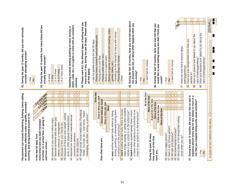| 53. During the past 12 months, how many times did you<br>During the past 12 months, did you ever seriously<br>consider attempting suicide?<br>actually attempt suicide?<br>O6 or more times<br>○2 or 3 times<br>O <sub>4</sub> or 5 times<br>O <sub>0</sub> times<br>o1 time<br>OYes<br>$\frac{9}{2}$<br>$\circ$<br>52.                                                                                                                                                                                                                                                                                                                                                                                                                                                     | have done, if any, during the last 30 days: (Please mark<br>54. Please mark ALL the different types of betting that you<br>watch, soda, etc.) on a game or event with an uncertain<br>œ<br>Gambling involves betting anything of value (money,<br>all that apply)<br>outcome.                                                                                                                                                                                                                                                                                                                                 | Betting on games of personal skill (bowling, video<br>Gambling on the Internet for free or with money<br>O Playing lottery tickets/Powerball/Megabucks<br>ol did not gamble during the last 30 days<br>Playing cards (poker, etc.)<br>Playing Bingo for money<br>Betting on a sports team<br>Playing dice or coin flips<br>games, dares, etc.)<br><b>O</b> Other<br>$\circ$<br>$\Omega$                                                                                      | 55. During the last 12 months, have you ever felt bad about<br>the amount you bet, or about what happens when you<br>ONo<br>Oldon't bet for money<br>bet money?<br>OYes                                                                                                                                                                                                                                                                                                                                   | <b>Nes</b><br>56. During the last 12 months, have you ever felt that you<br>would like to stop betting money but didn't think you<br>ol don't bet for money<br>could?<br>OYes<br>$\frac{8}{2}$                                                                                                                         | 173603<br>0<br>0<br>0<br><b>SERIAL</b><br>$\overline{0}$<br>$\overline{0}$<br>$\cap$<br>0<br>60. Have your teachers ever talked to you about the<br>59. Have your parents ever talked to you about the<br>58. Have you ever bet/gambled more than you<br>Ō<br>57. Have you ever lied to anyone about<br>$\begin{matrix} 0 \\ 0 \end{matrix}$<br>$\begin{matrix} 0 \\ 0 \end{matrix}$<br>risks of betting/gambling?<br>risks of betting/gambling?<br>$\overline{O}$<br>pooooooooooooooo<br>betting/gambling?<br>Г<br>wanted to? |
|-----------------------------------------------------------------------------------------------------------------------------------------------------------------------------------------------------------------------------------------------------------------------------------------------------------------------------------------------------------------------------------------------------------------------------------------------------------------------------------------------------------------------------------------------------------------------------------------------------------------------------------------------------------------------------------------------------------------------------------------------------------------------------|---------------------------------------------------------------------------------------------------------------------------------------------------------------------------------------------------------------------------------------------------------------------------------------------------------------------------------------------------------------------------------------------------------------------------------------------------------------------------------------------------------------------------------------------------------------------------------------------------------------|------------------------------------------------------------------------------------------------------------------------------------------------------------------------------------------------------------------------------------------------------------------------------------------------------------------------------------------------------------------------------------------------------------------------------------------------------------------------------|-----------------------------------------------------------------------------------------------------------------------------------------------------------------------------------------------------------------------------------------------------------------------------------------------------------------------------------------------------------------------------------------------------------------------------------------------------------------------------------------------------------|------------------------------------------------------------------------------------------------------------------------------------------------------------------------------------------------------------------------------------------------------------------------------------------------------------------------|--------------------------------------------------------------------------------------------------------------------------------------------------------------------------------------------------------------------------------------------------------------------------------------------------------------------------------------------------------------------------------------------------------------------------------------------------------------------------------------------------------------------------------|
| OIO<br>∩<br>Harassment can include threatening, bullying, name-calling<br>Sort Mote imea<br>$\overline{\mathrm{O}}$<br>$\overline{O}$<br><b>CONTRACTOR</b><br>$\Omega$<br>$\overline{O}$<br>$\overline{\mathrm{O}}$<br>$\overline{O}$ $\overline{O}$<br>or obscenities, offensive notes or graffiti, unwanted<br>$\Omega$<br>$\overline{0}$<br>O VIINGS<br>because of how you look (weight, clothes,<br>touching, and being pushed around or hit.<br>because someone said you were gay,<br>at school, on a school bus, or going to<br>because of your race or ethnic origin.<br>many times have you been harassed<br>lesbian, bisexual, or transgender<br>because of who your friends are.<br>In the last 30 days, how<br>and from school<br>$\frac{1}{35}$<br>န္တြ<br>န္တြ | $\overline{O} O$<br>$\overline{O}$<br>$\Omega$<br>$\overline{O}$<br>$\overline{\mathbb{O}}$<br>$\overline{\mathrm{O}}$<br>$\overline{O}$<br>$\overline{0}$<br>$\overline{O}$<br>$\overline{O} \overline{O}$<br>$\overline{\mathbb{O}}$<br>$\overline{0}$<br>$\overline{O}$<br>$\Omega$<br>$\Omega$<br>42. through email, social media sites (Facebook,<br>Twitter, YouTube, etc.), chat rooms, instant<br>messaging, web sites, texting, or phone?<br>because you received unwanted sexual<br>acne, or other physical characteristics).<br>comments or attention.<br>41. for other reasons<br>$\overline{40}$ | $\overline{O}$<br>day<br>$\overline{\rm O}$<br>Once or twice per week<br>Every<br>$\overline{O}$<br>Once or twice per month<br>$\overline{\rm{O}}$<br>Once or twice per year<br>∩<br>Never<br>mean things, teasing, or calling other students<br>44. heard another student bully others by saying<br>kicking, punching, or otherwise hurting them<br>seen another student bully others by hitting,<br>in school or on the school bus?<br>How often have you<br>$\frac{3}{4}$ | 0<br>$\bigcirc$<br>All of the time<br>$\overline{\mathbb{O}}$<br>$\overline{0}$<br>Most of the time<br>$\overline{\rm O}$<br>$\overline{\rm O}$<br>A good bit of the time<br>$\overline{\mathbb{O}}$<br>$\overline{0}$<br>$\overline{\Omega}$<br>$\cap$<br>or leave other students out of activities to be<br>45. heard another student spread mean rumors<br>names in your school or on the school bus?<br>mean in your school or on the school bus?<br>During the past 30 days,<br>how much of the time | 0 0<br>OIO<br>$\overline{O}$<br>Some of the time<br>$\overline{0}$<br>0<br>A little of the time<br>$\cap$<br>None of the time<br>50. felt so down in the dumps that nothing<br>47. been a very nervous person?<br>49. felt downhearted and blue?<br>46. been a happy person?<br>48. felt calm and peaceful<br>have you | $\overline{0}$<br>$\overline{0}$<br>51. During the past 12 months, did you ever feel so sad or<br>hopeless almost every day for two weeks or more in a<br>$\overline{\mathrm{O}}$<br>row that you stopped doing some usual activities?<br>$\Omega$<br>$\overline{O}$<br>PLEASE DO NOT WRITE IN THIS AREA<br>could cheer you up?<br>$O$ Yes<br>$rac{8}{2}$                                                                                                                                                                      |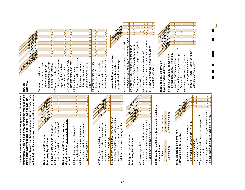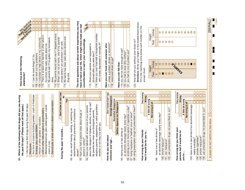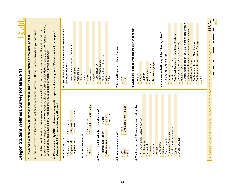| က်<br>4                                            | 1. The survey is completely voluntary and anonymous. DO NOT put your name on the questionnaire. |                                                                                                                                                                                                                                                                                                                                           |
|----------------------------------------------------|-------------------------------------------------------------------------------------------------|-------------------------------------------------------------------------------------------------------------------------------------------------------------------------------------------------------------------------------------------------------------------------------------------------------------------------------------------|
|                                                    |                                                                                                 |                                                                                                                                                                                                                                                                                                                                           |
|                                                    |                                                                                                 | 2. This is not a test, so there are no right or wrong answers. We would like you to work quickly so you can finish.                                                                                                                                                                                                                       |
|                                                    |                                                                                                 | answer that fits exactly, use the one that comes closest. If any question does not apply to you, or you are not sure<br>what it means, just leave it blank. You can skip any question that you do not wish to answer.<br>All of the questions should be answered by completely filling in one of the answer spaces. If you do not find an |
|                                                    | Completely fill in the oval using a #2 pencil.                                                  | Please mark only ONE oval unless the question specifically asks you to "Please mark all that apply."                                                                                                                                                                                                                                      |
| 1. How old are you?                                |                                                                                                 | 6. If you selected more than one race, what one race                                                                                                                                                                                                                                                                                      |
| $\bigcirc$ 14 years old                            | $O$ 17 years old                                                                                | best describes you?                                                                                                                                                                                                                                                                                                                       |
| O 15 years old                                     | O 18 years old                                                                                  | American Indian/Native American                                                                                                                                                                                                                                                                                                           |
| O <sub>16</sub> years old                          | o 19 years old or older                                                                         | Alaska Native                                                                                                                                                                                                                                                                                                                             |
|                                                    |                                                                                                 | <b>DAsian Indian</b><br><b>Chinese</b>                                                                                                                                                                                                                                                                                                    |
| 2. How do you identify?                            |                                                                                                 | OJapanese                                                                                                                                                                                                                                                                                                                                 |
| <b>OFemale</b>                                     | OTransgender                                                                                    | OKorean                                                                                                                                                                                                                                                                                                                                   |
| O Male                                             | Something else fits better                                                                      | OVietnamese                                                                                                                                                                                                                                                                                                                               |
|                                                    |                                                                                                 | Filipino                                                                                                                                                                                                                                                                                                                                  |
| 3. Which of the following best describes you?      |                                                                                                 | ONative Hawaiian                                                                                                                                                                                                                                                                                                                          |
|                                                    |                                                                                                 | Other Pacific Islander                                                                                                                                                                                                                                                                                                                    |
| O Heterosexual (straight)                          | Queer<br>0                                                                                      | Black or African American                                                                                                                                                                                                                                                                                                                 |
| Gay or lesbian                                     | ONot sure<br><b>Other</b><br>$\overline{O}$                                                     | OWhite                                                                                                                                                                                                                                                                                                                                    |
| Bisexual                                           |                                                                                                 | Other                                                                                                                                                                                                                                                                                                                                     |
| 4. In what grade are you?                          |                                                                                                 | 7. Are you Hispanic or Latino/Latina?                                                                                                                                                                                                                                                                                                     |
|                                                    |                                                                                                 |                                                                                                                                                                                                                                                                                                                                           |
| $\overline{O}$ 10th<br>O11th<br>$\frac{915}{2}$    | O Ungraded or other grade<br>O <sup>12th</sup>                                                  | OYes<br>$\frac{1}{2}$                                                                                                                                                                                                                                                                                                                     |
|                                                    |                                                                                                 | 8. What is the language you use most often at home?                                                                                                                                                                                                                                                                                       |
| 5. What is your race? (Please mark all that apply) |                                                                                                 | OEnglish                                                                                                                                                                                                                                                                                                                                  |
| O American Indian/Native American                  |                                                                                                 | Russian                                                                                                                                                                                                                                                                                                                                   |
| Alaska Native                                      |                                                                                                 | Spanish<br>0                                                                                                                                                                                                                                                                                                                              |
| Asian Indian                                       |                                                                                                 | <b>O</b> Vietnamese                                                                                                                                                                                                                                                                                                                       |
| Chinese                                            |                                                                                                 | A tribal language                                                                                                                                                                                                                                                                                                                         |
| Japanese<br>0                                      |                                                                                                 | Another language                                                                                                                                                                                                                                                                                                                          |
| Korean                                             |                                                                                                 |                                                                                                                                                                                                                                                                                                                                           |
| OVietnamese<br>Filipino                            |                                                                                                 | 9. Are you enrolled in any of the following tribes?                                                                                                                                                                                                                                                                                       |
| Native Hawaiian                                    |                                                                                                 | $\bigcirc$ am not enrolled in a tribe                                                                                                                                                                                                                                                                                                     |
| Other Pacific Islander                             |                                                                                                 | Burns Paiute Tribe                                                                                                                                                                                                                                                                                                                        |
|                                                    |                                                                                                 | O Coquille Indian Tribe                                                                                                                                                                                                                                                                                                                   |
| <b>Black or African American</b><br>O White        |                                                                                                 | Cow Creek Band of Umpqua Tribe of Indians                                                                                                                                                                                                                                                                                                 |
|                                                    |                                                                                                 |                                                                                                                                                                                                                                                                                                                                           |
| Other (Specify)                                    |                                                                                                 | Confederated Tribes of Grand Ronde<br>Klamath Tribes                                                                                                                                                                                                                                                                                      |
|                                                    |                                                                                                 | Confederated Tribes of the Umatilla Indian Reservation                                                                                                                                                                                                                                                                                    |
|                                                    |                                                                                                 | Confederated Tribes of the Coos, Lower Umpqua,                                                                                                                                                                                                                                                                                            |
|                                                    |                                                                                                 | and Siuslaw Indians                                                                                                                                                                                                                                                                                                                       |
|                                                    |                                                                                                 | Confederated Tribes of Siletz Indians                                                                                                                                                                                                                                                                                                     |
|                                                    |                                                                                                 | Confederated Tribes of Warm Springs                                                                                                                                                                                                                                                                                                       |
|                                                    |                                                                                                 | Other                                                                                                                                                                                                                                                                                                                                     |
|                                                    |                                                                                                 |                                                                                                                                                                                                                                                                                                                                           |
|                                                    |                                                                                                 |                                                                                                                                                                                                                                                                                                                                           |
| PLEASE DO NOT WRITE IN THIS AREA                   | $\begin{matrix} 0 \\ 0 \end{matrix}$<br>$\overline{0}$<br>$\circ$<br>0000                       | [SERIAL]<br>E<br>0000000000<br>$\overline{O}$<br>$\overline{O}$<br>$\overline{O}$                                                                                                                                                                                                                                                         |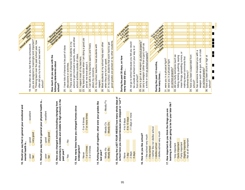| Somewhere<br>Altography                                                  | Nevel<br>U<br><b>CBOON</b><br>O<br>you are assigned is meaningful and important?<br>19. Thinking back over the past school year, how<br>18. How often do you feel that the schoolwork | 0<br>$\overline{\text{o}}$<br>$\Omega$<br>0<br>often did you try to do your best work in | Store Variaties<br><b>Secretary Report</b> s<br>How much do you agree with the | ISORIAL AND BOOM<br>Successive River                                                                            | $\cap$<br>O<br>$\bigcap$<br>20. I have lots of chances to be part of class | OIC<br>010<br>0lO<br>∩<br>school to get involved in sports, clubs, and other<br>There are lots of chances for students in my<br>school activities outside of class. | $\Omega$<br>$\Omega$<br>∩<br>22. I respect most of my teachers.<br>23. My teachers notice when I am doing a good job<br>24. I can talk to my teachers openly and freely | 0<br>0<br>$\overline{0}$<br>$\overline{0}$<br>$\overline{\rm O}$<br>0<br>∩<br>∩<br>In my school, teachers treat students with | 0<br>$\Omega$<br>$\overline{O}$<br>$\overline{O}$<br>$\Omega$<br>0<br>$\Omega$<br>good grades are picked on by other students<br>27. In my school, students that work hard to get<br>26. Most students at my school help each other<br>when they are hurt or upset. | 6 of riole age<br><b>Changed Rivers</b>                                                                          | Odays                                              | 28. not go to school because you felt you would<br>be unsafe at school or on your way to or | OIC<br>$\overline{O}$<br>വറ<br>OIO<br>OIC<br>29. carry a gun as a weapon on school property? | $\overline{\mathrm{o}}$<br>$\Omega$<br>Ω<br>30. carry a weapon (other than a gun) such as<br>a knife or club on school property? | <b>ILLISTRATION</b><br><b>CONSTRUCTION OF PROPERTY</b>                                                           | O<br>$\overline{0}$               | 0<br>Ω<br>∩<br>Ω<br>∩<br>0<br>Ω                                                                              | did you bully someone (such as<br>hitting, kicking, pushing, saying | ð<br>mean things, spreading rumors,<br>making sexual comments that | 0<br>$\Omega$<br>Ω<br>$\Omega$<br>0<br>$\cap$<br>Ο<br>$\cap$ | Ω<br>$\Omega$<br>∩<br>∩<br>0<br>∩<br>O<br>∩<br>34. have you been suspended from | weapon such as a gun, knife, or club<br>35. has someone threatened you with a | 0<br>$\overline{O}$<br>Ω<br>∩<br>0<br>∩<br>Ο<br>$\Omega$  | ∩<br>$\Omega$<br>C<br>Ō<br>Ō | 173802<br>ı<br> <br> -<br> <br>Г<br>Н |
|--------------------------------------------------------------------------|---------------------------------------------------------------------------------------------------------------------------------------------------------------------------------------|------------------------------------------------------------------------------------------|--------------------------------------------------------------------------------|-----------------------------------------------------------------------------------------------------------------|----------------------------------------------------------------------------|---------------------------------------------------------------------------------------------------------------------------------------------------------------------|-------------------------------------------------------------------------------------------------------------------------------------------------------------------------|-------------------------------------------------------------------------------------------------------------------------------|---------------------------------------------------------------------------------------------------------------------------------------------------------------------------------------------------------------------------------------------------------------------|------------------------------------------------------------------------------------------------------------------|----------------------------------------------------|---------------------------------------------------------------------------------------------|----------------------------------------------------------------------------------------------|----------------------------------------------------------------------------------------------------------------------------------|------------------------------------------------------------------------------------------------------------------|-----------------------------------|--------------------------------------------------------------------------------------------------------------|---------------------------------------------------------------------|--------------------------------------------------------------------|--------------------------------------------------------------|---------------------------------------------------------------------------------|-------------------------------------------------------------------------------|-----------------------------------------------------------|------------------------------|---------------------------------------|
|                                                                          | $\supset$ excellent                                                                                                                                                                   | school?                                                                                  | Oexcellent                                                                     | following statements about<br>school?                                                                           | discussions or activities.                                                 | $\frac{1}{2}$                                                                                                                                                       | and let me know about it.                                                                                                                                               | about my concerns.<br>respect.<br><b>R</b>                                                                                    | ΕŞ<br>O Mostly                                                                                                                                                                                                                                                      | During the past 30 days, on how                                                                                  | many days did you                                  |                                                                                             | from school?                                                                                 |                                                                                                                                  | During the past 12 months,<br>how many times                                                                     | 31. were you in a physical fight? | 32. were you in a physical fight<br>on school property?                                                      | အ္တြ                                                                |                                                                    | bothered them)?                                              | school?                                                                         |                                                                               | 36. have you been drunk or high at<br>on school property? | school?                      |                                       |
| 10. Would you say that in general your emotional and<br>mental health is | very good<br>$q$ ood<br>poor<br>fair                                                                                                                                                  | 11. Would you say that in general your physical health is                                | Overy good<br>$q$ good<br>poor<br>O <sup>tan</sup><br>0                        | elementary to middle and middle to high school) in the<br>12. Have you changed schools (including changing from | $\frac{9}{0}$<br>past year?<br>$OY$ es                                     | 13. How many times have you changed homes since<br>kindergarten?                                                                                                    | 7 or more times<br>5 or 6 times<br>Ö<br>1 or 2 times<br>3 or 4 times<br>O Never                                                                                         | Putting them all together, what were your grades like<br>last year?<br>$\frac{4}{1}$                                          | O Mostly D's<br>Mostly C's<br>0<br>O Mostly B's<br>O Mostly A's                                                                                                                                                                                                     | During the LAST FOUR WEEKS how many whole days of<br>school have you missed because you skipped or "cut"?<br>15. | $6$ to 10 days<br>$O4$ to 5 days<br>1 day<br>ONone | $\overline{O}$ 11 days or more<br>3 days<br>2 days                                          | 6. How do you like school?<br>÷                                                              | Ollike school very much                                                                                                          | ol neither like nor dislike school<br>ol dislike school very much<br>Oldislike school<br>$\supset$ I like school |                                   | learning in school are going to be for your later life?<br>17. How important do you think the things you are | Quite important<br>O Very important                                 | Slightly important<br>Fairly important<br>0                        | Not at all important                                         |                                                                                 |                                                                               |                                                           |                              |                                       |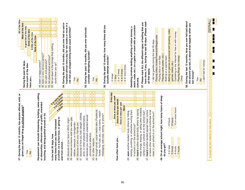| All of the time<br>Most of the time<br>A good bit of the time<br>Some of the time<br>A little of the time<br>None of the time<br>During the past 30 days,<br>how much of the time<br>have you | $\Omega$<br>$\bigcap$<br>$\overline{O}$<br>0<br>53. felt so down in the dumps that nothing<br>49. been a happy person?<br>50. been a very nervous person?<br>52. felt downhearted and blue?<br>51. felt calm and peaceful?<br>could cheer you up?  | ৯<br>hopeless almost every day for two weeks or more in a<br>54. During the past 12 months, did you ever feel so sad<br>row that you stopped doing some usual activities?<br>55. During the past 12 months, did you ever seriously<br>consider attempting suicide?<br>OYes<br>$OY$ es<br>$\frac{1}{2}$<br>$\frac{1}{2}$                                                                                                                                                                                                                                                                                                                                                                                                                             | 56. During the past 12 months, how many times did you<br>actually attempt suicide?<br>O <sub>6</sub> or more times<br>O <sub>2</sub> or 3 times<br>O <sub>4</sub> or 5 times<br>O <sub>0</sub> times<br>$O1$ time                                                                                                         | have done, if any, during the last 30 days: (Please mark<br>57. Please mark ALL the different types of betting that you<br>watch, soda, etc.) on a game or event with an uncertain<br>æ<br>Gambling involves betting anything of value (money,<br>Betting on games of personal skill (bowling, video<br>Gambling on the Internet for free or with money<br>Playing lottery tickets/Powerball/Megabucks<br>ol did not gamble during the last 30 days<br>Playing cards (poker, etc.)<br>Betting on a sports team<br>Playing dice or coin flips<br>Playing Bingo for money<br>games, dares, etc.)<br>all that apply)<br><b>Other</b><br>outcome.<br>0<br>0<br>0                                                                                                                                    | 173803<br>i<br><b>ISERIAL</b><br>58. During the last 12 months, have you ever felt bad about<br>the amount you bet, or about what happens when you<br>H<br>0000<br>▉<br>$\blacksquare$<br>$\overline{O}$<br>Ō<br>O<br>П<br>ol don't bet for money<br>$\overline{O}$<br>$\begin{matrix} 0 \\ 0 \\ 0 \end{matrix}$<br>П<br>bet money?<br>$\circ$<br>OYes<br>$\frac{1}{2}$<br>$\overline{O}$<br>$\circ$<br>$\overline{O}$ |
|-----------------------------------------------------------------------------------------------------------------------------------------------------------------------------------------------|----------------------------------------------------------------------------------------------------------------------------------------------------------------------------------------------------------------------------------------------------|-----------------------------------------------------------------------------------------------------------------------------------------------------------------------------------------------------------------------------------------------------------------------------------------------------------------------------------------------------------------------------------------------------------------------------------------------------------------------------------------------------------------------------------------------------------------------------------------------------------------------------------------------------------------------------------------------------------------------------------------------------|---------------------------------------------------------------------------------------------------------------------------------------------------------------------------------------------------------------------------------------------------------------------------------------------------------------------------|-------------------------------------------------------------------------------------------------------------------------------------------------------------------------------------------------------------------------------------------------------------------------------------------------------------------------------------------------------------------------------------------------------------------------------------------------------------------------------------------------------------------------------------------------------------------------------------------------------------------------------------------------------------------------------------------------------------------------------------------------------------------------------------------------|------------------------------------------------------------------------------------------------------------------------------------------------------------------------------------------------------------------------------------------------------------------------------------------------------------------------------------------------------------------------------------------------------------------------|
| ŏ<br>37. During the past 12 months, has anyone offered, sold,<br>given you an illegal drug on school property?<br>$OY$ es<br>$\frac{6}{5}$                                                    | Harassment can include threatening, bullying, name-calling<br>Sol more imea<br>or obscenities, offensive notes or graffiti, unwanted<br>touching, and being pushed around or hit.<br>many times have you been harassed<br>In the last 30 days, how | $\overline{O}$<br> 0 0<br>$\circ$<br>$\Omega$<br>$\overline{O}$<br>$\overline{O} O$<br>0<br>0<br>POLITICS POLITICS<br>0<br>$\overline{O}$ <sup>O</sup><br>വറ<br>0<br>0<br>0<br>$\overline{O O}$<br>010<br>$\Omega$<br>$\Omega$<br>$\Omega$<br>O <sub>10</sub><br>44. through email, social media sites (Facebook,<br>41. because of how you look (weight, clothes,<br>42. because you received unwanted sexual<br>acne, or other physical characteristics).<br>39. because someone said you were gay,<br>at school, on a school bus, or going to<br>38. because of your race or ethnic origin.<br>lesbian, bisexual, or transgender.<br>40. because of who your friends are.<br>comments or attention.<br>43. for other reasons.<br>and from school | 0<br>Every day<br>$\overline{0}$<br>or twice per week<br>$\frac{0}{0}$<br>Once or twice per month<br>Once or twice per year<br>$\Omega$<br>seen another student bully others by hitting,<br>Twitter, YouTube, etc.), chat rooms, instant<br>messaging, web sites, texting, or phone?<br>Once<br>How often have you<br>45. | $\overline{0}$<br> 0 <br>$\overline{0}$<br>$\overline{0}$<br>$\circ$<br>$\circ$<br>48. On an average school night, how many hours of sleep<br>$\overline{0}$<br>$\Omega$<br>$\Omega$<br>$\Omega$<br>0<br>$\Omega$<br>$\bigcap$<br>$\cap$<br>mean things, teasing, or calling other students<br>$\overline{O}$ 10 or more hours<br>46. heard another student bully others by saying<br>kicking, punching, or otherwise hurting them<br>47. heard another student spread mean rumors<br>or leave other students out of activities to be<br>names in your school or on the school bus?<br>mean in your school or on the school bus?<br>O <sub>8</sub> hours<br>9 hours<br>in school or on the school bus?<br>do you get?<br>O <sub>4 or less</sub><br>O <sub>5</sub> hours<br>O6 hours<br>O7 hours | $\overline{O}$<br>$\overline{O}$<br>$\bigcirc$<br>$\circ$<br>$\overline{O}$<br>$\overline{O}$<br>$\frac{0}{0}$<br>PLEASE DO NOT WRITE IN THIS AREA                                                                                                                                                                                                                                                                     |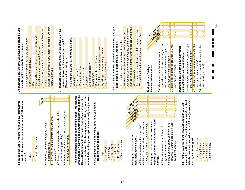| 59. During the last 12 months, have you ever felt that you | would like to stop betting money but didn't think you |        |  |
|------------------------------------------------------------|-------------------------------------------------------|--------|--|
|                                                            |                                                       | could? |  |

| ĝ, | for money<br>٣<br><u>tg</u><br>ön't |
|----|-------------------------------------|
|    |                                     |

- 50. Have you ever lied to anyone about 60. Have you ever lied to anyone about betting/gambling?
- 61. Have you ever bet/gambled more than you 61. Have you ever bet/gambled more than you betting/gambling?

 $\overline{\Omega}$  $\overline{O}$ 

 $\cap$ 

 $\overline{\Omega}$  $\overline{\bigcap}$ 

 $\Omega$ 

 $\Omega$ 

- wanted to?<br>32. Have your parents ever talked to you about the 62. Have your parents ever talked to you about the risks of betting/gambling? risks of betting/gambling?
	- 53. Have your teachers ever talked to you about the 63. Have your teachers ever talked to you about the risks of betting/gambling? risks of betting/gambling?

 $\overline{0}$ 

vodka, or whiskey. For these questions, drinking alcohol does **vodka, or whiskey. For these questions, drinking alcohol does** not include drinking a few sips of wine for religious purposes. drinking beer, wine/wine coolers, flavored beverages such as **not include drinking a few sips of wine for religious purposes.** The next questions ask about drinking alcohol. This includes **drinking beer, wine/wine coolers, flavored beverages such as The next questions ask about drinking alcohol. This includes** Mike's Hard Lemonade and liquor "shots" such as rum, gin, **Mike's Hard Lemonade and liquor "shots" such as rum, gin,**

64. During your life, on how many days have you had at **64. During your life, on how many days have you had at** least one drink of alcohol?



closest to). In the past 12 months, how many of your best<br>friends have tried beer, wine, or hard liquor (for example, **closest to). In the past 12 months, how many of your best** beer, wine, or hard liquor (for example, **friends have tried beer, wine, or hard liquor (for example,** 69. Think of your four best friends (the friends you feel **69. Think of your four best friends (the friends you feel** vodka, whiskey or gin)? **vodka, whiskey or gin)?**

68. had 5 or more drinks of alcohol in a row, that is, within a couple of hours?

58. had 5 or more drinks of alcohol in a

row, that is, within a couple of hours?

(your best estimate)

(your best estimate)

O None of my friends None of my friends  $\bigcirc$  1 of my friends O<sub>3</sub> of my friends 2 of my friends O<sub>4</sub> of my friends

- 70. During the past 30 days, what type of alcohol did you **70. During the past 30 days, what type of alcohol did you** usually drink? Select only one response.  **usually drink? Select only one response.**
- ol did not drink alcohol during the past 30 days I did not drink alcohol during the past 30 days
	- ol do not have a usual type I do not have a usual type
- O Wine coolers (such as Bartles & Jaymes or Seagrams) Flavored beverages (such as Smirnoff, Bacardi Silver, Wine coolers (such as Bartles & Jaymes or Seagrams) ⊝Beer<br>⊝Flavored beverages (such as Smirnoff, Bacardi Silver, Hard Lemonade, Joose and Sparks) Hard Lemonade, Joose and Sparks)  $\overline{0}$

**No Yes**

- OWine<br>OLiquor (such as vodka, rum, scotch, bourbon or whiskey) Liquor (such as vodka, rum, scotch, bourbon or whiskey) Some other type Some other type
- 71. During the past 30 days, from which of the following **71. During the past 30 days, from which of the following** sources did you get the alcohol you drank?  **sources did you get the alcohol you drank?** (Please mark all that apply.)  **(Please mark all that apply.)**
	- ol did not drink alcohol during the past 30 days I did not drink alcohol during the past 30 days Took it from home without permission Took it from home without permission By asking a stranger to buy it for me By asking a stranger to buy it for me Bar, night club, or restaurant OI got it some other way I got it some other way A store or gas station Friends 21 or older Friends 21 or older A brother or sister A brother or sister O At a party<br>O Friends under 21 Friends under 21 A parent<br>A store or g.<br>Liquor store  $\overline{O}$  $\overline{O}$  $\overline{O}$
- 72. In the last 12 months, which of the following have you **72. In the last 12 months, which of the following have you** experienced? (Please mark all that apply.)  **experienced? (Please mark all that apply.)**
	- $\bigcirc$  I did not drink alcohol in the last 12 months I did not drink alcohol in the last 12 months
- Gotten sick to my stomach because of drinking alcohol Gotten sick to my stomach because of drinking alcohol Missed school or class because of drinking alcohol Missed school or class because of drinking alcohol  $\circ$
- O Not been able to remember what happened while I was Not been able to remember what happened while I was drinking alcohol drinking alcohol
	- OLater regretted something I did while drinking alcohol Later regretted something I did while drinking alcohol O Worried that I drank alcohol too much or too often Worried that I drank alcohol too much or too often



 $\Omega$ 

 $\overline{0}$ 

 $\overline{0}$ 

 $\overline{0}$ 

 $\overline{0}$ 

 $\overline{0}$ 

 $\overline{0}$ 

173804  $\overline{\phantom{a}}$ |<br>|<br>|  $\overline{\phantom{a}}$ п  $\blacksquare$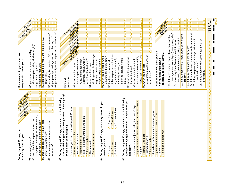| <b>CONSTRUCTION OF CONSTRUCTION OF CONSTRUCTION CONSTRUCTION CONSTRUCTION CONSTRUCTION CONSTRUCTION CONSTRUCTION</b><br>During the past 30 days, on<br>how many days did you         | Foreign Marie 1976<br>If you wanted to get some, how<br>easy would it be for you to                                                                                                                                                      |                            |
|--------------------------------------------------------------------------------------------------------------------------------------------------------------------------------------|------------------------------------------------------------------------------------------------------------------------------------------------------------------------------------------------------------------------------------------|----------------------------|
|                                                                                                                                                                                      | <b>Net least</b><br><b>Ford Deep</b>                                                                                                                                                                                                     |                            |
| 0<br>$\circ$<br>0<br>$\overline{O}$<br>79. smoke cigarettes?                                                                                                                         | get some beer, wine, or hard liquor<br>86.                                                                                                                                                                                               |                            |
| use other tobacco products such as<br>8                                                                                                                                              | (for example, vodka, whiskey, or gin)?                                                                                                                                                                                                   |                            |
| snuf, dip or chewing tobacco (Redman,                                                                                                                                                | 87. get some cigarettes?                                                                                                                                                                                                                 |                            |
| 0 <br>0<br>$\overline{0}$<br>$\overline{\rm O}$<br>$\overline{0}$<br>$\overline{\text{o}}$<br>$\Omega$<br>smoke tobacco in a "Hookah," also<br>Copenhagen, Marlboro Snus etc)?<br>౹ౚ | 88. get some marijuana?                                                                                                                                                                                                                  |                            |
| 0<br>0<br>O<br>0<br>Ω<br>Ō<br>Ω<br>known as a water pipe?                                                                                                                            | Ω<br>Ω<br>89. get some synthetic marijuana, example: K2<br>Spice etc.?                                                                                                                                                                   |                            |
| smoke e-cigarettes, vape-pens, or<br>lai<br>8                                                                                                                                        | 90. get a drug like cocaine, LSD, or amphetamines?                                                                                                                                                                                       |                            |
| $\overline{0}$<br>$\overline{\rm{O}}$<br>$\overline{\mathrm{O}}$<br>$\overline{\rm{O}}$<br>$\overline{0}$<br>$\overline{\text{o}}$<br>0<br>e-Hookahs?                                | Ω<br>91. get prescription drugs not prescribed to you?                                                                                                                                                                                   |                            |
|                                                                                                                                                                                      | $\overline{\text{o}}$<br>92. get some e-cigarettes, vape-pens, or e-hookahs?                                                                                                                                                             | $\overline{0}$             |
| During the past 30 days, from which of the following<br>జే                                                                                                                           |                                                                                                                                                                                                                                          |                            |
| sources did you get tobacco (cigarettes, chew, cigars)?                                                                                                                              | How old                                                                                                                                                                                                                                  |                            |
| (Please mark all that apply.)                                                                                                                                                        | were you                                                                                                                                                                                                                                 |                            |
| ol did not get tobacco during the past 30 days                                                                                                                                       | 11 years, co order<br><b>Principal Report</b><br>ILA YORKS OF<br>13 years of<br><b>HATER</b><br><b>CONSTRUCTION</b><br>is developed to the track of                                                                                      |                            |
| A store or gas station                                                                                                                                                               | 93. when you had more                                                                                                                                                                                                                    |                            |
| Friends 18 or older                                                                                                                                                                  | than a sip or two of beer,                                                                                                                                                                                                               |                            |
| Friends under 18                                                                                                                                                                     | wine, or hard liquor (for                                                                                                                                                                                                                |                            |
| Took from home without permission<br>Ō                                                                                                                                               | example, vodka, whiskey,                                                                                                                                                                                                                 |                            |
| A family member<br>$\overline{\bigcirc}$ The Internet                                                                                                                                | $\Omega$<br>0<br>0<br>0<br>$\Omega$<br>0<br>Ω<br>$\overline{\rm O}$<br>$\Omega$<br>or gin) for the first time?<br>94. when you first began                                                                                               | 0                          |
| Some other source                                                                                                                                                                    | drinking alcoholic beverages                                                                                                                                                                                                             |                            |
|                                                                                                                                                                                      | regularly, that is at least                                                                                                                                                                                                              |                            |
| During the past 30 days, how many times did you<br>84.                                                                                                                               | $\Omega$<br>0<br>0<br>0<br>0<br>0<br>0<br>$\overline{\rm O}$<br>∩<br>once or twice a month?                                                                                                                                              | 0<br>$\overline{\rm O}$    |
| use marijuana?                                                                                                                                                                       | 95. when you smoked a whole<br>cigarette for the first time?                                                                                                                                                                             |                            |
| $\bigcirc$ 10 to 19 times<br>O <sub>0</sub> times                                                                                                                                    | $\cap$<br>0<br>0<br>0<br>$\Omega$<br>0<br>0<br>$\overline{\rm O}$<br>$\cap$<br>96. the first time you used                                                                                                                               | $\overline{\rm O}$         |
| 20 to 39 times                                                                                                                                                                       | tobacco products other than                                                                                                                                                                                                              |                            |
| ○40 or more times<br><b>C</b> 1 or 2 times                                                                                                                                           | cigarettes such as snuff,                                                                                                                                                                                                                |                            |
|                                                                                                                                                                                      | chewing tobacco, and                                                                                                                                                                                                                     |                            |
| During the past 30 days, from which of the following<br>85.                                                                                                                          | smoking tobacco from a                                                                                                                                                                                                                   |                            |
| sources did you get marijuana? (Please mark all                                                                                                                                      | $\overline{0}$<br>0<br>$\overline{\rm O}$<br>$\overline{\rm O}$<br>$\overline{\rm O}$<br>0<br>$\overline{O}$<br>$\overline{\rm O}$<br>$\overline{O}$<br>pipe?                                                                            | $\overline{\rm O}$         |
| that apply.)                                                                                                                                                                         | $\Omega$<br>0<br>$\Omega$<br>0<br>$\Omega$<br>0<br>0<br>$\overline{0}$<br>$\Omega$<br>when you tried marijuana<br>for the first time?<br>50                                                                                              | $\overline{\rm O}$         |
| ol did not use marijuana during the past 30 days                                                                                                                                     | 98. when you tried synthetic                                                                                                                                                                                                             |                            |
| A public event such as a concert or sporting event                                                                                                                                   | marijuana (also called K2,                                                                                                                                                                                                               |                            |
| A party<br>Ω                                                                                                                                                                         | $\Omega$<br>0<br>$\Omega$<br>0<br>$\overline{0}$<br>0<br>$\Omega$<br>$\overline{\rm O}$<br>$\Omega$<br>Spice, etc.) for the first time?                                                                                                  | 0<br>$\overline{\rm O}$    |
| Friends 18 or older                                                                                                                                                                  | 99. when you first tried                                                                                                                                                                                                                 |                            |
| Friends under 18                                                                                                                                                                     | ŏ<br>e-cigarettes, vape-pens,                                                                                                                                                                                                            |                            |
| A family member<br>$\overline{\Omega}$                                                                                                                                               | $\overline{0}$<br>$\overline{O}$<br>$\overline{0}$<br>$\overline{\rm O}$<br>$\overline{0}$<br>$\overline{O}$<br>$\overline{0}$<br>$\overline{\rm O}$<br>$\cap$<br>e-hookahs?                                                             | 0<br>$\overline{\text{o}}$ |
| A medical marijuana cardholder or grower                                                                                                                                             |                                                                                                                                                                                                                                          |                            |
| oligave someone money to buy it for me                                                                                                                                               | How much do you think people                                                                                                                                                                                                             |                            |
| O I grew it                                                                                                                                                                          | risk harming themselves                                                                                                                                                                                                                  |                            |
| olgot it some other way                                                                                                                                                              | Great risk<br>Moderation Is<br><b>PAGE TANKS</b><br>(physically or in other ways)                                                                                                                                                        |                            |
|                                                                                                                                                                                      | 100. If they have one or two drinks of an alcoholic                                                                                                                                                                                      |                            |
|                                                                                                                                                                                      | O<br>O<br>beverage (beer, wine, liquor) nearly every day?                                                                                                                                                                                | $\Omega$                   |
|                                                                                                                                                                                      | alcoholic beverage once or twice a week?<br>101. when they have five or more drinks of an                                                                                                                                                |                            |
|                                                                                                                                                                                      | $\overline{\rm{O}}$<br>0<br><b>20</b>                                                                                                                                                                                                    | 0<br>$\overline{\rm O}$    |
|                                                                                                                                                                                      | ∩<br>if they smoke one or more packs of cigarettes<br>per day?                                                                                                                                                                           | ∩                          |
|                                                                                                                                                                                      | Ω<br>103. If they try marijuana once or twice?                                                                                                                                                                                           | Ω<br>Ω                     |
|                                                                                                                                                                                      | IО<br>104. if they smoke marijuana once or twice a week?                                                                                                                                                                                 |                            |
|                                                                                                                                                                                      | 105. if they use prescription drugs that are not                                                                                                                                                                                         |                            |
|                                                                                                                                                                                      | $\overline{\mathbb{O}}$<br>0<br>prescribed to them?                                                                                                                                                                                      | 0<br>$\overline{\rm O}$    |
|                                                                                                                                                                                      | $\overline{0}$<br>0<br>ŏ<br>if they smoke e-cigarettes, vape-pens,<br>e-hookahs?<br><u>106.</u>                                                                                                                                          | $\overline{0}$             |
|                                                                                                                                                                                      |                                                                                                                                                                                                                                          |                            |
| $\overline{O}$<br>$\overline{O}$<br>$\overline{O}$<br>$\circ$<br>$\circ$<br>$\circ$<br>$\frac{0}{0}$<br>PLEASE DO NOT WRITE IN THIS AREA                                             | [SERIAL]<br>$\circ$<br>$\circ$<br>$\overline{O}$<br>$\overline{O}$<br>$\overline{O}$<br>O<br>$\circ$<br>$\overline{O}$<br>$\begin{matrix} 0 \\ 0 \\ 0 \end{matrix}$<br>$\circ$<br>$\overline{O}$<br>$\overline{O}$<br>$\circ$<br>$\circ$ |                            |
|                                                                                                                                                                                      | :<br>$\overline{\phantom{a}}$<br>E                                                                                                                                                                                                       |                            |
|                                                                                                                                                                                      |                                                                                                                                                                                                                                          | 173805                     |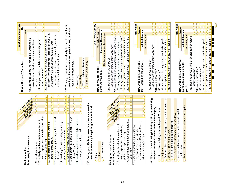| Don't know or can't say<br>ş<br>During the past 12 months | Yes<br>do you recall hearing, reading, or watching an<br>advertisement about prevention of substance<br>120. | Ω<br>∩<br>Ω<br>Ω<br>∩<br>121. have you had a special class about drugs or<br>alcohol in school?<br>abuse?                                 | about the dangers of tobacco, alcohol, or drug use?<br>adoptive parents, stepparents, or adult guardians,<br>have you talked with at least one of your parents<br>By parents we mean your biological parents,<br>whether or not they live with you.<br>22.<br>22.                                                                                    | 123. Would you be more or less likely to want to work for an<br>employer that tests its employees for drug or alcohol<br>$\bigcirc$ Would make no difference<br>use on a random basis?<br>O Don't know or can't say<br>OMore likely<br>OLess likely                                                                                                                                                                                                                                                                                                                                                         | Don't know/Can't say<br><b>Strongly Disapprove</b><br>Somewhat Disapprove<br><b>Neither Approve nor Disapprove</b><br>How do you feel about<br>someone your age. | 129. smoking e-cigarettes, vape-pens, or e-hookahs?<br>127. using prescription drugs not prescribed to them?<br>125. smoking one or more packs of cigarettes a day?<br>128. using synthetic marijuana, example: K2, Spice?<br>126. trying marijuana or hashish once or twice?<br>an alcoholic beverage nearly every day?<br>124. having one or two drinks of                                                                 | Very wrong<br>Wrong<br>A little bit wrong<br>Not wrong at all<br>feel it would be for you to<br>How wrong do your friends                                                                | 135. smoke e-cigarettes, vape-pens, or e-hookahs?<br>134. use synthetic marijuana, example: K2, Spice?<br>133. use prescription drugs not prescribed to you?<br>an alcoholic beverage nearly every day?<br>130. have one or two drinks of<br>131. smoke tobacco?<br>132. use marijuana? | Very wrong<br>Wrong<br>A little bit wrong<br>Not wrong at all<br>How wrong do you think your<br>parents feel it would be for<br>you to                                                                                        | 173806<br>$\Box$<br>136. have one or two drinks of an alcoholic beverage<br>141. smoke e-cigarettes, vape-pens, or e-hookahs?<br>140. use synthetic marijuana, example: K2, Spice?<br>139. use prescription drugs not prescribed to you?<br>137. smoke cigarettes?<br>138. smoke marijuana?<br>nearly everyday? |
|-----------------------------------------------------------|--------------------------------------------------------------------------------------------------------------|-------------------------------------------------------------------------------------------------------------------------------------------|------------------------------------------------------------------------------------------------------------------------------------------------------------------------------------------------------------------------------------------------------------------------------------------------------------------------------------------------------|-------------------------------------------------------------------------------------------------------------------------------------------------------------------------------------------------------------------------------------------------------------------------------------------------------------------------------------------------------------------------------------------------------------------------------------------------------------------------------------------------------------------------------------------------------------------------------------------------------------|------------------------------------------------------------------------------------------------------------------------------------------------------------------|------------------------------------------------------------------------------------------------------------------------------------------------------------------------------------------------------------------------------------------------------------------------------------------------------------------------------------------------------------------------------------------------------------------------------|------------------------------------------------------------------------------------------------------------------------------------------------------------------------------------------|-----------------------------------------------------------------------------------------------------------------------------------------------------------------------------------------------------------------------------------------------------------------------------------------|-------------------------------------------------------------------------------------------------------------------------------------------------------------------------------------------------------------------------------|-----------------------------------------------------------------------------------------------------------------------------------------------------------------------------------------------------------------------------------------------------------------------------------------------------------------|
|                                                           | ADOITOIR INTER<br><b>CONSTRUCTION</b><br>how many times have you<br>During your life,                        | Ő<br>0<br>O<br>0<br>∩<br>aerosol spray cans, or inhaled any paints<br>108. sniffed glue, breathed the contents of<br>107. used marijuana? | 0<br>O<br>O<br>$\overline{\rm O}$<br>$\overline{0}$<br>$\Omega$<br>$\overline{\rm O}$<br>0<br>0<br>0<br>$\cap$<br>Ω<br>$\overline{\rm O}$<br>0<br>0<br> 0 <br>$\cap$<br>∩<br>110. taken a prescription drug not prescribed<br>taken steroid pills or shots without a<br>or sprays to get high?<br>doctor's prescription?<br>?nov op<br>$\frac{1}{9}$ | OIO<br>0<br>0<br>$\overline{0}$<br>$\overline{0}$<br>0 <sup>10</sup><br>$\overline{0}$<br>$\overline{0}$<br>OIO<br>a<br>115. During your life, how many times have you used<br>$\overline{0}$<br>0<br>NIC<br>needle to inject any illegal drug into your body?<br>ō<br>$\overline{\rm O}$<br>$\overline{O}$<br>0<br>$\Omega$<br>$\Omega$<br>113. used heroin (also called smack, junk, or<br>114. used methamphetamines (also called<br>111. used any form of cocaine, including<br>112. used ecstasy (also called MDMA)?<br>speed, crystal, crank or ice)?<br>powder, crack, or freebase?<br>China White)? | 2 or more times<br>O <sub>0</sub> times<br>O <sub>1</sub> time                                                                                                   | $\bigcirc$<br>All 30 days<br>$\overline{0}$<br>0 <br>∩<br>$\overline{0}$<br>0<br>0<br>$\overline{O}$<br>Ωl<br>$\overline{\mathrm{O}}$<br>$\overline{\text{o}}$<br>∩∣<br>$\overline{0}$<br>117. use synthetic marijuana, example: K2,<br>116. sniff glue, breathe the contents of<br>aerosol spray cans, or inhale any<br>paints or sprays to get high?<br>During the past 30 days, on<br>how many days did you<br>Spice etc? | Ω<br>Ō<br>$\overline{O}$<br>0<br>∩<br>Ω<br>codeine, Adderall, Ritalin, or Xanax)<br>118. use a prescription drug (such as<br>OxyContin, Percocet, Vicodin,<br>without a doctor's orders? | Which of the following illicit drugs did you use during<br>Any form of cocaine including powder, crack or freebase<br>the past 30 days? (Please mark all that apply.)<br>OI did not use illicit drugs during the past 30 days<br>Ecstasy (also called MDMA)<br>O Marijuana<br>0<br>119. | Steroid pills or shots without a doctor's prescription<br>Methamphetamines (also called speed, crystal<br>LSD or other hallucinogens or psychedelics<br>Heroin or other opiates or narcotics<br>crank or ice)<br>O<br>$\circ$ |                                                                                                                                                                                                                                                                                                                 |